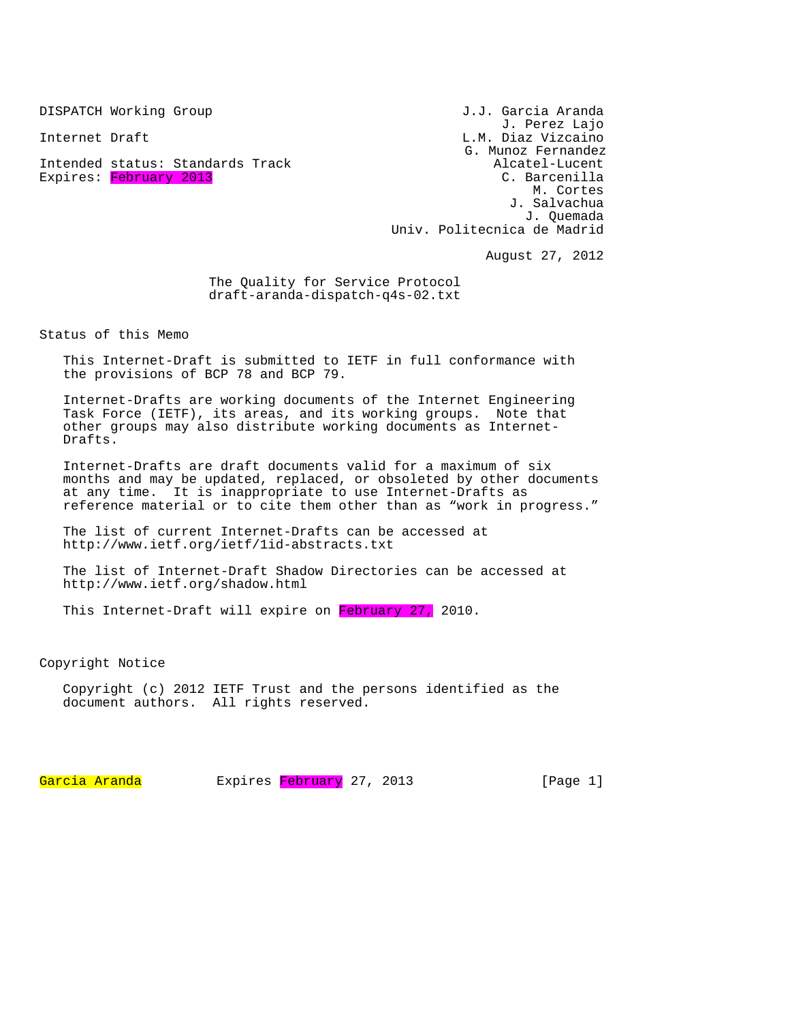Intended status: Standards Track and alcatel-Lucent Alcatel-Lucent<br>Expires: February 2013 Expires: February 2013

DISPATCH Working Group J.J. Garcia Aranda J. Perez Lajo Internet Draft L.M. Diaz Vizcaino G. Munoz Fernandez M. Cortes J. Salvachua J. Quemada Univ. Politecnica de Madrid

August 27, 2012

The Quality for Service Protocol draft-aranda-dispatch-q4s-02.txt

Status of this Memo

This Internet-Draft is submitted to IETF in full conformance with the provisions of BCP 78 and BCP 79.

Internet-Drafts are working documents of the Internet Engineering Task Force (IETF), its areas, and its working groups. Note that other groups may also distribute working documents as Internet-Drafts.

Internet-Drafts are draft documents valid for a maximum of six months and may be updated, replaced, or obsoleted by other documents at any time. It is inappropriate to use Internet-Drafts as reference material or to cite them other than as "work in progress."

The list of current Internet-Drafts can be accessed at http://www.ietf.org/ietf/1id-abstracts.txt

The list of Internet-Draft Shadow Directories can be accessed at http://www.ietf.org/shadow.html

This Internet-Draft will expire on February 27, 2010.

Copyright Notice

Copyright (c) 2012 IETF Trust and the persons identified as the document authors. All rights reserved.

Garcia Aranda Expires February 27, 2013 [Page 1]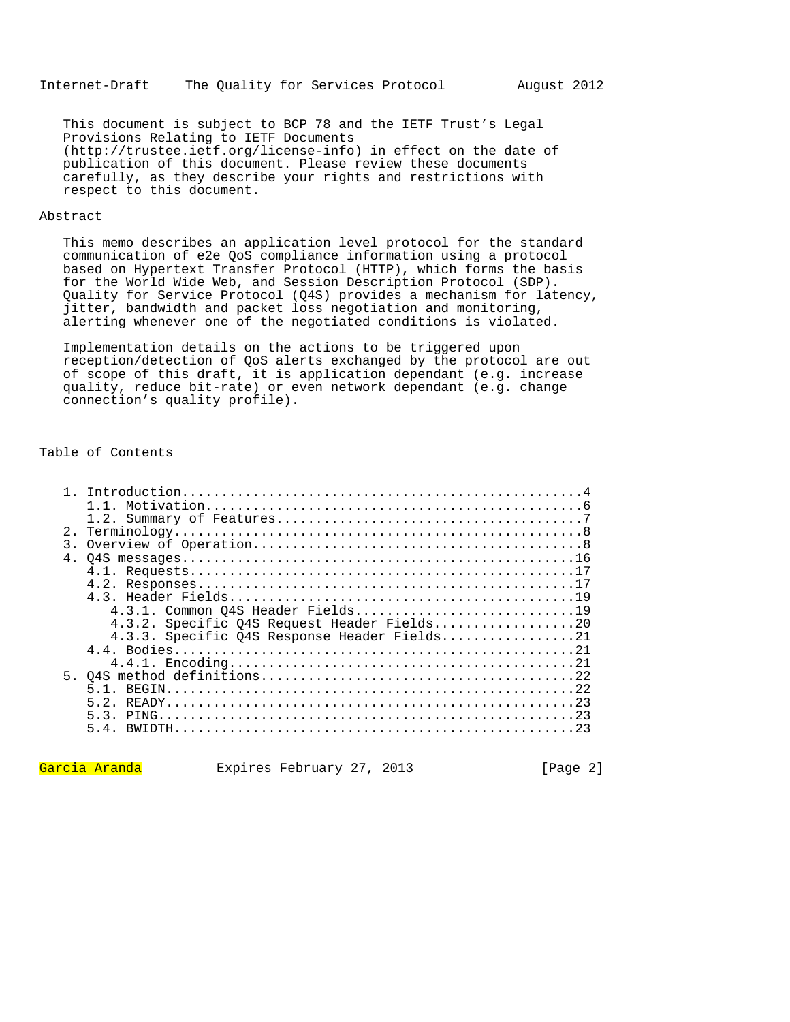This document is subject to BCP 78 and the IETF Trust's Legal Provisions Relating to IETF Documents (http://trustee.ietf.org/license-info) in effect on the date of publication of this document. Please review these documents carefully, as they describe your rights and restrictions with respect to this document.

## Abstract

This memo describes an application level protocol for the standard communication of e2e QoS compliance information using a protocol based on Hypertext Transfer Protocol (HTTP), which forms the basis for the World Wide Web, and Session Description Protocol (SDP). Quality for Service Protocol (Q4S) provides a mechanism for latency, jitter, bandwidth and packet loss negotiation and monitoring, alerting whenever one of the negotiated conditions is violated.

Implementation details on the actions to be triggered upon reception/detection of QoS alerts exchanged by the protocol are out of scope of this draft, it is application dependant (e.g. increase quality, reduce bit-rate) or even network dependant (e.g. change connection's quality profile).

## Table of Contents

| 2.1            |                                              |
|----------------|----------------------------------------------|
| 3.             |                                              |
| 4 <sup>1</sup> |                                              |
|                |                                              |
|                |                                              |
|                |                                              |
|                | 4.3.1. Common 04S Header Fields19            |
|                | 4.3.2. Specific Q4S Request Header Fields20  |
|                | 4.3.3. Specific 04S Response Header Fields21 |
|                |                                              |
|                |                                              |
|                |                                              |
|                |                                              |
|                |                                              |
|                |                                              |
|                |                                              |
|                |                                              |

Garcia Aranda Expires February 27, 2013 [Page 2]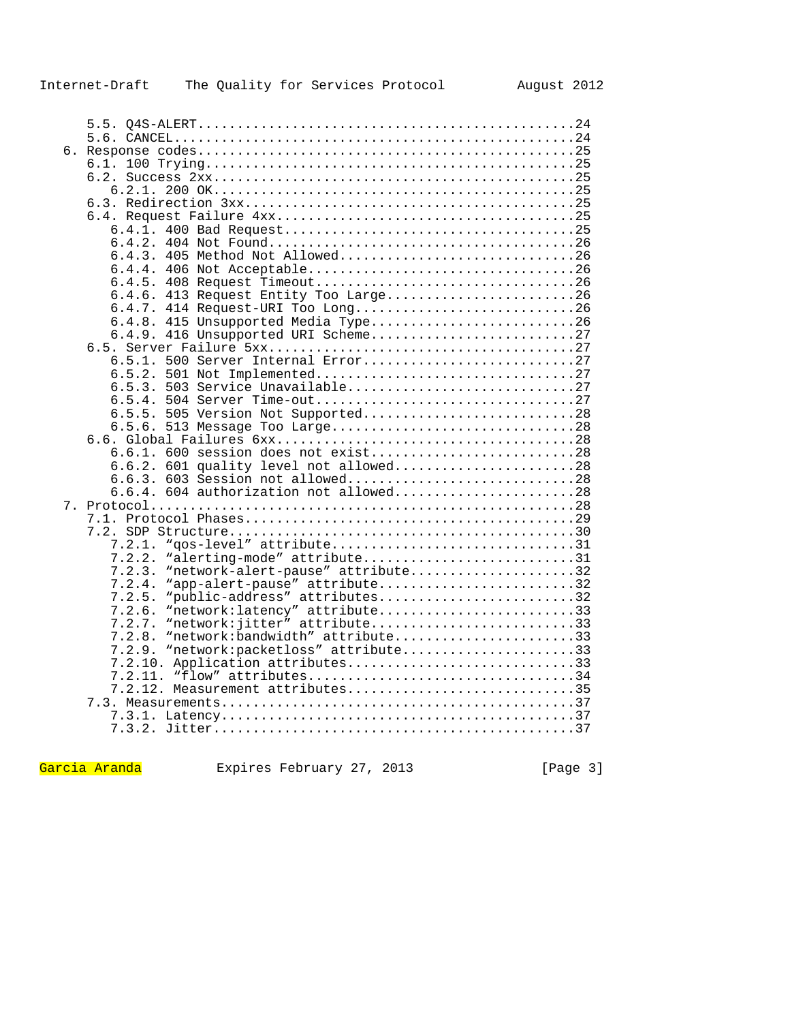| б. |                                             |  |
|----|---------------------------------------------|--|
|    |                                             |  |
|    |                                             |  |
|    |                                             |  |
|    |                                             |  |
|    |                                             |  |
|    |                                             |  |
|    |                                             |  |
|    | 6.4.3. 405 Method Not Allowed26             |  |
|    |                                             |  |
|    |                                             |  |
|    | 6.4.6. 413 Request Entity Too Large26       |  |
|    | 6.4.7. 414 Request-URI Too Long26           |  |
|    | 6.4.8. 415 Unsupported Media Type26         |  |
|    | 6.4.9. 416 Unsupported URI Scheme27         |  |
|    |                                             |  |
|    | 6.5.1. 500 Server Internal Error27          |  |
|    | 6.5.2.<br>501 Not Implemented27             |  |
|    |                                             |  |
|    |                                             |  |
|    | 6.5.5. 505 Version Not Supported28          |  |
|    | 6.5.6. 513 Message Too Large28              |  |
|    | 6.6.1. 600 session does not exist28         |  |
|    | 6.6.2. 601 quality level not allowed28      |  |
|    | 6.6.3. 603 Session not allowed28            |  |
|    | $6.6.4.$ 604 authorization not allowed28    |  |
|    |                                             |  |
|    |                                             |  |
|    |                                             |  |
|    |                                             |  |
|    | 7.2.2. "alerting-mode" attribute31          |  |
|    | "network-alert-pause" attribute32<br>7.2.3. |  |
|    | "app-alert-pause" attribute32<br>7.2.4.     |  |
|    | "public-address" attributes32<br>7.2.5.     |  |
|    | "network: latency" attribute33<br>7.2.6.    |  |
|    | "network: jitter" attribute33<br>7.2.7.     |  |
|    | "network:bandwidth" attribute33<br>7.2.8.   |  |
|    | "network:packetloss" attribute33<br>7.2.9.  |  |
|    | 7.2.10. Application attributes33            |  |
|    |                                             |  |
|    | 7.2.12. Measurement attributes35            |  |
|    |                                             |  |
|    |                                             |  |
|    |                                             |  |

Garcia Aranda Expires February 27, 2013 [Page 3]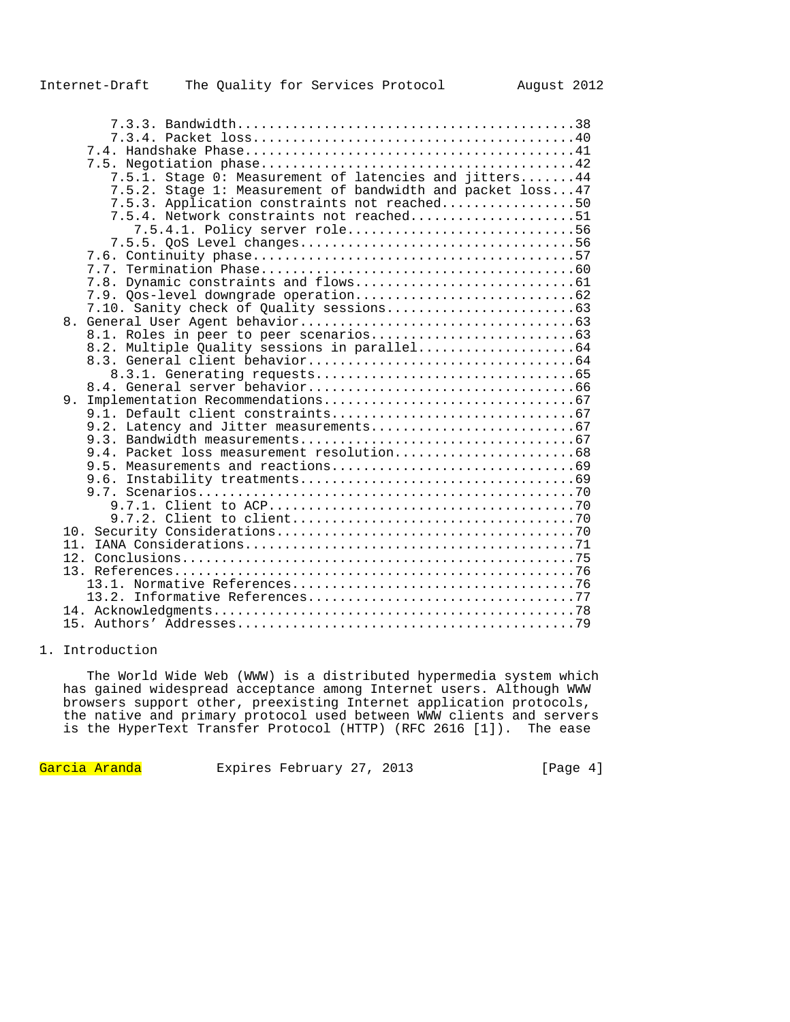|     | 7.5.1. Stage 0: Measurement of latencies and jitters44     |
|-----|------------------------------------------------------------|
|     | 7.5.2. Stage 1: Measurement of bandwidth and packet loss47 |
|     | 7.5.3. Application constraints not reached50               |
|     | 7.5.4. Network constraints not reached51                   |
|     | 7.5.4.1. Policy server role56                              |
|     |                                                            |
|     |                                                            |
|     |                                                            |
|     |                                                            |
|     |                                                            |
|     |                                                            |
|     |                                                            |
|     |                                                            |
|     |                                                            |
|     |                                                            |
|     |                                                            |
|     |                                                            |
|     |                                                            |
|     |                                                            |
|     |                                                            |
|     |                                                            |
|     |                                                            |
|     |                                                            |
|     |                                                            |
|     |                                                            |
|     |                                                            |
|     |                                                            |
| 10. |                                                            |
| 11. |                                                            |
|     |                                                            |
|     |                                                            |
|     |                                                            |
|     |                                                            |
|     |                                                            |
|     |                                                            |
|     |                                                            |

## 1. Introduction

 The World Wide Web (WWW) is a distributed hypermedia system which has gained widespread acceptance among Internet users. Although WWW browsers support other, preexisting Internet application protocols, the native and primary protocol used between WWW clients and servers is the HyperText Transfer Protocol (HTTP) (RFC 2616 [1]). The ease

Garcia Aranda Expires February 27, 2013 [Page 4]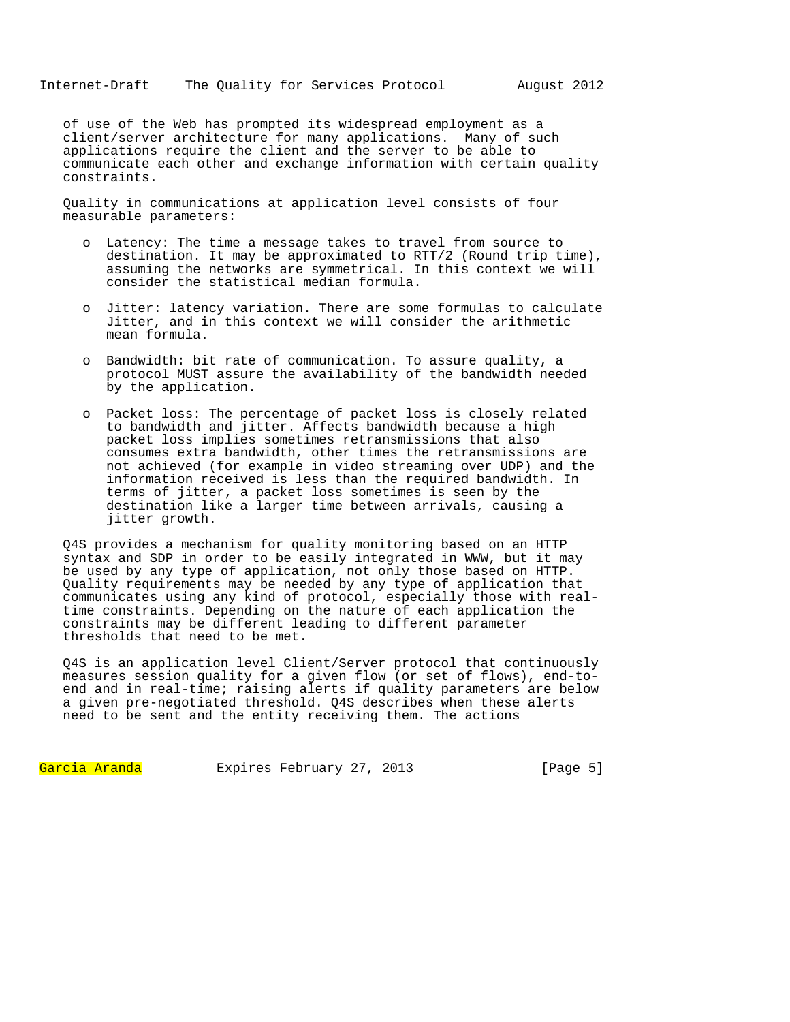of use of the Web has prompted its widespread employment as a client/server architecture for many applications. Many of such applications require the client and the server to be able to communicate each other and exchange information with certain quality constraints.

Quality in communications at application level consists of four measurable parameters:

- o Latency: The time a message takes to travel from source to destination. It may be approximated to RTT/2 (Round trip time), assuming the networks are symmetrical. In this context we will consider the statistical median formula.
- o Jitter: latency variation. There are some formulas to calculate Jitter, and in this context we will consider the arithmetic mean formula.
- o Bandwidth: bit rate of communication. To assure quality, a protocol MUST assure the availability of the bandwidth needed by the application.
- o Packet loss: The percentage of packet loss is closely related to bandwidth and jitter. Affects bandwidth because a high packet loss implies sometimes retransmissions that also consumes extra bandwidth, other times the retransmissions are not achieved (for example in video streaming over UDP) and the information received is less than the required bandwidth. In terms of jitter, a packet loss sometimes is seen by the destination like a larger time between arrivals, causing a jitter growth.

Q4S provides a mechanism for quality monitoring based on an HTTP syntax and SDP in order to be easily integrated in WWW, but it may be used by any type of application, not only those based on HTTP. Quality requirements may be needed by any type of application that communicates using any kind of protocol, especially those with realtime constraints. Depending on the nature of each application the constraints may be different leading to different parameter thresholds that need to be met.

Q4S is an application level Client/Server protocol that continuously measures session quality for a given flow (or set of flows), end-toend and in real-time; raising alerts if quality parameters are below a given pre-negotiated threshold. Q4S describes when these alerts need to be sent and the entity receiving them. The actions

Garcia Aranda Expires February 27, 2013 [Page 5]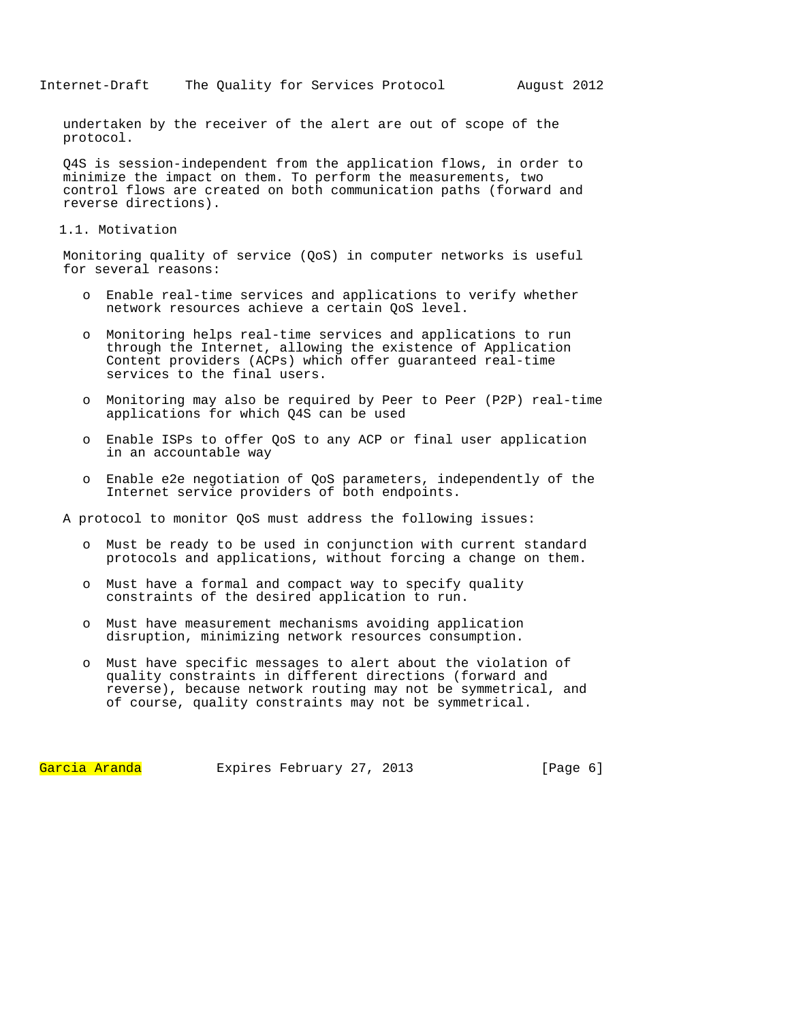undertaken by the receiver of the alert are out of scope of the protocol.

Q4S is session-independent from the application flows, in order to minimize the impact on them. To perform the measurements, two control flows are created on both communication paths (forward and reverse directions).

1.1. Motivation

Monitoring quality of service (QoS) in computer networks is useful for several reasons:

- o Enable real-time services and applications to verify whether network resources achieve a certain QoS level.
- o Monitoring helps real-time services and applications to run through the Internet, allowing the existence of Application Content providers (ACPs) which offer guaranteed real-time services to the final users.
- o Monitoring may also be required by Peer to Peer (P2P) real-time applications for which Q4S can be used
- o Enable ISPs to offer QoS to any ACP or final user application in an accountable way
- o Enable e2e negotiation of QoS parameters, independently of the Internet service providers of both endpoints.

A protocol to monitor QoS must address the following issues:

- o Must be ready to be used in conjunction with current standard protocols and applications, without forcing a change on them.
- o Must have a formal and compact way to specify quality constraints of the desired application to run.
- o Must have measurement mechanisms avoiding application disruption, minimizing network resources consumption.
- o Must have specific messages to alert about the violation of quality constraints in different directions (forward and reverse), because network routing may not be symmetrical, and of course, quality constraints may not be symmetrical.

Garcia Aranda Expires February 27, 2013 [Page 6]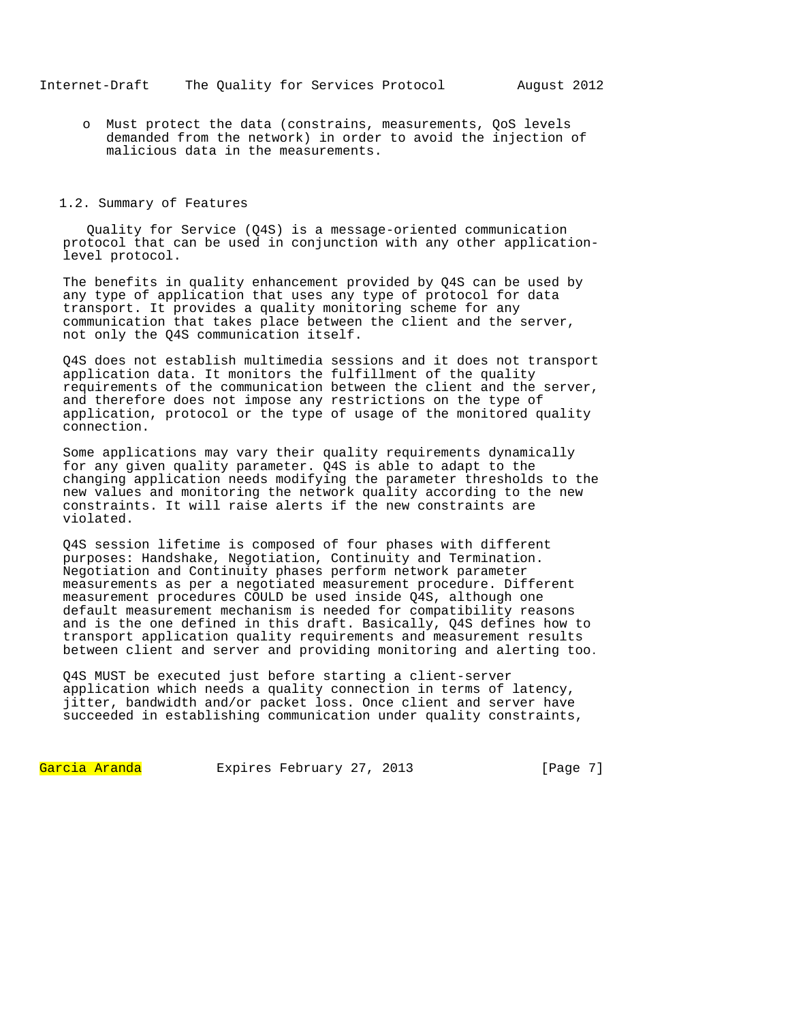o Must protect the data (constrains, measurements, QoS levels demanded from the network) in order to avoid the injection of malicious data in the measurements.

#### 1.2. Summary of Features

 Quality for Service (Q4S) is a message-oriented communication protocol that can be used in conjunction with any other applicationlevel protocol.

The benefits in quality enhancement provided by Q4S can be used by any type of application that uses any type of protocol for data transport. It provides a quality monitoring scheme for any communication that takes place between the client and the server, not only the Q4S communication itself.

Q4S does not establish multimedia sessions and it does not transport application data. It monitors the fulfillment of the quality requirements of the communication between the client and the server, and therefore does not impose any restrictions on the type of application, protocol or the type of usage of the monitored quality connection.

Some applications may vary their quality requirements dynamically for any given quality parameter. Q4S is able to adapt to the changing application needs modifying the parameter thresholds to the new values and monitoring the network quality according to the new constraints. It will raise alerts if the new constraints are violated.

Q4S session lifetime is composed of four phases with different purposes: Handshake, Negotiation, Continuity and Termination. Negotiation and Continuity phases perform network parameter measurements as per a negotiated measurement procedure. Different measurement procedures COULD be used inside Q4S, although one default measurement mechanism is needed for compatibility reasons and is the one defined in this draft. Basically, Q4S defines how to transport application quality requirements and measurement results between client and server and providing monitoring and alerting too.

Q4S MUST be executed just before starting a client-server application which needs a quality connection in terms of latency, jitter, bandwidth and/or packet loss. Once client and server have succeeded in establishing communication under quality constraints,

Garcia Aranda Expires February 27, 2013 [Page 7]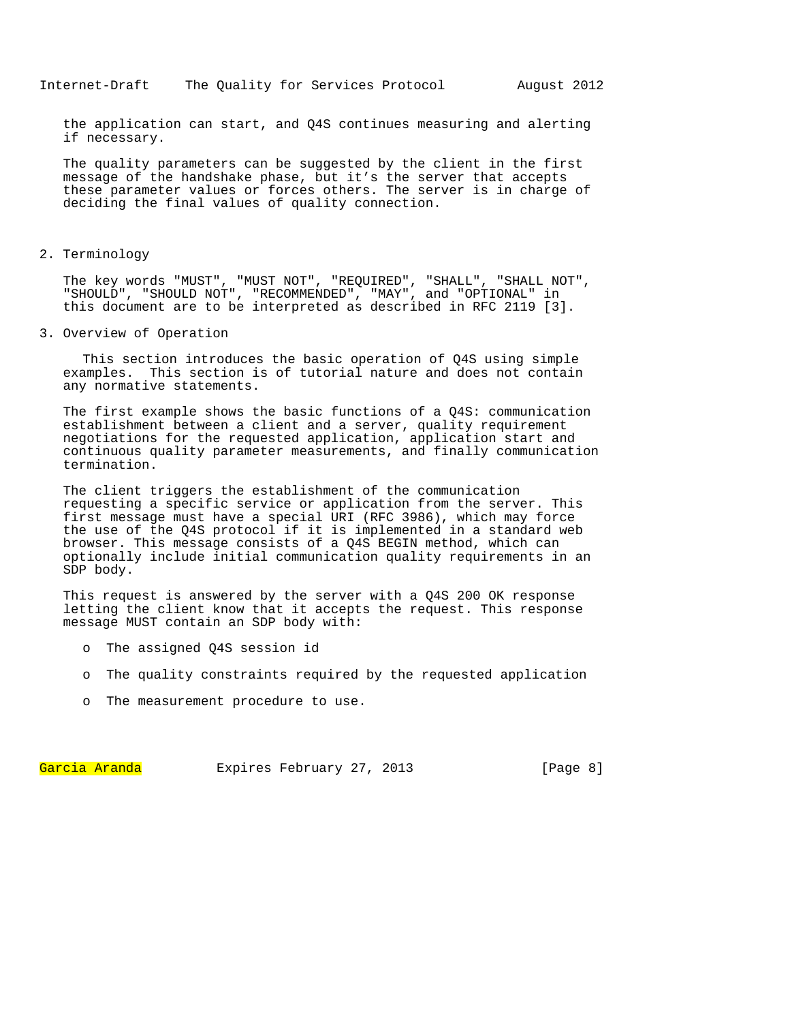the application can start, and Q4S continues measuring and alerting if necessary.

The quality parameters can be suggested by the client in the first message of the handshake phase, but it's the server that accepts these parameter values or forces others. The server is in charge of deciding the final values of quality connection.

### 2. Terminology

The key words "MUST", "MUST NOT", "REQUIRED", "SHALL", "SHALL NOT", "SHOULD", "SHOULD NOT", "RECOMMENDED", "MAY", and "OPTIONAL" in this document are to be interpreted as described in RFC 2119 [3].

3. Overview of Operation

 This section introduces the basic operation of Q4S using simple examples. This section is of tutorial nature and does not contain any normative statements.

The first example shows the basic functions of a Q4S: communication establishment between a client and a server, quality requirement negotiations for the requested application, application start and continuous quality parameter measurements, and finally communication termination.

The client triggers the establishment of the communication requesting a specific service or application from the server. This first message must have a special URI (RFC 3986), which may force the use of the Q4S protocol if it is implemented in a standard web browser. This message consists of a Q4S BEGIN method, which can optionally include initial communication quality requirements in an SDP body.

This request is answered by the server with a Q4S 200 OK response letting the client know that it accepts the request. This response message MUST contain an SDP body with:

- o The assigned Q4S session id
- o The quality constraints required by the requested application
- o The measurement procedure to use.

Garcia Aranda Expires February 27, 2013 [Page 8]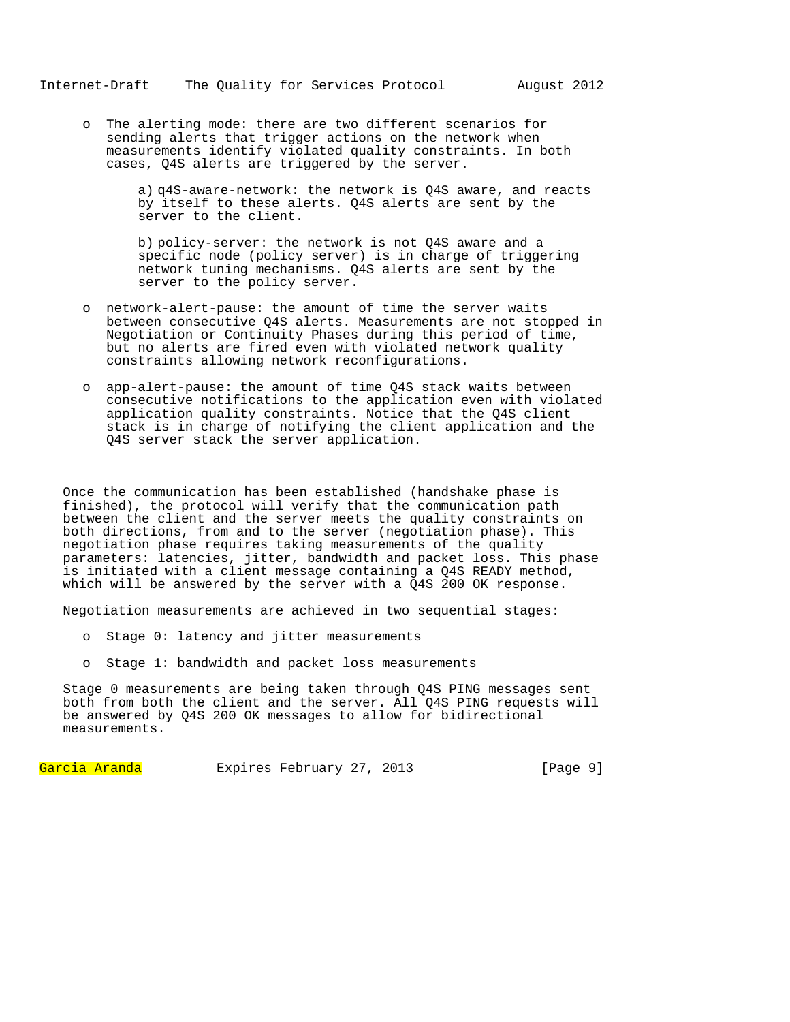o The alerting mode: there are two different scenarios for sending alerts that trigger actions on the network when measurements identify violated quality constraints. In both cases, Q4S alerts are triggered by the server.

> a) q4S-aware-network: the network is Q4S aware, and reacts by itself to these alerts. Q4S alerts are sent by the server to the client.

b) policy-server: the network is not Q4S aware and a specific node (policy server) is in charge of triggering network tuning mechanisms. Q4S alerts are sent by the server to the policy server.

- o network-alert-pause: the amount of time the server waits between consecutive Q4S alerts. Measurements are not stopped in Negotiation or Continuity Phases during this period of time, but no alerts are fired even with violated network quality constraints allowing network reconfigurations.
- o app-alert-pause: the amount of time Q4S stack waits between consecutive notifications to the application even with violated application quality constraints. Notice that the Q4S client stack is in charge of notifying the client application and the Q4S server stack the server application.

Once the communication has been established (handshake phase is finished), the protocol will verify that the communication path between the client and the server meets the quality constraints on both directions, from and to the server (negotiation phase). This negotiation phase requires taking measurements of the quality parameters: latencies, jitter, bandwidth and packet loss. This phase is initiated with a client message containing a Q4S READY method, which will be answered by the server with a  $\overline{Q}4S$  200 OK response.

Negotiation measurements are achieved in two sequential stages:

- o Stage 0: latency and jitter measurements
- o Stage 1: bandwidth and packet loss measurements

Stage 0 measurements are being taken through Q4S PING messages sent both from both the client and the server. All Q4S PING requests will be answered by Q4S 200 OK messages to allow for bidirectional measurements.

Garcia Aranda Expires February 27, 2013 [Page 9]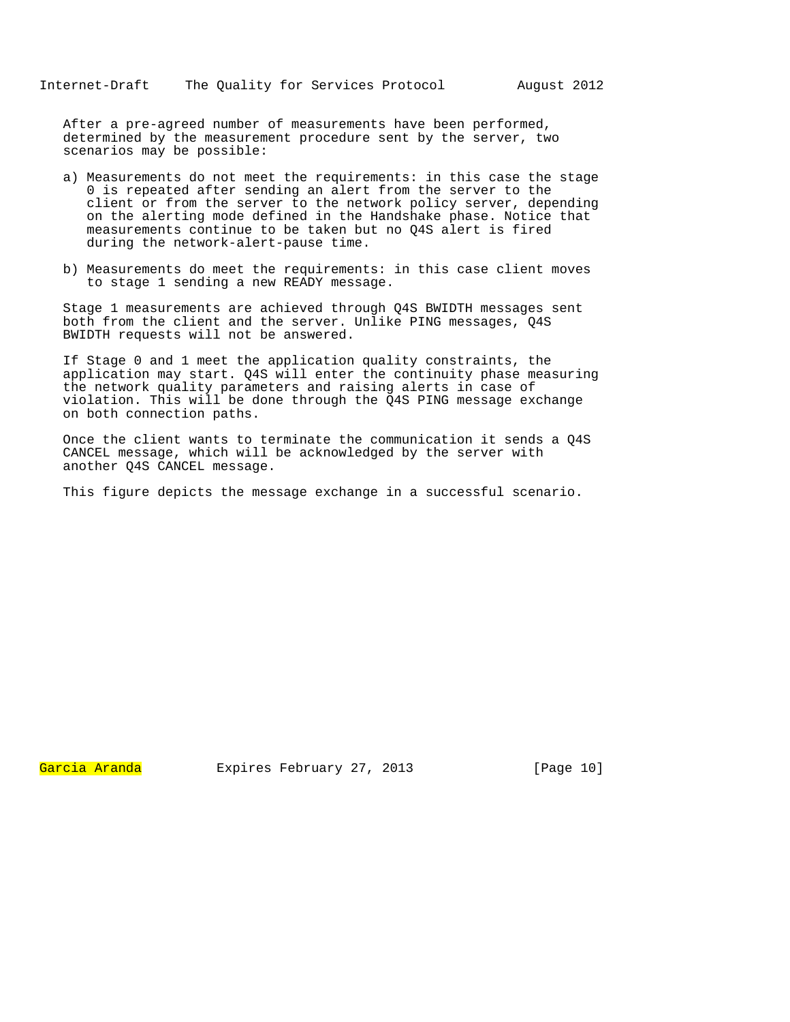After a pre-agreed number of measurements have been performed, determined by the measurement procedure sent by the server, two scenarios may be possible:

- a) Measurements do not meet the requirements: in this case the stage 0 is repeated after sending an alert from the server to the client or from the server to the network policy server, depending on the alerting mode defined in the Handshake phase. Notice that measurements continue to be taken but no Q4S alert is fired during the network-alert-pause time.
- b) Measurements do meet the requirements: in this case client moves to stage 1 sending a new READY message.

Stage 1 measurements are achieved through Q4S BWIDTH messages sent both from the client and the server. Unlike PING messages, Q4S BWIDTH requests will not be answered.

If Stage 0 and 1 meet the application quality constraints, the application may start. Q4S will enter the continuity phase measuring the network quality parameters and raising alerts in case of violation. This will be done through the Q4S PING message exchange on both connection paths.

Once the client wants to terminate the communication it sends a Q4S CANCEL message, which will be acknowledged by the server with another Q4S CANCEL message.

This figure depicts the message exchange in a successful scenario.

Garcia Aranda Expires February 27, 2013 [Page 10]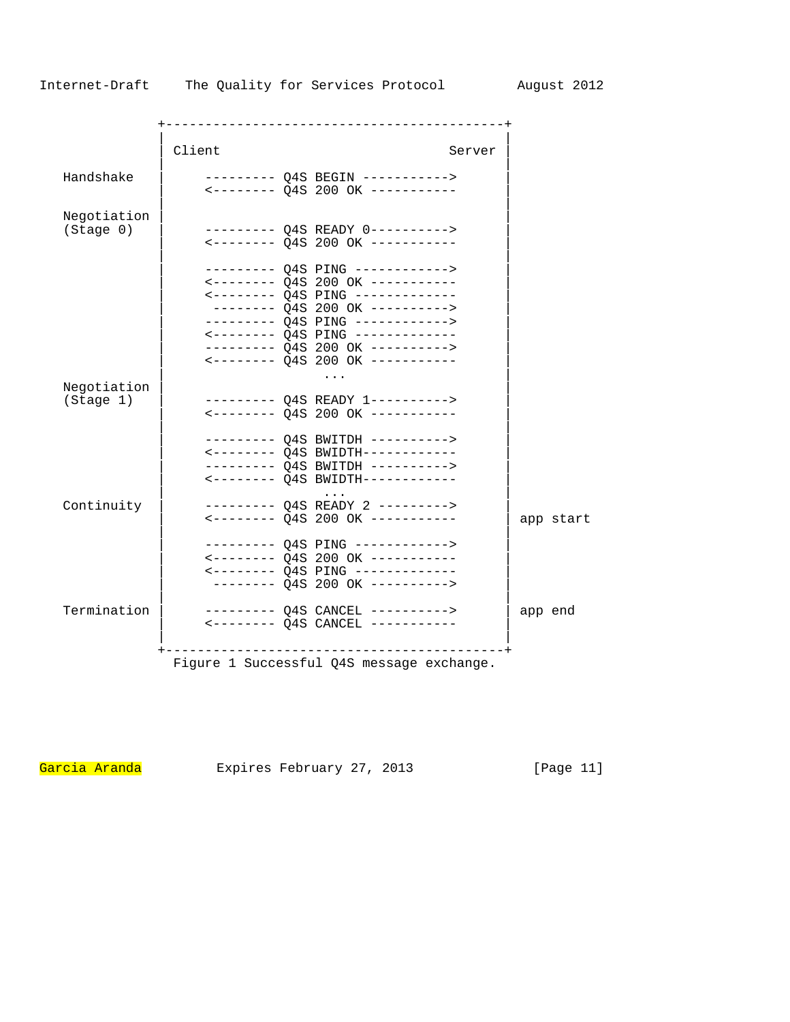|                                                                      |        | -----------------------------                                                                                                                                                                                                                                                                                               |           |
|----------------------------------------------------------------------|--------|-----------------------------------------------------------------------------------------------------------------------------------------------------------------------------------------------------------------------------------------------------------------------------------------------------------------------------|-----------|
|                                                                      | Client | Server                                                                                                                                                                                                                                                                                                                      |           |
| Handshake                                                            |        | --------- Q4S BEGIN -----------><br><-------- Q4S 200 OK -----------                                                                                                                                                                                                                                                        |           |
| Negotiation<br>(Stage 0)                                             |        | --------- Q4S READY 0----------><br>$\leftarrow$ -------- Q4S 200 OK -----------                                                                                                                                                                                                                                            |           |
|                                                                      |        | --------- Q4S PING ------------><br><-------- Q4S 200 OK -----------<br>$\leftarrow$ ------- Q4S PING ------------<br>-------- Q4S 200 OK ----------><br>--------- Q4S PING ------------><br>$\leftarrow$ ------- Q4S PING ------------<br>--------- Q4S 200 OK ----------><br>$\leftarrow$ -------- Q4S 200 OK ----------- |           |
| Negotiation<br>(Stage 1)                                             |        | --------- Q4S READY 1----------><br>$\leftarrow$ -------- Q4S 200 OK -----------                                                                                                                                                                                                                                            |           |
|                                                                      |        | --------- Q4S BWITDH ----------><br><-------- Q4S BWIDTH------------<br>--------- Q4S BWITDH ----------><br><-------- Q4S BWIDTH------------                                                                                                                                                                                |           |
| Continuity                                                           |        | --------- Q4S READY 2 ---------><br><-------- Q4S 200 OK -----------                                                                                                                                                                                                                                                        | app start |
|                                                                      |        | --------- Q4S PING ------------><br>$\leftarrow$ ------- $\left.04S$ 200 OK -----------<br>$\leftarrow$ ------- Q4S PING -------------<br>$------ 04S 200 OK ---------$                                                                                                                                                     |           |
| Termination                                                          |        | -------- Q4S CANCEL ----------><br>$\leftarrow$ ------- Q4S CANCEL -----------                                                                                                                                                                                                                                              | app end   |
| -----------------------<br>Figure 1 Successful Q4S message exchange. |        |                                                                                                                                                                                                                                                                                                                             |           |

Garcia Aranda Expires February 27, 2013 [Page 11]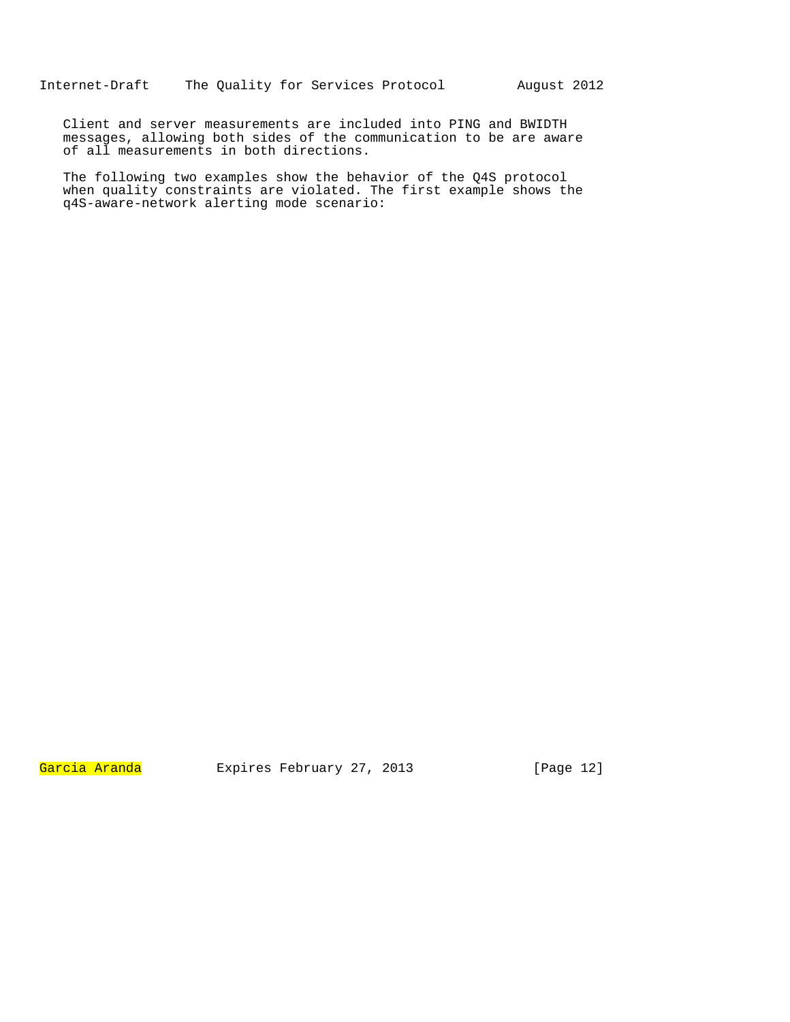Client and server measurements are included into PING and BWIDTH messages, allowing both sides of the communication to be are aware of all measurements in both directions.

The following two examples show the behavior of the Q4S protocol when quality constraints are violated. The first example shows the q4S-aware-network alerting mode scenario:

Garcia Aranda Expires February 27, 2013 [Page 12]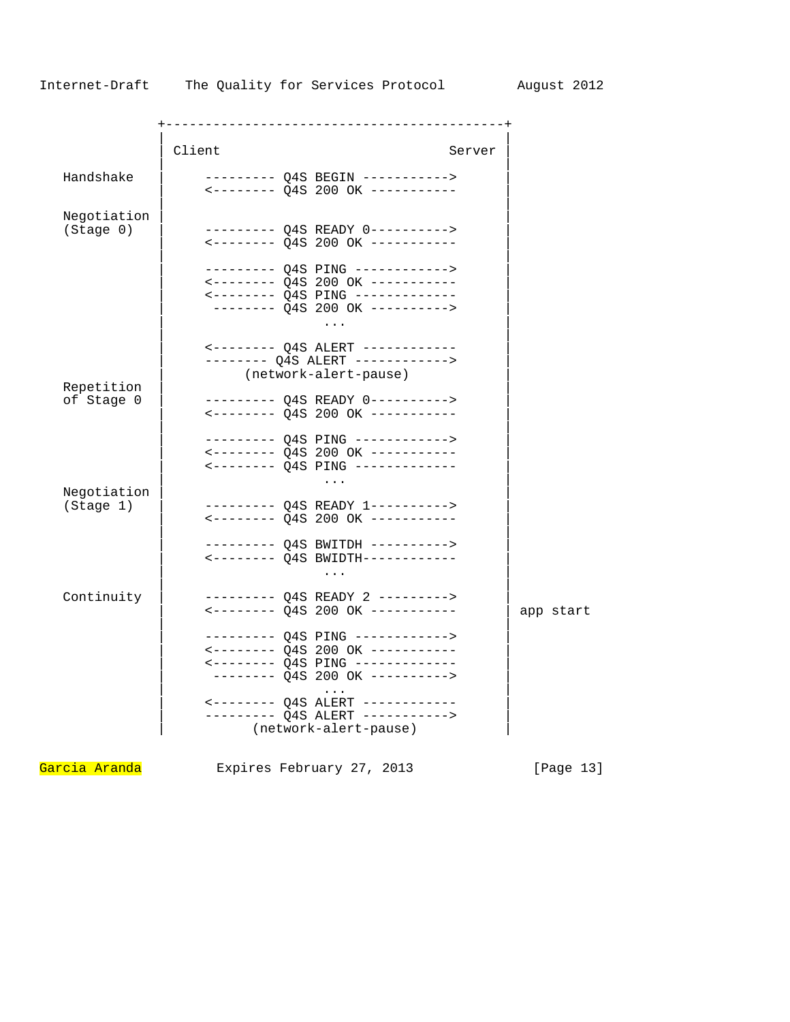|                          | Client                                                                                                              | Server |           |
|--------------------------|---------------------------------------------------------------------------------------------------------------------|--------|-----------|
| Handshake                | --------- Q4S BEGIN -----------><br><-------- Q4S 200 OK -----------                                                |        |           |
| Negotiation<br>(Stage 0) | --------- Q4S READY 0----------><br><-------- Q4S 200 OK -----------                                                |        |           |
|                          | <-------- Q4S 200 OK -----------<br>$\leftarrow$ ------- Q4S PING -------------                                     |        |           |
| Repetition               | -------- Q4S ALERT ------------><br>(network-alert-pause)                                                           |        |           |
| of Stage 0               | --------- Q4S READY 0----------><br><-------- Q4S 200 OK -----------                                                |        |           |
|                          | <-------- Q4S 200 OK -----------<br>.                                                                               |        |           |
| Negotiation<br>(Stage 1) |                                                                                                                     |        |           |
|                          | --------- Q4S BWITDH ---------->                                                                                    |        |           |
| Continuity               | --------- Q4S READY 2 --------->                                                                                    |        | app start |
|                          | --------- Q4S PING ------------><br>$\leftarrow$ -------- Q4S PING -------------<br>-------- Q4S 200 OK ----------> |        |           |
|                          | --------- Q4S ALERT -----------><br>(network-alert-pause)                                                           |        |           |

Garcia Aranda Expires February 27, 2013 [Page 13]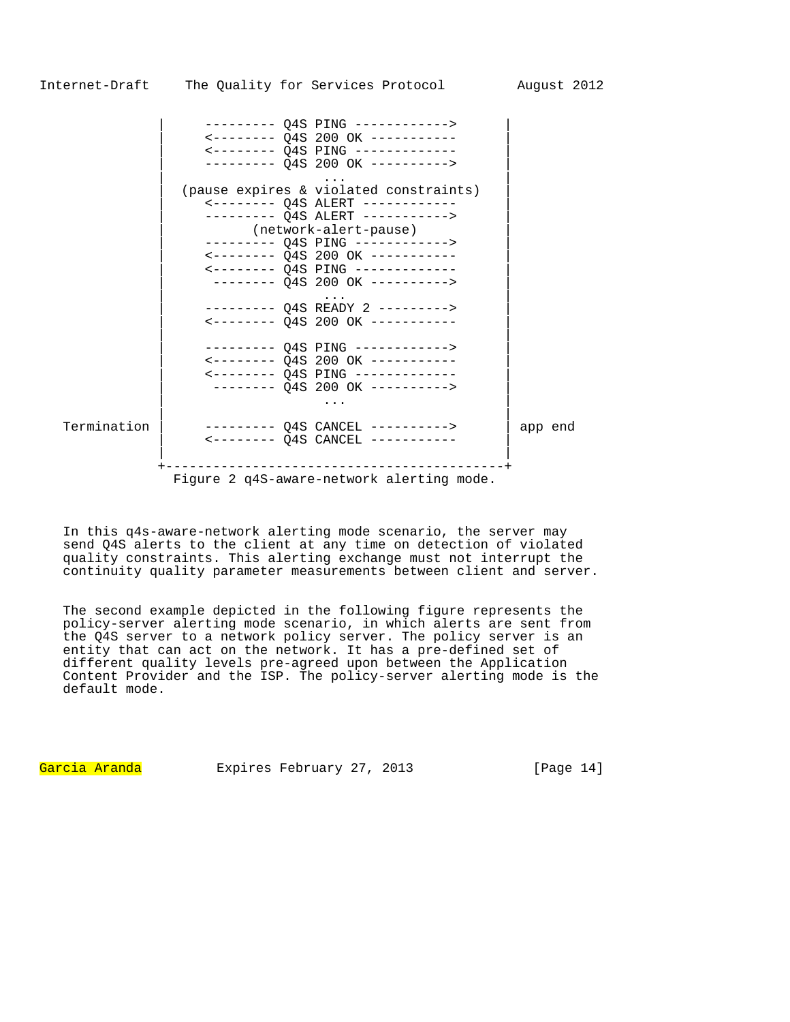|             | <-------- Q4S 200 OK -----------<br>$\leftarrow$ ------- Q4S PING ------------<br>--------- Q4S 200 OK ---------->                                                                                                                                               |         |
|-------------|------------------------------------------------------------------------------------------------------------------------------------------------------------------------------------------------------------------------------------------------------------------|---------|
|             | (pause expires & violated constraints)<br><-------- Q4S ALERT ------------<br>--------- Q4S ALERT -----------><br>(network-alert-pause)<br>--------- Q4S PING ------------><br>$\leftarrow$ ------- $Q4S$ 200 OK -----------<br><-------- Q4S PING ------------- |         |
|             | -------- 04S 200 OK ----------><br>--------- Q4S READY 2 ---------><br><-------- Q4S 200 OK -----------                                                                                                                                                          |         |
|             | <-------- Q4S 200 OK -----------<br>$\leftarrow$ -------- Q4S PING -------------<br>-------- Q4S 200 OK ----------->                                                                                                                                             |         |
| Termination | -------- Q4S CANCEL ----------><br>$\leftarrow$ ------- Q4S CANCEL -----------<br>_____________________                                                                                                                                                          | app end |
|             | Figure 2 q4S-aware-network alerting mode.                                                                                                                                                                                                                        |         |

In this q4s-aware-network alerting mode scenario, the server may send Q4S alerts to the client at any time on detection of violated quality constraints. This alerting exchange must not interrupt the continuity quality parameter measurements between client and server.

The second example depicted in the following figure represents the policy-server alerting mode scenario, in which alerts are sent from the Q4S server to a network policy server. The policy server is an entity that can act on the network. It has a pre-defined set of different quality levels pre-agreed upon between the Application Content Provider and the ISP. The policy-server alerting mode is the default mode.

Garcia Aranda Expires February 27, 2013 [Page 14]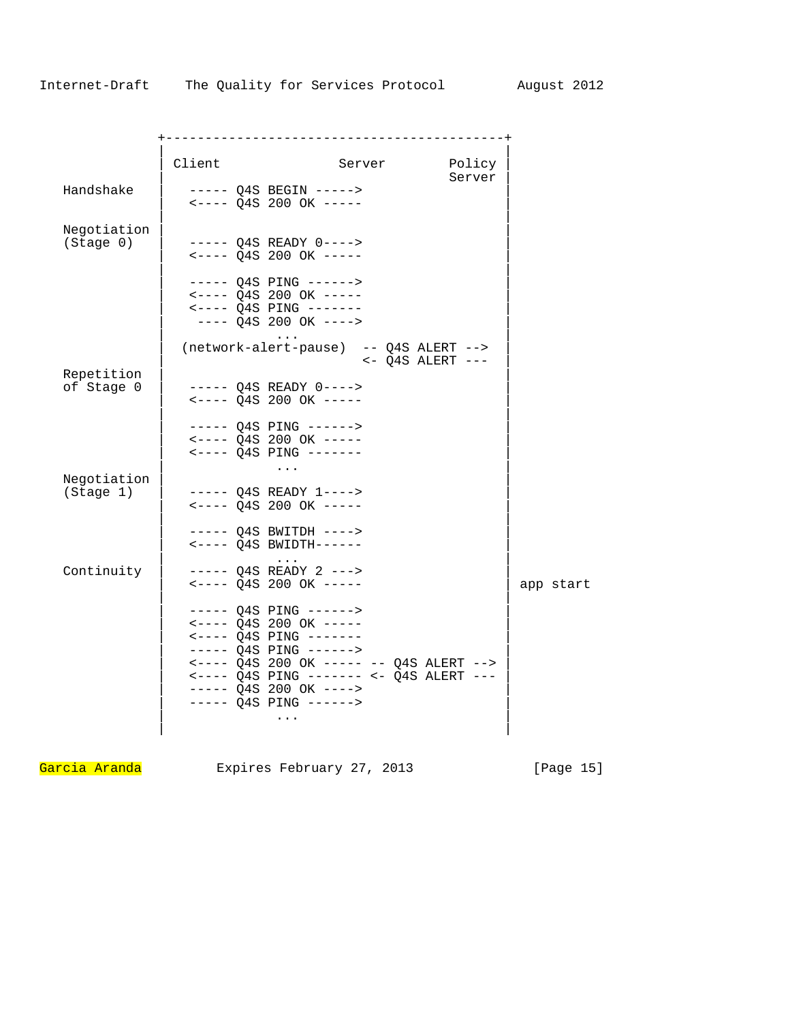|                          | Client | Server                                                                                                                                                                                                                                                                  | Policy<br>Server |           |
|--------------------------|--------|-------------------------------------------------------------------------------------------------------------------------------------------------------------------------------------------------------------------------------------------------------------------------|------------------|-----------|
| Handshake                |        | $--- Q4S BEGIN --- ---$<br>$\leftarrow$ ---- Q4S 200 OK -----                                                                                                                                                                                                           |                  |           |
| Negotiation<br>(Stage 0) |        | $--- Q4S$ READY $0---$<br>$\leftarrow$ ---- Q4S 200 OK -----                                                                                                                                                                                                            |                  |           |
|                          |        | $--- Q4S$ PING $---->$<br>$\leftarrow \leftarrow - -$ Q4S 200 OK $---$<br>$\leftarrow \leftarrow - - - Q4S$ PING $---$<br>$--- Q4S 200 OK ---$                                                                                                                          |                  |           |
|                          |        | (network-alert-pause) -- Q4S ALERT --><br>$<-$ Q4S ALERT $---$                                                                                                                                                                                                          |                  |           |
| Repetition<br>of Stage 0 |        | $--- Q4S READV 0---$<br>$\leftarrow \leftarrow - -$ Q4S 200 OK $---$                                                                                                                                                                                                    |                  |           |
|                          |        | $--- Q4S$ PING $---->$<br>$\leftarrow \leftarrow - -$ Q4S 200 OK $---$<br>$--- Q4S$ PING $---$                                                                                                                                                                          |                  |           |
| Negotiation<br>(Stage 1) |        | $\cdots$<br>$--- 04S$ READY $1---$<br>$\leftarrow$ ---- Q4S 200 OK -----                                                                                                                                                                                                |                  |           |
|                          |        | ----- Q4S BWITDH ----><br>$\leftarrow \leftarrow \leftarrow \left.\right$ 04S BWIDTH------                                                                                                                                                                              |                  |           |
| Continuity               |        | $\cdots$<br>$--- Q4S$ READY 2 $---$<br>$\leftarrow \leftarrow \leftarrow \text{Q4S}$ 200 OK $\leftarrow \leftarrow \leftarrow$                                                                                                                                          |                  | app start |
|                          |        | $--- Q4S$ PING $---->$<br>$\leftarrow$ ---- Q4S 200 OK -----<br>$--- Q4S$ PING $---$<br>$--- Q4S$ PING $---->$<br>$\leftarrow$ ---- Q4S 200 OK ----- -- Q4S ALERT --><br><---- Q4S PING ------- <- Q4S ALERT ---<br>$--- Q4S 200 OK ---$<br>$--- 04S$ PING $---->$<br>. |                  |           |

Garcia Aranda Expires February 27, 2013 [Page 15]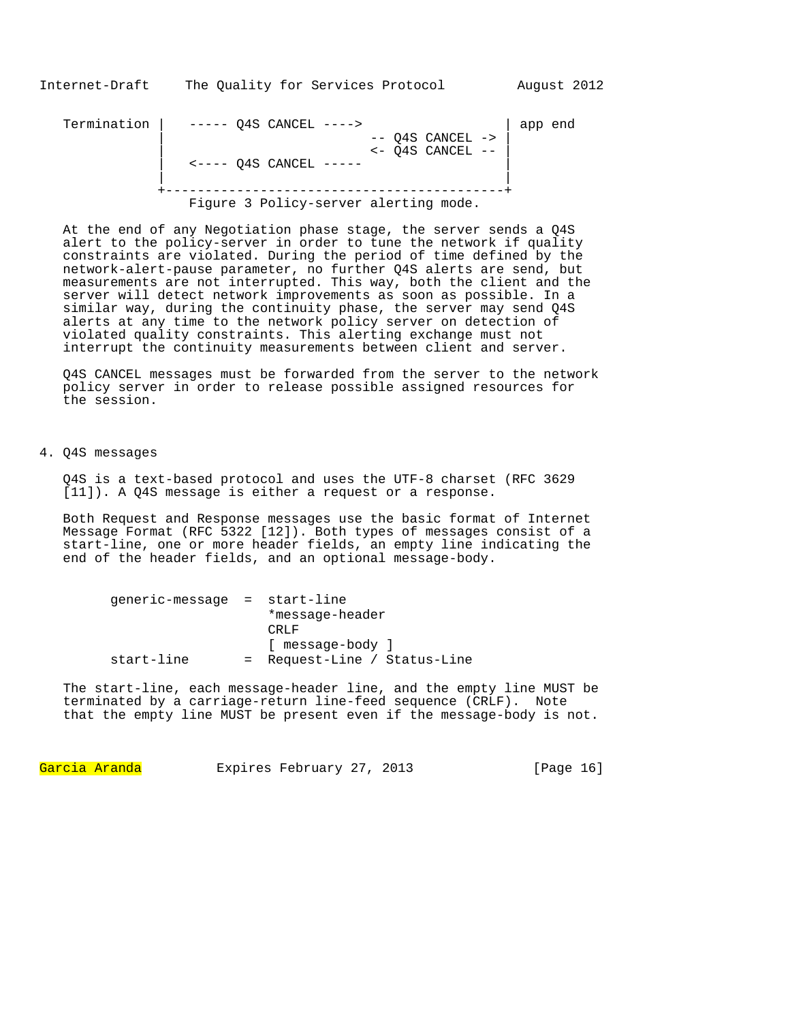Termination | ----- Q4S CANCEL ----> | app end -- Q4S CANCEL -><br><- Q4S CANCEL -- | <- Q4S CANCEL -- |  $\left\langle$   $\left\langle$   $\left\langle$   $\right\rangle$   $\left\langle$   $\right\rangle$   $\left\langle$   $\right\rangle$   $\left\langle$   $\left\langle \right\rangle$   $\left\langle$   $\right\rangle$   $\left\langle$   $\left\langle \right\rangle$   $\left\langle$   $\right\rangle$   $\left\langle$   $\left\langle \right\rangle$   $\left\langle$   $\right\rangle$   $\left\langle$   $\left\langle$   $\right\rangle$   $\left\langle$   $\right\rangle$   $\left\langle$   $\left\langle$   $\right\rangle$   $\left\langle$   $\right\rangle$  | | +-------------------------------------------+

Figure 3 Policy-server alerting mode.

At the end of any Negotiation phase stage, the server sends a Q4S alert to the policy-server in order to tune the network if quality constraints are violated. During the period of time defined by the network-alert-pause parameter, no further Q4S alerts are send, but measurements are not interrupted. This way, both the client and the server will detect network improvements as soon as possible. In a similar way, during the continuity phase, the server may send Q4S alerts at any time to the network policy server on detection of violated quality constraints. This alerting exchange must not interrupt the continuity measurements between client and server.

Q4S CANCEL messages must be forwarded from the server to the network policy server in order to release possible assigned resources for the session.

4. Q4S messages

Q4S is a text-based protocol and uses the UTF-8 charset (RFC 3629 [11]). A Q4S message is either a request or a response.

Both Request and Response messages use the basic format of Internet Message Format (RFC 5322 [12]). Both types of messages consist of a start-line, one or more header fields, an empty line indicating the end of the header fields, and an optional message-body.

| qeneric-message = start-line |                              |
|------------------------------|------------------------------|
|                              | *message-header              |
|                              | CRLF                         |
|                              | [ message-body ]             |
| start-line                   | = Request-Line / Status-Line |

The start-line, each message-header line, and the empty line MUST be terminated by a carriage-return line-feed sequence (CRLF). Note that the empty line MUST be present even if the message-body is not.

Garcia Aranda Expires February 27, 2013 [Page 16]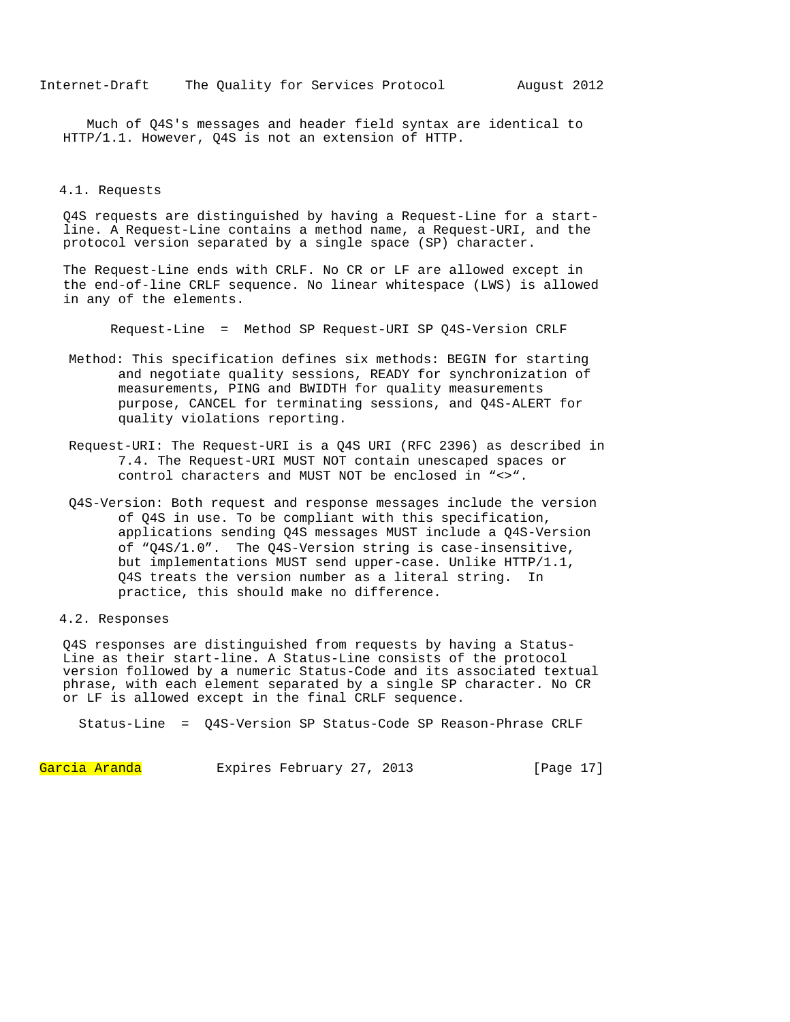Much of Q4S's messages and header field syntax are identical to HTTP/1.1. However, Q4S is not an extension of HTTP.

## 4.1. Requests

Q4S requests are distinguished by having a Request-Line for a startline. A Request-Line contains a method name, a Request-URI, and the protocol version separated by a single space (SP) character.

 The Request-Line ends with CRLF. No CR or LF are allowed except in the end-of-line CRLF sequence. No linear whitespace (LWS) is allowed in any of the elements.

Request-Line = Method SP Request-URI SP Q4S-Version CRLF

- Method: This specification defines six methods: BEGIN for starting and negotiate quality sessions, READY for synchronization of measurements, PING and BWIDTH for quality measurements purpose, CANCEL for terminating sessions, and Q4S-ALERT for quality violations reporting.
- Request-URI: The Request-URI is a Q4S URI (RFC 2396) as described in 7.4. The Request-URI MUST NOT contain unescaped spaces or control characters and MUST NOT be enclosed in "<>".
- Q4S-Version: Both request and response messages include the version of Q4S in use. To be compliant with this specification, applications sending Q4S messages MUST include a Q4S-Version of "Q4S/1.0". The Q4S-Version string is case-insensitive, but implementations MUST send upper-case. Unlike HTTP/1.1, Q4S treats the version number as a literal string. In practice, this should make no difference.

4.2. Responses

Q4S responses are distinguished from requests by having a Status-Line as their start-line. A Status-Line consists of the protocol version followed by a numeric Status-Code and its associated textual phrase, with each element separated by a single SP character. No CR or LF is allowed except in the final CRLF sequence.

Status-Line = Q4S-Version SP Status-Code SP Reason-Phrase CRLF

Garcia Aranda Expires February 27, 2013 [Page 17]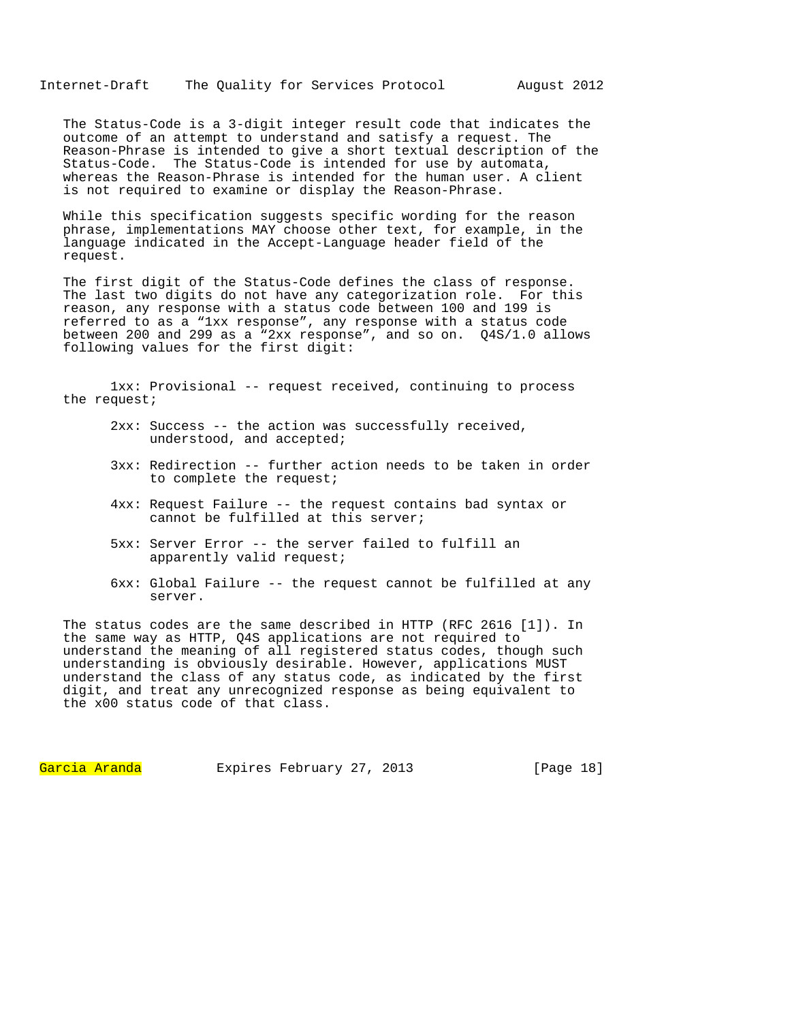The Status-Code is a 3-digit integer result code that indicates the outcome of an attempt to understand and satisfy a request. The Reason-Phrase is intended to give a short textual description of the Status-Code. The Status-Code is intended for use by automata, whereas the Reason-Phrase is intended for the human user. A client is not required to examine or display the Reason-Phrase.

While this specification suggests specific wording for the reason phrase, implementations MAY choose other text, for example, in the language indicated in the Accept-Language header field of the request.

The first digit of the Status-Code defines the class of response. The last two digits do not have any categorization role. For this reason, any response with a status code between 100 and 199 is referred to as a "1xx response", any response with a status code between 200 and 299 as a "2xx response", and so on. Q4S/1.0 allows following values for the first digit:

 1xx: Provisional -- request received, continuing to process the request;

- 2xx: Success -- the action was successfully received, understood, and accepted;
- 3xx: Redirection -- further action needs to be taken in order to complete the request;
- 4xx: Request Failure -- the request contains bad syntax or cannot be fulfilled at this server;
- 5xx: Server Error -- the server failed to fulfill an apparently valid request;
- 6xx: Global Failure -- the request cannot be fulfilled at any server.

The status codes are the same described in HTTP (RFC 2616 [1]). In the same way as HTTP, Q4S applications are not required to understand the meaning of all registered status codes, though such understanding is obviously desirable. However, applications MUST understand the class of any status code, as indicated by the first digit, and treat any unrecognized response as being equivalent to the x00 status code of that class.

Garcia Aranda Expires February 27, 2013 [Page 18]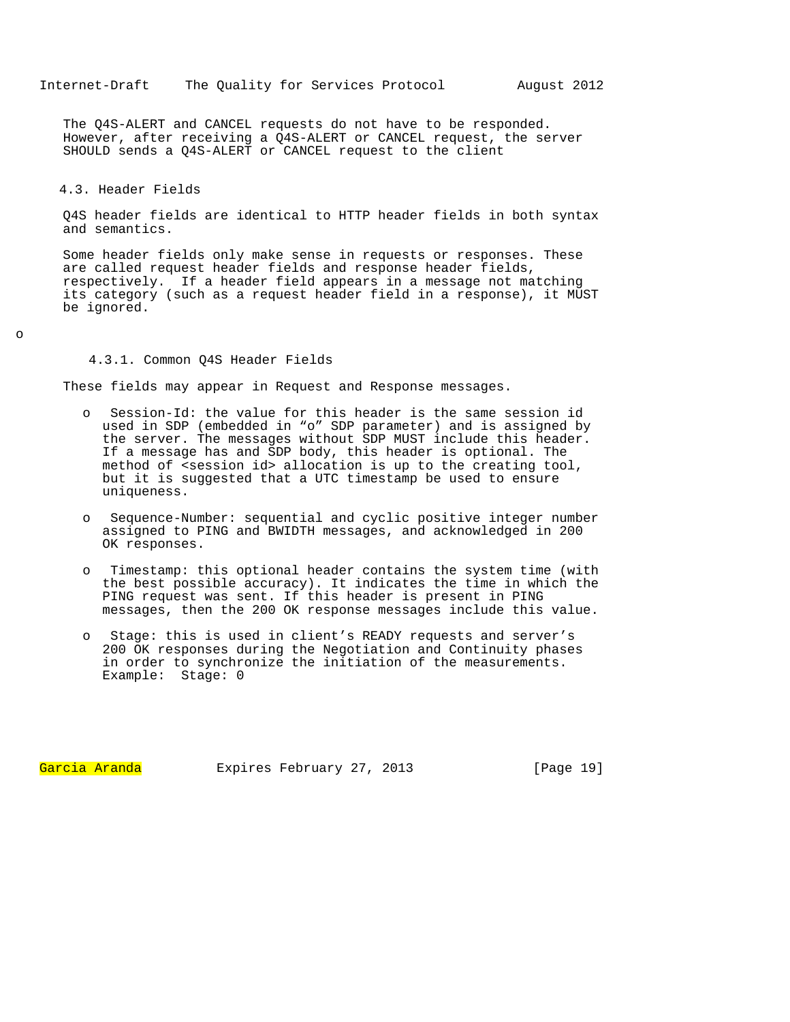The Q4S-ALERT and CANCEL requests do not have to be responded. However, after receiving a Q4S-ALERT or CANCEL request, the server SHOULD sends a Q4S-ALERT or CANCEL request to the client

### 4.3. Header Fields

Q4S header fields are identical to HTTP header fields in both syntax and semantics.

Some header fields only make sense in requests or responses. These are called request header fields and response header fields, respectively. If a header field appears in a message not matching its category (such as a request header field in a response), it MUST be ignored.

o

## 4.3.1. Common Q4S Header Fields

These fields may appear in Request and Response messages.

- o Session-Id: the value for this header is the same session id used in SDP (embedded in "o" SDP parameter) and is assigned by the server. The messages without SDP MUST include this header. If a message has and SDP body, this header is optional. The method of <session id> allocation is up to the creating tool, but it is suggested that a UTC timestamp be used to ensure uniqueness.
- o Sequence-Number: sequential and cyclic positive integer number assigned to PING and BWIDTH messages, and acknowledged in 200 OK responses.
- Timestamp: this optional header contains the system time (with the best possible accuracy). It indicates the time in which the PING request was sent. If this header is present in PING messages, then the 200 OK response messages include this value.
- Stage: this is used in client's READY requests and server's 200 OK responses during the Negotiation and Continuity phases in order to synchronize the initiation of the measurements. Example: Stage: 0

Garcia Aranda Expires February 27, 2013 [Page 19]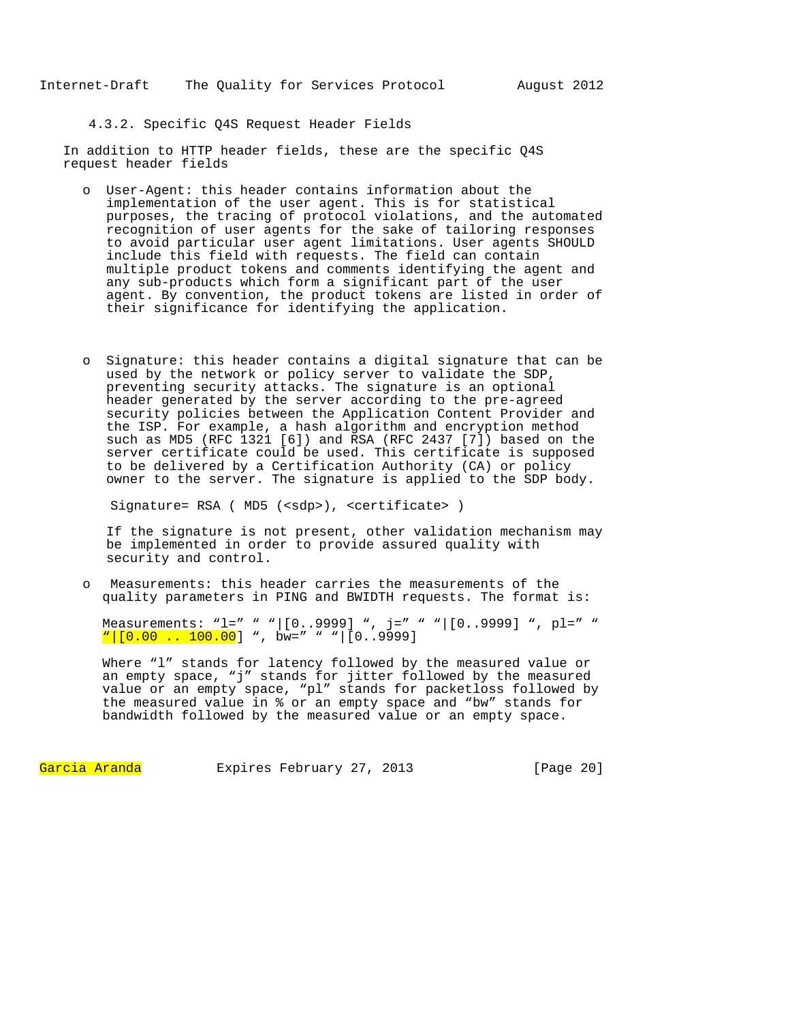4.3.2. Specific Q4S Request Header Fields

In addition to HTTP header fields, these are the specific Q4S request header fields

- o User-Agent: this header contains information about the implementation of the user agent. This is for statistical purposes, the tracing of protocol violations, and the automated recognition of user agents for the sake of tailoring responses to avoid particular user agent limitations. User agents SHOULD include this field with requests. The field can contain multiple product tokens and comments identifying the agent and any sub-products which form a significant part of the user agent. By convention, the product tokens are listed in order of their significance for identifying the application.
- o Signature: this header contains a digital signature that can be used by the network or policy server to validate the SDP, preventing security attacks. The signature is an optional header generated by the server according to the pre-agreed security policies between the Application Content Provider and the ISP. For example, a hash algorithm and encryption method such as MD5 (RFC  $\overline{1}321$  [6]) and RSA (RFC 2437 [7]) based on the server certificate could be used. This certificate is supposed to be delivered by a Certification Authority (CA) or policy owner to the server. The signature is applied to the SDP body.

Signature= RSA ( MD5 (<sdp>), <certificate> )

If the signature is not present, other validation mechanism may be implemented in order to provide assured quality with security and control.

o Measurements: this header carries the measurements of the quality parameters in PING and BWIDTH requests. The format is:

Measurements: "l=" " "|[0..9999] ", j=" " "|[0..9999] ", pl=" " <mark>"|[0.00 .. 100.00</mark>] ", bw=" " "|[0..9999]

Where "1" stands for latency followed by the measured value or an empty space, "j" stands for jitter followed by the measured value or an empty space, "pl" stands for packetloss followed by the measured value in % or an empty space and "bw" stands for bandwidth followed by the measured value or an empty space.

Garcia Aranda Expires February 27, 2013 [Page 20]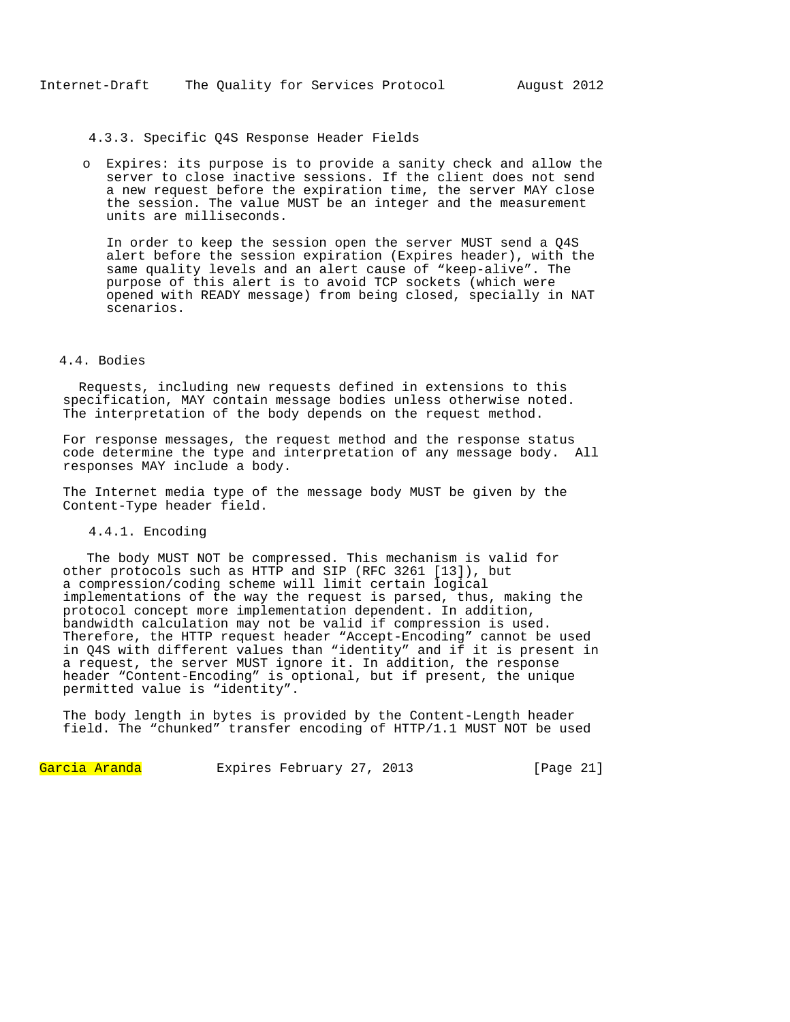## 4.3.3. Specific Q4S Response Header Fields

o Expires: its purpose is to provide a sanity check and allow the server to close inactive sessions. If the client does not send a new request before the expiration time, the server MAY close the session. The value MUST be an integer and the measurement units are milliseconds.

In order to keep the session open the server MUST send a Q4S alert before the session expiration (Expires header), with the same quality levels and an alert cause of "keep-alive". The purpose of this alert is to avoid TCP sockets (which were opened with READY message) from being closed, specially in NAT scenarios.

# 4.4. Bodies

 Requests, including new requests defined in extensions to this specification, MAY contain message bodies unless otherwise noted. The interpretation of the body depends on the request method.

For response messages, the request method and the response status code determine the type and interpretation of any message body. All responses MAY include a body.

The Internet media type of the message body MUST be given by the Content-Type header field.

# 4.4.1. Encoding

 The body MUST NOT be compressed. This mechanism is valid for other protocols such as HTTP and SIP (RFC 3261 [13]), but a compression/coding scheme will limit certain logical implementations of the way the request is parsed, thus, making the protocol concept more implementation dependent. In addition, bandwidth calculation may not be valid if compression is used. Therefore, the HTTP request header "Accept-Encoding" cannot be used in Q4S with different values than "identity" and if it is present in a request, the server MUST ignore it. In addition, the response header "Content-Encoding" is optional, but if present, the unique permitted value is "identity".

The body length in bytes is provided by the Content-Length header field. The "chunked" transfer encoding of HTTP/1.1 MUST NOT be used

Garcia Aranda Expires February 27, 2013 [Page 21]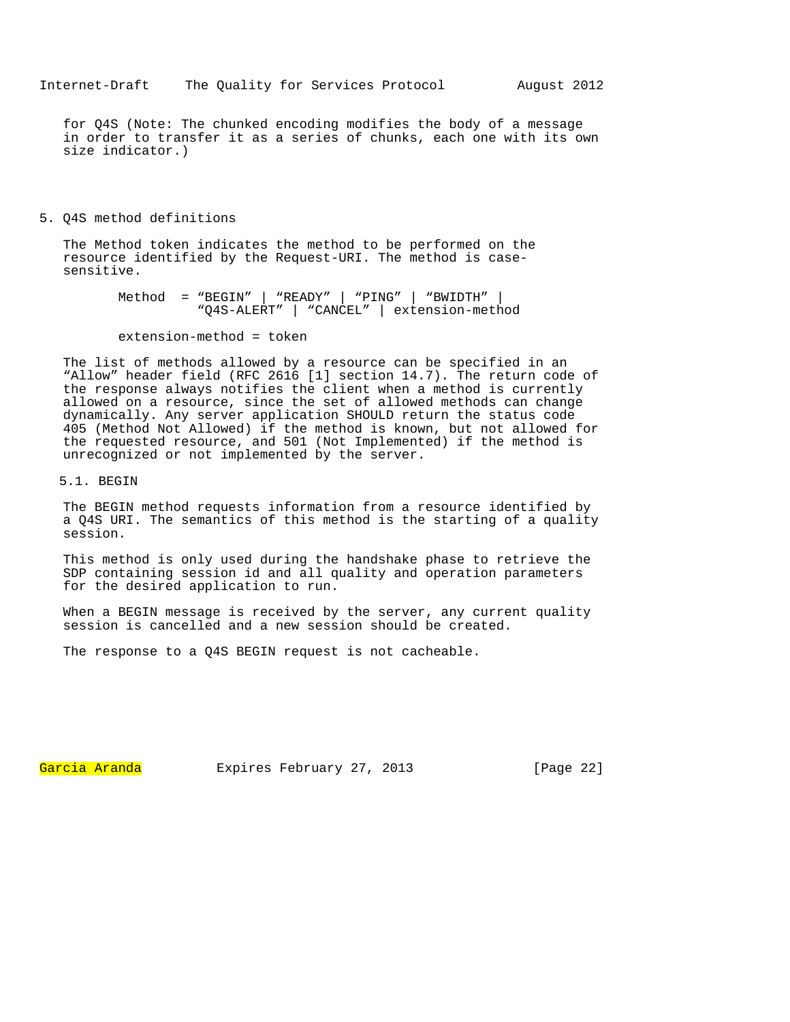for Q4S (Note: The chunked encoding modifies the body of a message in order to transfer it as a series of chunks, each one with its own size indicator.)

5. Q4S method definitions

The Method token indicates the method to be performed on the resource identified by the Request-URI. The method is casesensitive.

> Method = "BEGIN" | "READY" | "PING" | "BWIDTH" | "Q4S-ALERT" | "CANCEL" | extension-method

extension-method = token

The list of methods allowed by a resource can be specified in an "Allow" header field (RFC 2616 [1] section 14.7). The return code of the response always notifies the client when a method is currently allowed on a resource, since the set of allowed methods can change dynamically. Any server application SHOULD return the status code 405 (Method Not Allowed) if the method is known, but not allowed for the requested resource, and 501 (Not Implemented) if the method is unrecognized or not implemented by the server.

5.1. BEGIN

The BEGIN method requests information from a resource identified by a Q4S URI. The semantics of this method is the starting of a quality session.

This method is only used during the handshake phase to retrieve the SDP containing session id and all quality and operation parameters for the desired application to run.

When a BEGIN message is received by the server, any current quality session is cancelled and a new session should be created.

The response to a Q4S BEGIN request is not cacheable.

Garcia Aranda Expires February 27, 2013 [Page 22]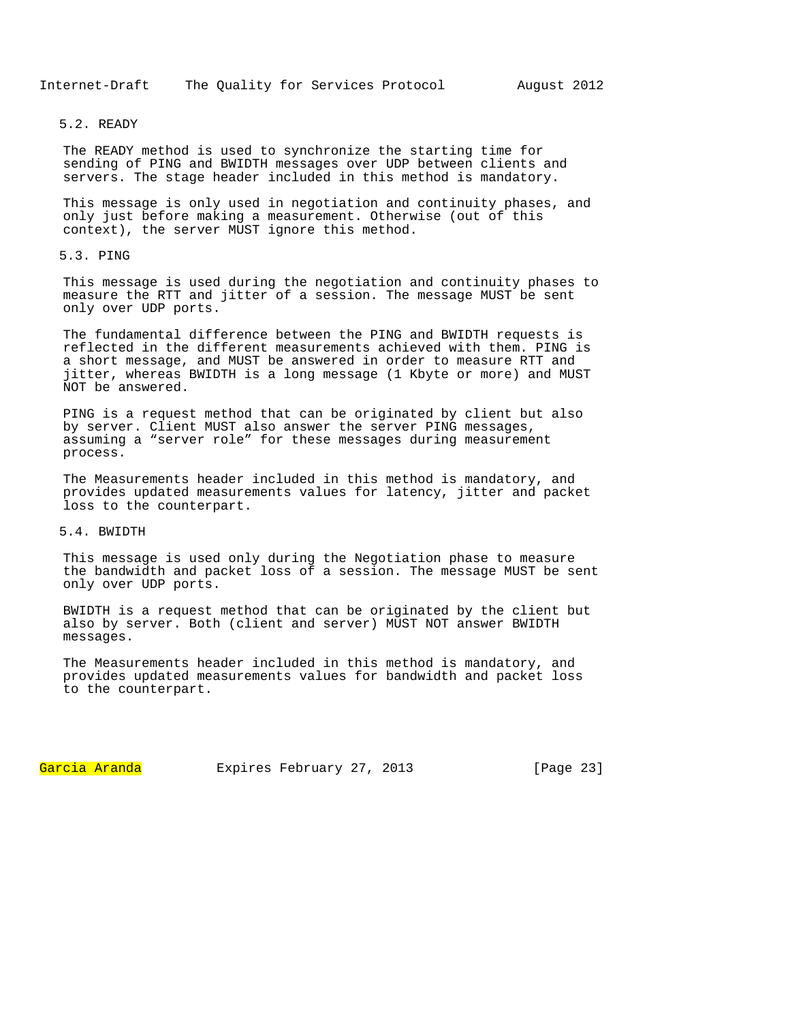## 5.2. READY

The READY method is used to synchronize the starting time for sending of PING and BWIDTH messages over UDP between clients and servers. The stage header included in this method is mandatory.

This message is only used in negotiation and continuity phases, and only just before making a measurement. Otherwise (out of this context), the server MUST ignore this method.

# 5.3. PING

This message is used during the negotiation and continuity phases to measure the RTT and jitter of a session. The message MUST be sent only over UDP ports.

The fundamental difference between the PING and BWIDTH requests is reflected in the different measurements achieved with them. PING is a short message, and MUST be answered in order to measure RTT and jitter, whereas BWIDTH is a long message (1 Kbyte or more) and MUST NOT be answered.

PING is a request method that can be originated by client but also by server. Client MUST also answer the server PING messages, assuming a "server role" for these messages during measurement process.

The Measurements header included in this method is mandatory, and provides updated measurements values for latency, jitter and packet loss to the counterpart.

# 5.4. BWIDTH

This message is used only during the Negotiation phase to measure the bandwidth and packet loss of a session. The message MUST be sent only over UDP ports.

BWIDTH is a request method that can be originated by the client but also by server. Both (client and server) MUST NOT answer BWIDTH messages.

The Measurements header included in this method is mandatory, and provides updated measurements values for bandwidth and packet loss to the counterpart.

Garcia Aranda Expires February 27, 2013 [Page 23]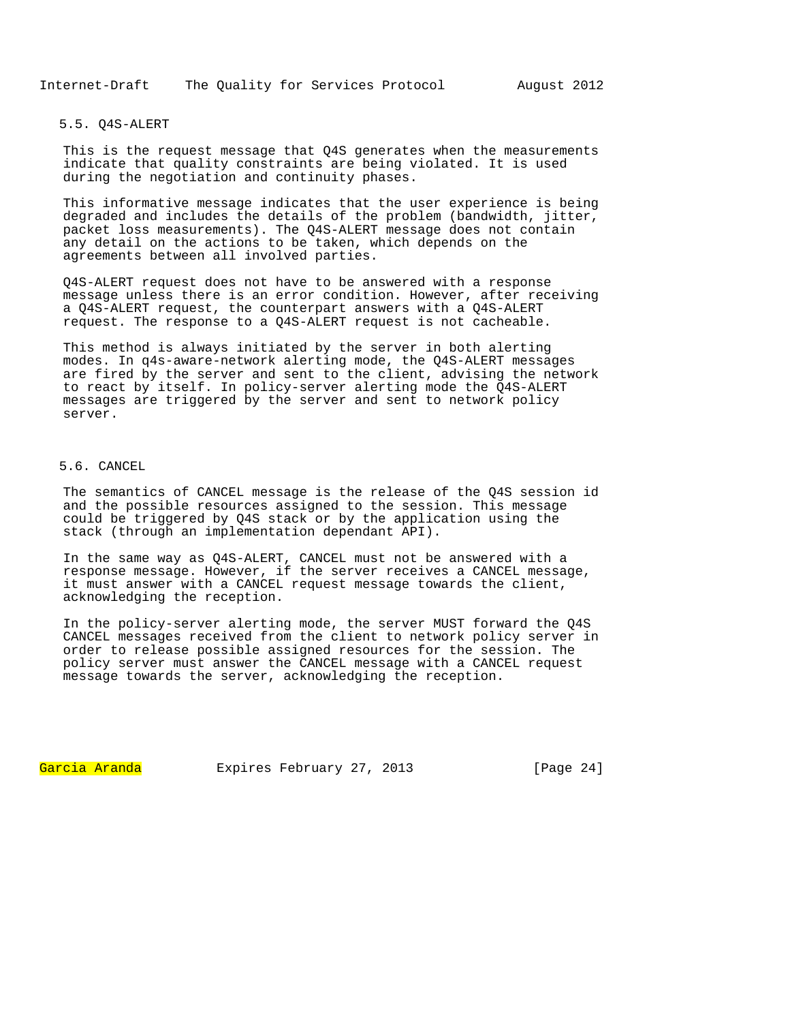Internet-Draft The Quality for Services Protocol August 2012

### 5.5. Q4S-ALERT

This is the request message that Q4S generates when the measurements indicate that quality constraints are being violated. It is used during the negotiation and continuity phases.

This informative message indicates that the user experience is being degraded and includes the details of the problem (bandwidth, jitter, packet loss measurements). The Q4S-ALERT message does not contain any detail on the actions to be taken, which depends on the agreements between all involved parties.

Q4S-ALERT request does not have to be answered with a response message unless there is an error condition. However, after receiving a Q4S-ALERT request, the counterpart answers with a Q4S-ALERT request. The response to a Q4S-ALERT request is not cacheable.

This method is always initiated by the server in both alerting modes. In q4s-aware-network alerting mode, the Q4S-ALERT messages are fired by the server and sent to the client, advising the network to react by itself. In policy-server alerting mode the Q4S-ALERT messages are triggered by the server and sent to network policy server.

## 5.6. CANCEL

The semantics of CANCEL message is the release of the Q4S session id and the possible resources assigned to the session. This message could be triggered by Q4S stack or by the application using the stack (through an implementation dependant API).

In the same way as Q4S-ALERT, CANCEL must not be answered with a response message. However, if the server receives a CANCEL message, it must answer with a CANCEL request message towards the client, acknowledging the reception.

In the policy-server alerting mode, the server MUST forward the Q4S CANCEL messages received from the client to network policy server in order to release possible assigned resources for the session. The policy server must answer the CANCEL message with a CANCEL request message towards the server, acknowledging the reception.

Garcia Aranda Expires February 27, 2013 [Page 24]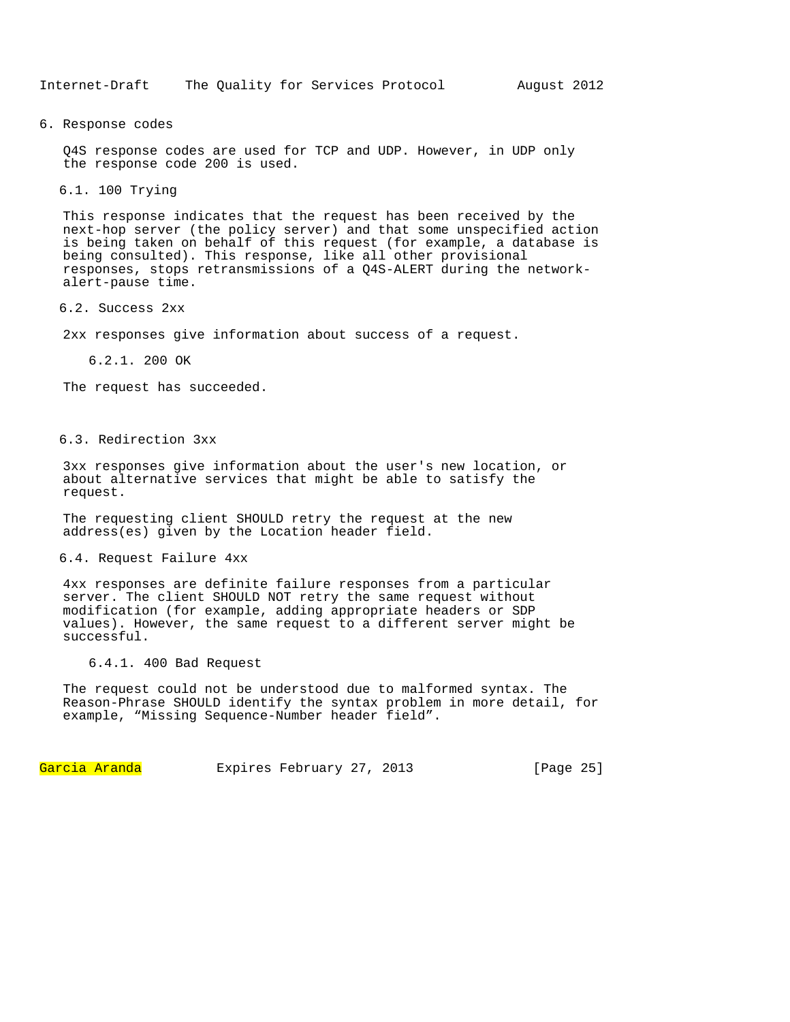#### 6. Response codes

Q4S response codes are used for TCP and UDP. However, in UDP only the response code 200 is used.

6.1. 100 Trying

This response indicates that the request has been received by the next-hop server (the policy server) and that some unspecified action is being taken on behalf of this request (for example, a database is being consulted). This response, like all other provisional responses, stops retransmissions of a Q4S-ALERT during the networkalert-pause time.

### 6.2. Success 2xx

2xx responses give information about success of a request.

6.2.1. 200 OK

The request has succeeded.

# 6.3. Redirection 3xx

3xx responses give information about the user's new location, or about alternative services that might be able to satisfy the request.

The requesting client SHOULD retry the request at the new address(es) given by the Location header field.

## 6.4. Request Failure 4xx

4xx responses are definite failure responses from a particular server. The client SHOULD NOT retry the same request without modification (for example, adding appropriate headers or SDP values). However, the same request to a different server might be successful.

#### 6.4.1. 400 Bad Request

The request could not be understood due to malformed syntax. The Reason-Phrase SHOULD identify the syntax problem in more detail, for example, "Missing Sequence-Number header field".

Garcia Aranda Expires February 27, 2013 [Page 25]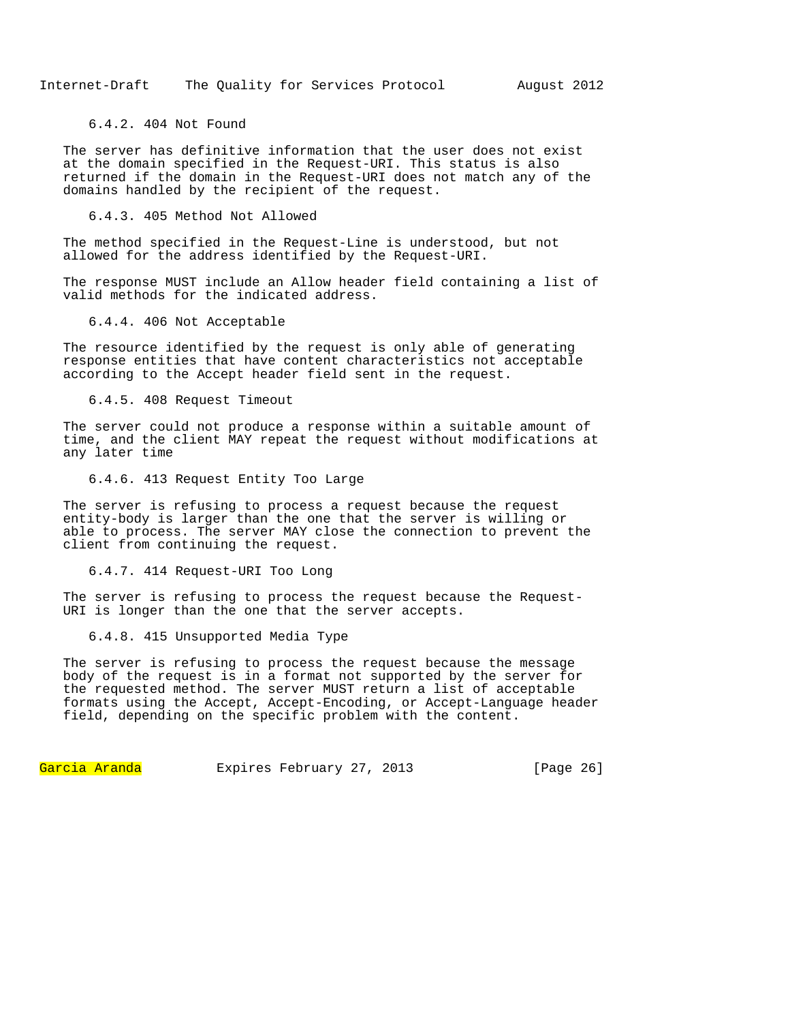6.4.2. 404 Not Found

The server has definitive information that the user does not exist at the domain specified in the Request-URI. This status is also returned if the domain in the Request-URI does not match any of the domains handled by the recipient of the request.

6.4.3. 405 Method Not Allowed

The method specified in the Request-Line is understood, but not allowed for the address identified by the Request-URI.

The response MUST include an Allow header field containing a list of valid methods for the indicated address.

6.4.4. 406 Not Acceptable

The resource identified by the request is only able of generating response entities that have content characteristics not acceptable according to the Accept header field sent in the request.

6.4.5. 408 Request Timeout

The server could not produce a response within a suitable amount of time, and the client MAY repeat the request without modifications at any later time

6.4.6. 413 Request Entity Too Large

The server is refusing to process a request because the request entity-body is larger than the one that the server is willing or able to process. The server MAY close the connection to prevent the client from continuing the request.

6.4.7. 414 Request-URI Too Long

The server is refusing to process the request because the Request-URI is longer than the one that the server accepts.

6.4.8. 415 Unsupported Media Type

The server is refusing to process the request because the message body of the request is in a format not supported by the server for the requested method. The server MUST return a list of acceptable formats using the Accept, Accept-Encoding, or Accept-Language header field, depending on the specific problem with the content.

Garcia Aranda Expires February 27, 2013 [Page 26]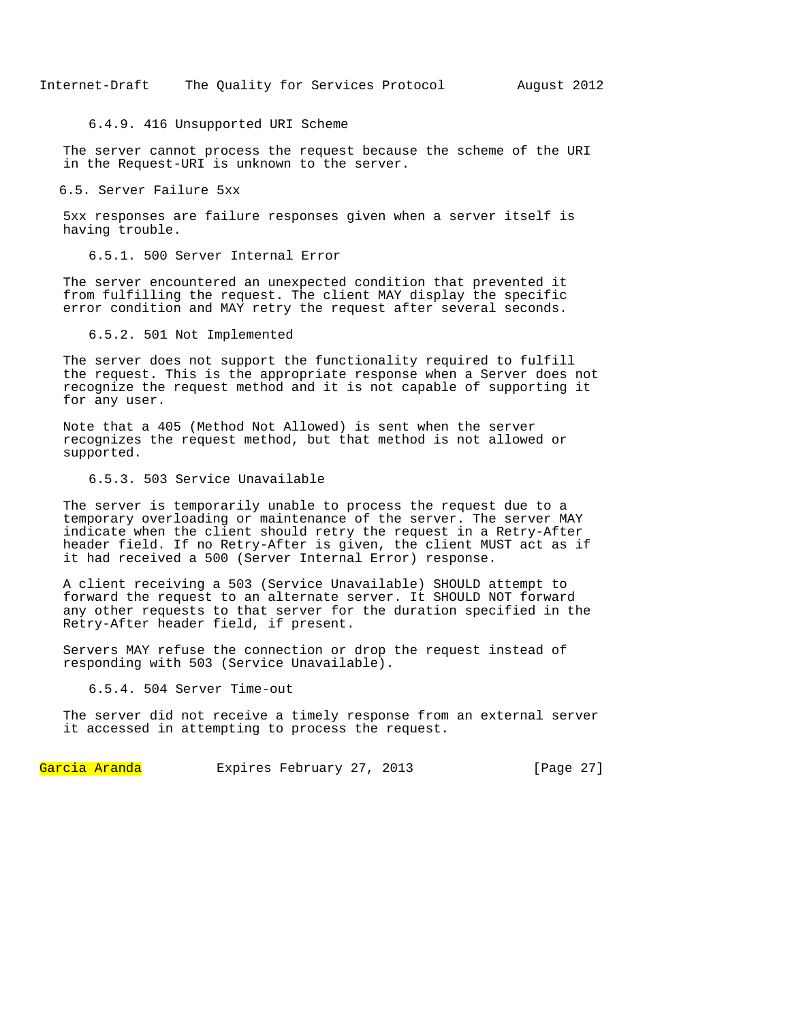## 6.4.9. 416 Unsupported URI Scheme

The server cannot process the request because the scheme of the URI in the Request-URI is unknown to the server.

### 6.5. Server Failure 5xx

5xx responses are failure responses given when a server itself is having trouble.

# 6.5.1. 500 Server Internal Error

The server encountered an unexpected condition that prevented it from fulfilling the request. The client MAY display the specific error condition and MAY retry the request after several seconds.

## 6.5.2. 501 Not Implemented

The server does not support the functionality required to fulfill the request. This is the appropriate response when a Server does not recognize the request method and it is not capable of supporting it for any user.

Note that a 405 (Method Not Allowed) is sent when the server recognizes the request method, but that method is not allowed or supported.

#### 6.5.3. 503 Service Unavailable

The server is temporarily unable to process the request due to a temporary overloading or maintenance of the server. The server MAY indicate when the client should retry the request in a Retry-After header field. If no Retry-After is given, the client MUST act as if it had received a 500 (Server Internal Error) response.

A client receiving a 503 (Service Unavailable) SHOULD attempt to forward the request to an alternate server. It SHOULD NOT forward any other requests to that server for the duration specified in the Retry-After header field, if present.

Servers MAY refuse the connection or drop the request instead of responding with 503 (Service Unavailable).

# 6.5.4. 504 Server Time-out

The server did not receive a timely response from an external server it accessed in attempting to process the request.

Garcia Aranda Expires February 27, 2013 [Page 27]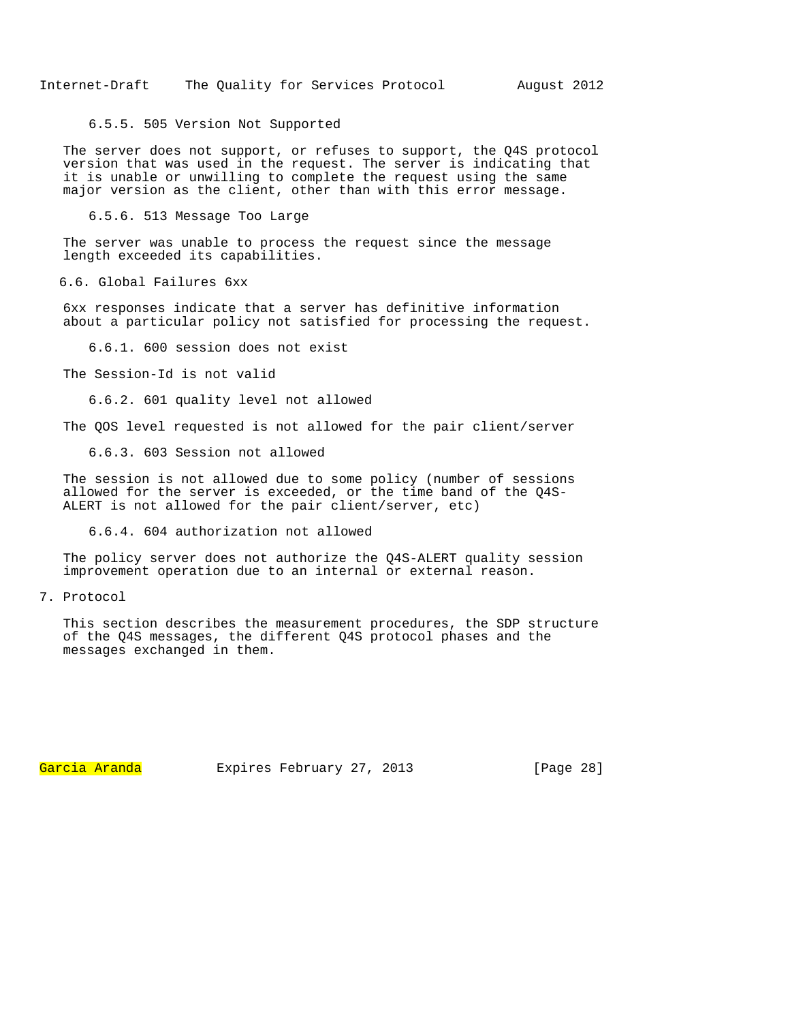6.5.5. 505 Version Not Supported

The server does not support, or refuses to support, the Q4S protocol version that was used in the request. The server is indicating that it is unable or unwilling to complete the request using the same major version as the client, other than with this error message.

6.5.6. 513 Message Too Large

The server was unable to process the request since the message length exceeded its capabilities.

6.6. Global Failures 6xx

6xx responses indicate that a server has definitive information about a particular policy not satisfied for processing the request.

6.6.1. 600 session does not exist

The Session-Id is not valid

6.6.2. 601 quality level not allowed

The QOS level requested is not allowed for the pair client/server

6.6.3. 603 Session not allowed

The session is not allowed due to some policy (number of sessions allowed for the server is exceeded, or the time band of the Q4S-ALERT is not allowed for the pair client/server, etc)

6.6.4. 604 authorization not allowed

The policy server does not authorize the Q4S-ALERT quality session improvement operation due to an internal or external reason.

7. Protocol

This section describes the measurement procedures, the SDP structure of the Q4S messages, the different Q4S protocol phases and the messages exchanged in them.

Garcia Aranda Expires February 27, 2013 [Page 28]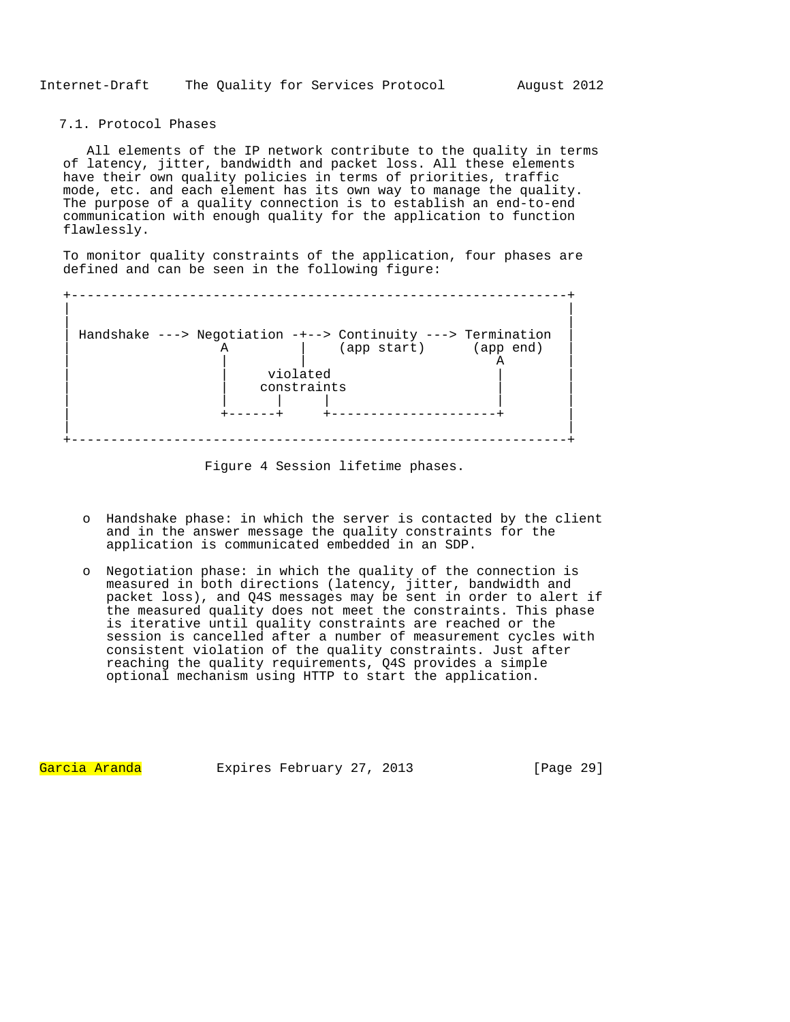# 7.1. Protocol Phases

 All elements of the IP network contribute to the quality in terms of latency, jitter, bandwidth and packet loss. All these elements have their own quality policies in terms of priorities, traffic mode, etc. and each element has its own way to manage the quality. The purpose of a quality connection is to establish an end-to-end communication with enough quality for the application to function flawlessly.

To monitor quality constraints of the application, four phases are defined and can be seen in the following figure:



Figure 4 Session lifetime phases.

- o Handshake phase: in which the server is contacted by the client and in the answer message the quality constraints for the application is communicated embedded in an SDP.
- o Negotiation phase: in which the quality of the connection is measured in both directions (latency, jitter, bandwidth and packet loss), and Q4S messages may be sent in order to alert if the measured quality does not meet the constraints. This phase is iterative until quality constraints are reached or the session is cancelled after a number of measurement cycles with consistent violation of the quality constraints. Just after reaching the quality requirements, Q4S provides a simple optional mechanism using HTTP to start the application.

Garcia Aranda Expires February 27, 2013 [Page 29]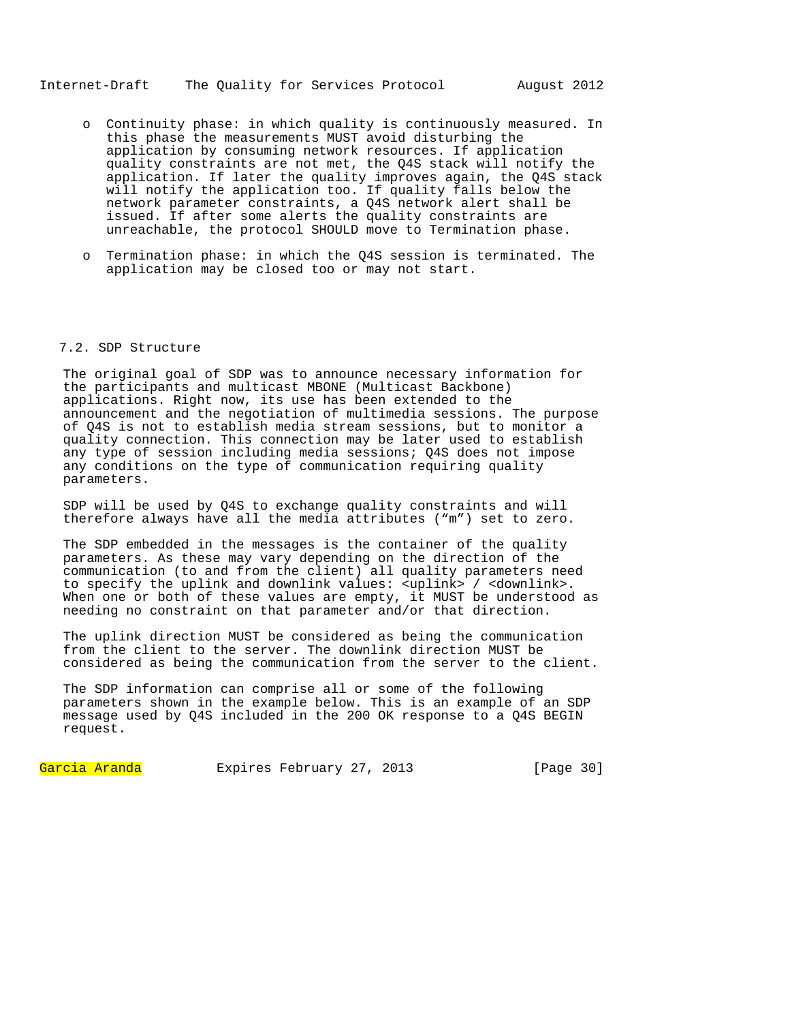## Internet-Draft The Quality for Services Protocol August 2012

- o Continuity phase: in which quality is continuously measured. In this phase the measurements MUST avoid disturbing the application by consuming network resources. If application quality constraints are not met, the Q4S stack will notify the application. If later the quality improves again, the Q4S stack will notify the application too. If quality falls below the network parameter constraints, a Q4S network alert shall be issued. If after some alerts the quality constraints are unreachable, the protocol SHOULD move to Termination phase.
- o Termination phase: in which the Q4S session is terminated. The application may be closed too or may not start.

# 7.2. SDP Structure

The original goal of SDP was to announce necessary information for the participants and multicast MBONE (Multicast Backbone) applications. Right now, its use has been extended to the announcement and the negotiation of multimedia sessions. The purpose of Q4S is not to establish media stream sessions, but to monitor a quality connection. This connection may be later used to establish any type of session including media sessions; Q4S does not impose any conditions on the type of communication requiring quality parameters.

SDP will be used by Q4S to exchange quality constraints and will therefore always have all the media attributes ("m") set to zero.

The SDP embedded in the messages is the container of the quality parameters. As these may vary depending on the direction of the communication (to and from the client) all quality parameters need to specify the uplink and downlink values:  $\frac{1}{2}$  / <downlink>. When one or both of these values are empty, it MUST be understood as needing no constraint on that parameter and/or that direction.

The uplink direction MUST be considered as being the communication from the client to the server. The downlink direction MUST be considered as being the communication from the server to the client.

The SDP information can comprise all or some of the following parameters shown in the example below. This is an example of an SDP message used by Q4S included in the 200 OK response to a Q4S BEGIN request.

Garcia Aranda Expires February 27, 2013 [Page 30]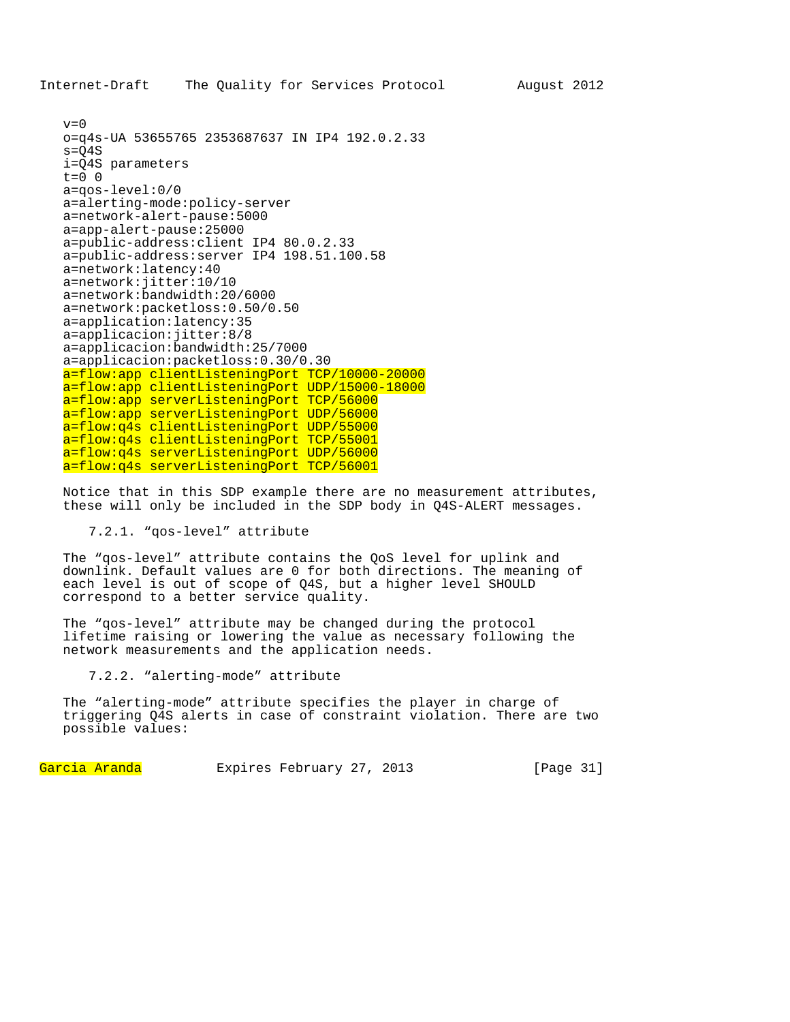```
v=0o=q4s-UA 53655765 2353687637 IN IP4 192.0.2.33 
s = Q4Si=Q4S parameters 
t=0 0
a=qos-level:0/0 
a=alerting-mode:policy-server 
a=network-alert-pause:5000 
a=app-alert-pause:25000 
a=public-address:client IP4 80.0.2.33 
a=public-address:server IP4 198.51.100.58 
a=network:latency:40 
a=network:jitter:10/10 
a=network:bandwidth:20/6000 
a=network:packetloss:0.50/0.50 
a=application:latency:35 
a=applicacion:jitter:8/8 
a=applicacion:bandwidth:25/7000 
a=applicacion:packetloss:0.30/0.30 
a=flow:app clientListeningPort TCP/10000-20000 
a=flow:app clientListeningPort UDP/15000-18000
a=flow:app serverListeningPort TCP/56000
a=flow:app serverListeningPort UDP/56000 
a=flow:q4s clientListeningPort UDP/55000 
a=flow:q4s clientListeningPort TCP/55001 
a=flow:q4s serverListeningPort UDP/56000 
a=flow:q4s serverListeningPort TCP/56001
```
Notice that in this SDP example there are no measurement attributes, these will only be included in the SDP body in Q4S-ALERT messages.

# 7.2.1. "qos-level" attribute

The "qos-level" attribute contains the QoS level for uplink and downlink. Default values are 0 for both directions. The meaning of each level is out of scope of Q4S, but a higher level SHOULD correspond to a better service quality.

The "qos-level" attribute may be changed during the protocol lifetime raising or lowering the value as necessary following the network measurements and the application needs.

7.2.2. "alerting-mode" attribute

The "alerting-mode" attribute specifies the player in charge of triggering Q4S alerts in case of constraint violation. There are two possible values:

Garcia Aranda Expires February 27, 2013 [Page 31]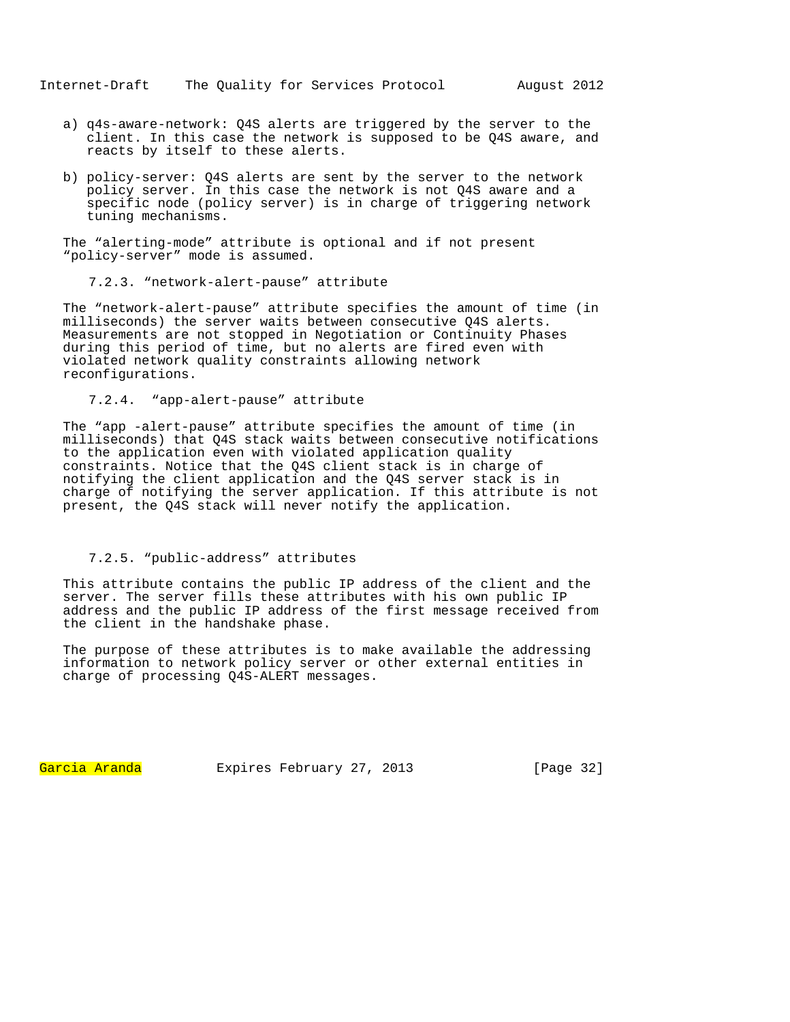- a) q4s-aware-network: Q4S alerts are triggered by the server to the client. In this case the network is supposed to be Q4S aware, and reacts by itself to these alerts.
- b) policy-server: Q4S alerts are sent by the server to the network policy server. In this case the network is not Q4S aware and a specific node (policy server) is in charge of triggering network tuning mechanisms.

The "alerting-mode" attribute is optional and if not present "policy-server" mode is assumed.

7.2.3. "network-alert-pause" attribute

The "network-alert-pause" attribute specifies the amount of time (in milliseconds) the server waits between consecutive Q4S alerts. Measurements are not stopped in Negotiation or Continuity Phases during this period of time, but no alerts are fired even with violated network quality constraints allowing network reconfigurations.

7.2.4. "app-alert-pause" attribute

The "app -alert-pause" attribute specifies the amount of time (in milliseconds) that Q4S stack waits between consecutive notifications to the application even with violated application quality constraints. Notice that the Q4S client stack is in charge of notifying the client application and the Q4S server stack is in charge of notifying the server application. If this attribute is not present, the Q4S stack will never notify the application.

### 7.2.5. "public-address" attributes

This attribute contains the public IP address of the client and the server. The server fills these attributes with his own public IP address and the public IP address of the first message received from the client in the handshake phase.

The purpose of these attributes is to make available the addressing information to network policy server or other external entities in charge of processing Q4S-ALERT messages.

Garcia Aranda Expires February 27, 2013 [Page 32]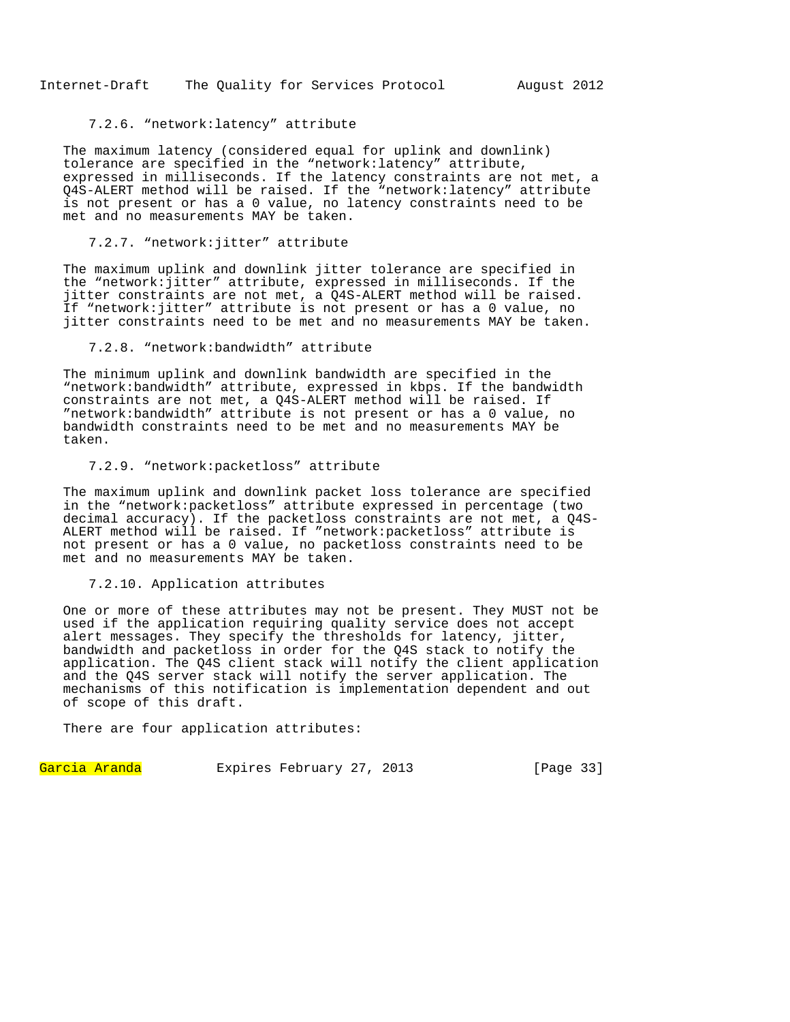### 7.2.6. "network:latency" attribute

The maximum latency (considered equal for uplink and downlink) tolerance are specified in the "network:latency" attribute, expressed in milliseconds. If the latency constraints are not met, a Q4S-ALERT method will be raised. If the "network:latency" attribute is not present or has a 0 value, no latency constraints need to be met and no measurements MAY be taken.

### 7.2.7. "network:jitter" attribute

The maximum uplink and downlink jitter tolerance are specified in the "network:jitter" attribute, expressed in milliseconds. If the jitter constraints are not met, a Q4S-ALERT method will be raised. If "network:jitter" attribute is not present or has a 0 value, no jitter constraints need to be met and no measurements MAY be taken.

# 7.2.8. "network:bandwidth" attribute

The minimum uplink and downlink bandwidth are specified in the "network:bandwidth" attribute, expressed in kbps. If the bandwidth constraints are not met, a Q4S-ALERT method will be raised. If "network:bandwidth" attribute is not present or has a 0 value, no bandwidth constraints need to be met and no measurements MAY be taken.

## 7.2.9. "network:packetloss" attribute

The maximum uplink and downlink packet loss tolerance are specified in the "network:packetloss" attribute expressed in percentage (two decimal accuracy). If the packetloss constraints are not met, a Q4S-ALERT method will be raised. If "network:packetloss" attribute is not present or has a 0 value, no packetloss constraints need to be met and no measurements MAY be taken.

### 7.2.10. Application attributes

One or more of these attributes may not be present. They MUST not be used if the application requiring quality service does not accept alert messages. They specify the thresholds for latency, jitter, bandwidth and packetloss in order for the Q4S stack to notify the application. The Q4S client stack will notify the client application and the Q4S server stack will notify the server application. The mechanisms of this notification is implementation dependent and out of scope of this draft.

There are four application attributes:

Garcia Aranda Expires February 27, 2013 [Page 33]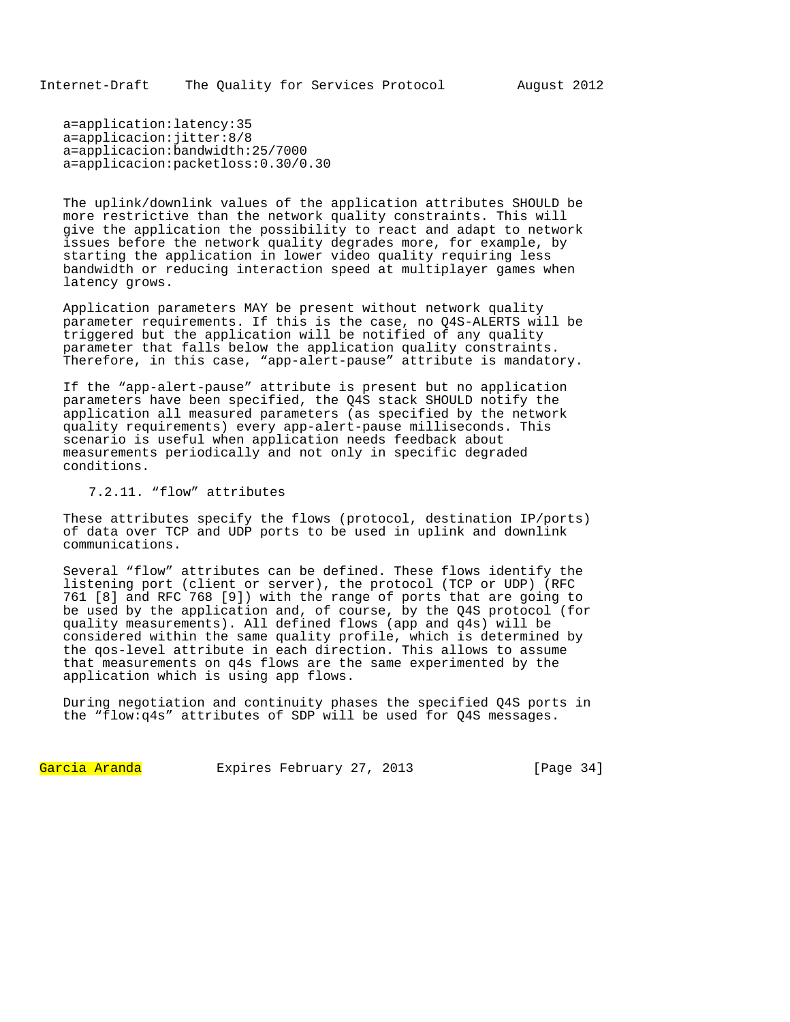a=application:latency:35 a=applicacion:jitter:8/8 a=applicacion:bandwidth:25/7000 a=applicacion:packetloss:0.30/0.30

The uplink/downlink values of the application attributes SHOULD be more restrictive than the network quality constraints. This will give the application the possibility to react and adapt to network issues before the network quality degrades more, for example, by starting the application in lower video quality requiring less bandwidth or reducing interaction speed at multiplayer games when latency grows.

Application parameters MAY be present without network quality parameter requirements. If this is the case, no Q4S-ALERTS will be triggered but the application will be notified of any quality parameter that falls below the application quality constraints. Therefore, in this case, "app-alert-pause" attribute is mandatory.

If the "app-alert-pause" attribute is present but no application parameters have been specified, the Q4S stack SHOULD notify the application all measured parameters (as specified by the network quality requirements) every app-alert-pause milliseconds. This scenario is useful when application needs feedback about measurements periodically and not only in specific degraded conditions.

7.2.11. "flow" attributes

These attributes specify the flows (protocol, destination IP/ports) of data over TCP and UDP ports to be used in uplink and downlink communications.

Several "flow" attributes can be defined. These flows identify the listening port (client or server), the protocol (TCP or UDP) (RFC 761 [8] and RFC 768 [9]) with the range of ports that are going to be used by the application and, of course, by the Q4S protocol (for quality measurements). All defined flows (app and q4s) will be considered within the same quality profile, which is determined by the qos-level attribute in each direction. This allows to assume that measurements on q4s flows are the same experimented by the application which is using app flows.

During negotiation and continuity phases the specified Q4S ports in the "flow:q4s" attributes of SDP will be used for Q4S messages.

Garcia Aranda Expires February 27, 2013 [Page 34]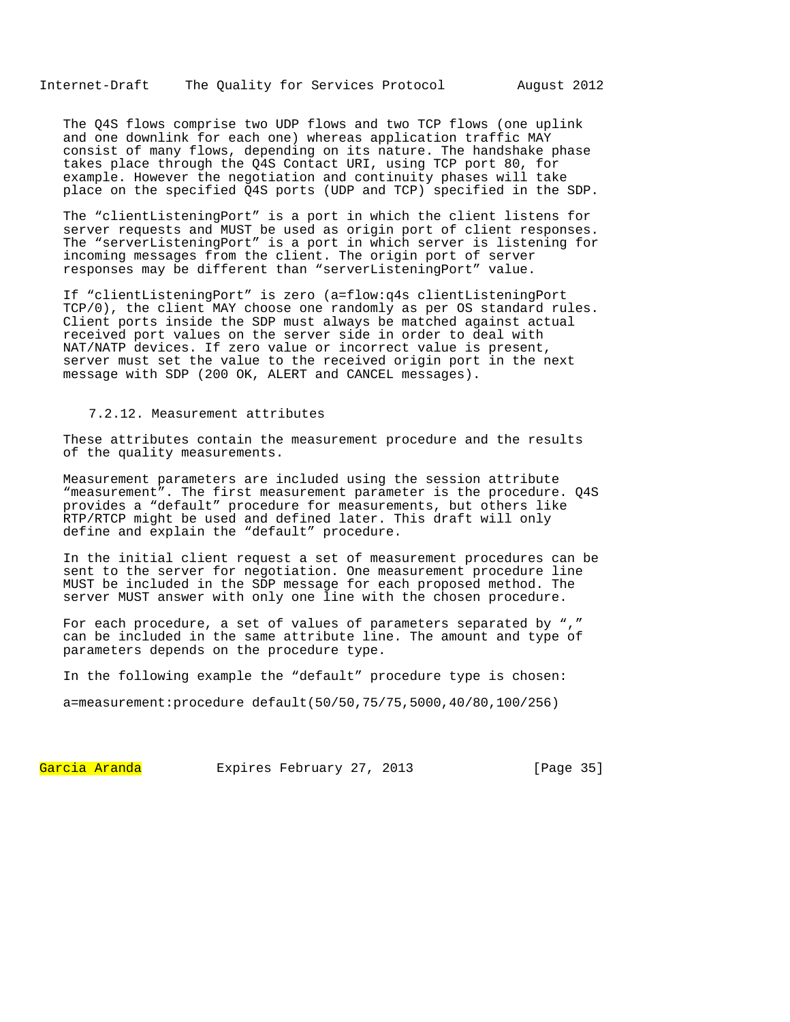Internet-Draft The Quality for Services Protocol August 2012

The Q4S flows comprise two UDP flows and two TCP flows (one uplink and one downlink for each one) whereas application traffic MAY consist of many flows, depending on its nature. The handshake phase takes place through the Q4S Contact URI, using TCP port 80, for example. However the negotiation and continuity phases will take place on the specified Q4S ports (UDP and TCP) specified in the SDP.

The "clientListeningPort" is a port in which the client listens for server requests and MUST be used as origin port of client responses. The "serverListeningPort" is a port in which server is listening for incoming messages from the client. The origin port of server responses may be different than "serverListeningPort" value.

If "clientListeningPort" is zero (a=flow:q4s clientListeningPort TCP/0), the client MAY choose one randomly as per OS standard rules. Client ports inside the SDP must always be matched against actual received port values on the server side in order to deal with NAT/NATP devices. If zero value or incorrect value is present, server must set the value to the received origin port in the next message with SDP (200 OK, ALERT and CANCEL messages).

### 7.2.12. Measurement attributes

These attributes contain the measurement procedure and the results of the quality measurements.

Measurement parameters are included using the session attribute "measurement". The first measurement parameter is the procedure. Q4S provides a "default" procedure for measurements, but others like RTP/RTCP might be used and defined later. This draft will only define and explain the "default" procedure.

In the initial client request a set of measurement procedures can be sent to the server for negotiation. One measurement procedure line MUST be included in the SDP message for each proposed method. The server MUST answer with only one line with the chosen procedure.

For each procedure, a set of values of parameters separated by "," can be included in the same attribute line. The amount and type of parameters depends on the procedure type.

In the following example the "default" procedure type is chosen:

a=measurement:procedure default(50/50,75/75,5000,40/80,100/256)

Garcia Aranda Expires February 27, 2013 [Page 35]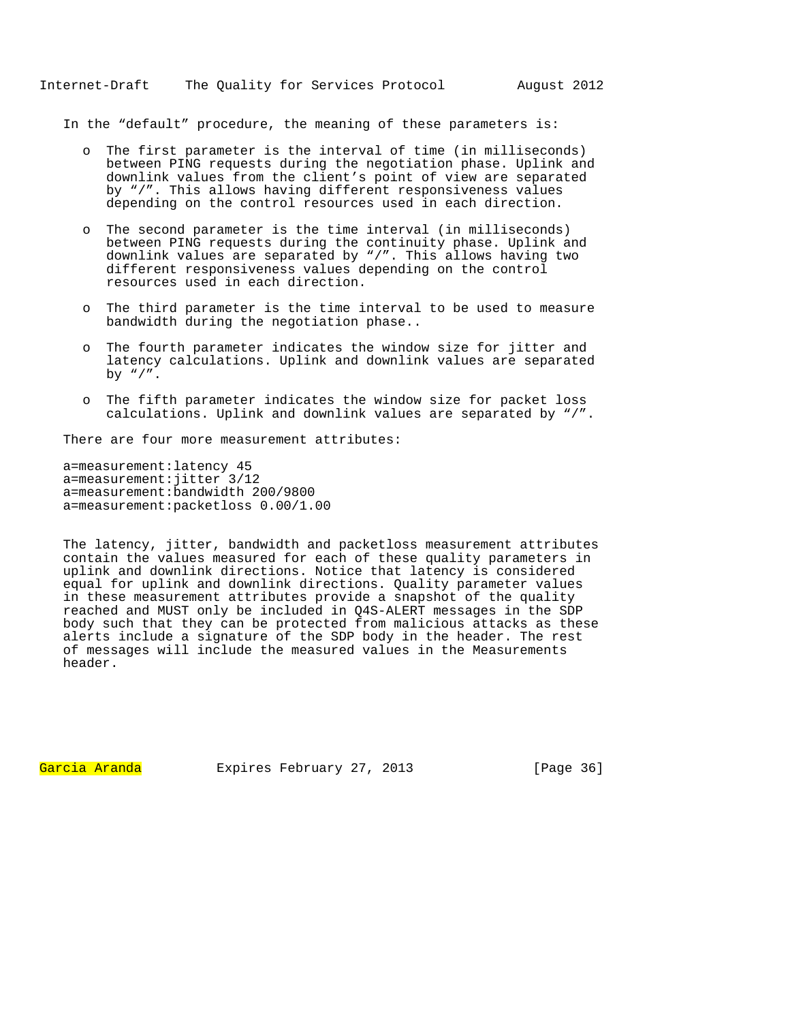In the "default" procedure, the meaning of these parameters is:

- o The first parameter is the interval of time (in milliseconds) between PING requests during the negotiation phase. Uplink and downlink values from the client's point of view are separated by "/". This allows having different responsiveness values depending on the control resources used in each direction.
- o The second parameter is the time interval (in milliseconds) between PING requests during the continuity phase. Uplink and downlink values are separated by "/". This allows having two different responsiveness values depending on the control resources used in each direction.
- o The third parameter is the time interval to be used to measure bandwidth during the negotiation phase..
- o The fourth parameter indicates the window size for jitter and latency calculations. Uplink and downlink values are separated by  $"\,$ /".
- o The fifth parameter indicates the window size for packet loss calculations. Uplink and downlink values are separated by "/".

There are four more measurement attributes:

a=measurement:latency 45 a=measurement:jitter 3/12 a=measurement:bandwidth 200/9800 a=measurement:packetloss 0.00/1.00

The latency, jitter, bandwidth and packetloss measurement attributes contain the values measured for each of these quality parameters in uplink and downlink directions. Notice that latency is considered equal for uplink and downlink directions. Quality parameter values in these measurement attributes provide a snapshot of the quality reached and MUST only be included in Q4S-ALERT messages in the SDP body such that they can be protected from malicious attacks as these alerts include a signature of the SDP body in the header. The rest of messages will include the measured values in the Measurements header.

Garcia Aranda Expires February 27, 2013 [Page 36]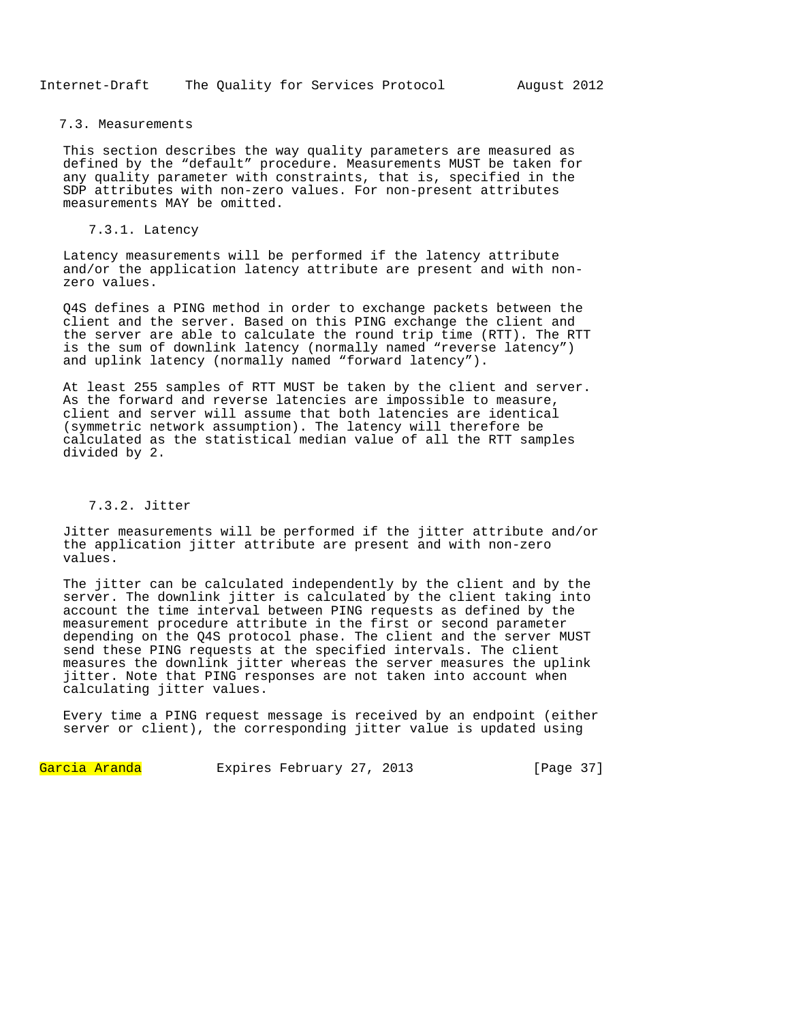#### 7.3. Measurements

This section describes the way quality parameters are measured as defined by the "default" procedure. Measurements MUST be taken for any quality parameter with constraints, that is, specified in the SDP attributes with non-zero values. For non-present attributes measurements MAY be omitted.

# 7.3.1. Latency

Latency measurements will be performed if the latency attribute and/or the application latency attribute are present and with nonzero values.

Q4S defines a PING method in order to exchange packets between the client and the server. Based on this PING exchange the client and the server are able to calculate the round trip time (RTT). The RTT is the sum of downlink latency (normally named "reverse latency") and uplink latency (normally named "forward latency").

At least 255 samples of RTT MUST be taken by the client and server. As the forward and reverse latencies are impossible to measure, client and server will assume that both latencies are identical (symmetric network assumption). The latency will therefore be calculated as the statistical median value of all the RTT samples divided by 2.

# 7.3.2. Jitter

Jitter measurements will be performed if the jitter attribute and/or the application jitter attribute are present and with non-zero values.

The jitter can be calculated independently by the client and by the server. The downlink jitter is calculated by the client taking into account the time interval between PING requests as defined by the measurement procedure attribute in the first or second parameter depending on the Q4S protocol phase. The client and the server MUST send these PING requests at the specified intervals. The client measures the downlink jitter whereas the server measures the uplink jitter. Note that PING responses are not taken into account when calculating jitter values.

Every time a PING request message is received by an endpoint (either server or client), the corresponding jitter value is updated using

Garcia Aranda Expires February 27, 2013 [Page 37]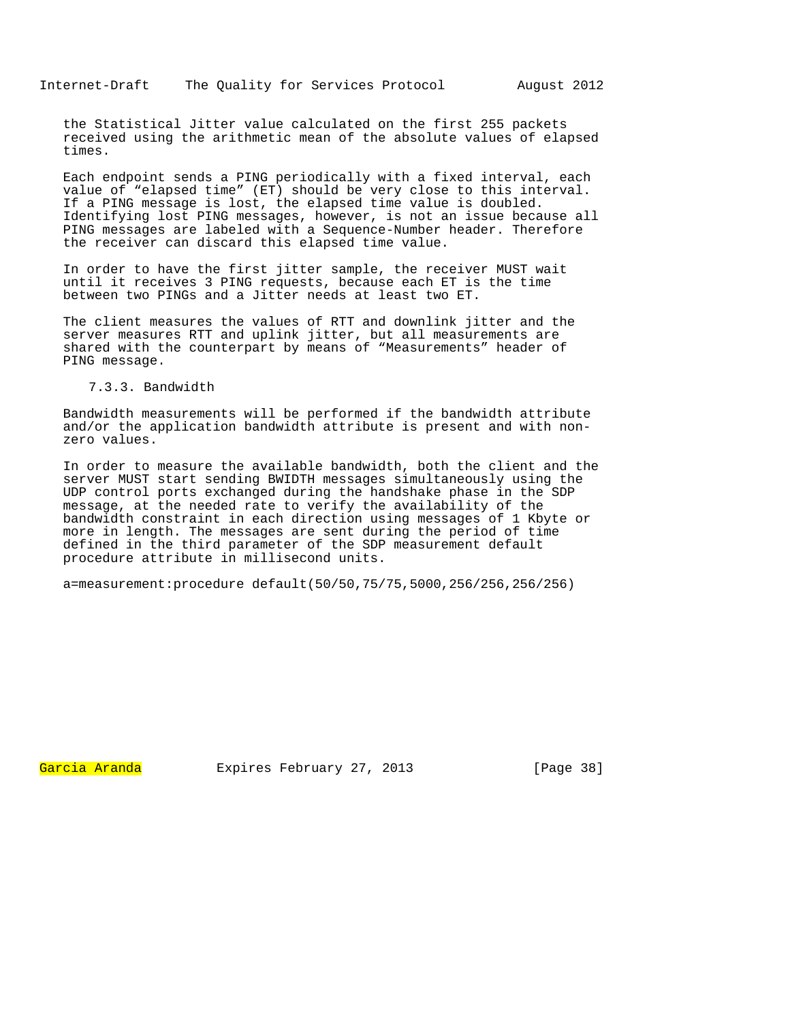the Statistical Jitter value calculated on the first 255 packets received using the arithmetic mean of the absolute values of elapsed times.

Each endpoint sends a PING periodically with a fixed interval, each value of "elapsed time" (ET) should be very close to this interval. If a PING message is lost, the elapsed time value is doubled. Identifying lost PING messages, however, is not an issue because all PING messages are labeled with a Sequence-Number header. Therefore the receiver can discard this elapsed time value.

In order to have the first jitter sample, the receiver MUST wait until it receives 3 PING requests, because each ET is the time between two PINGs and a Jitter needs at least two ET.

The client measures the values of RTT and downlink jitter and the server measures RTT and uplink jitter, but all measurements are shared with the counterpart by means of "Measurements" header of PING message.

# 7.3.3. Bandwidth

Bandwidth measurements will be performed if the bandwidth attribute and/or the application bandwidth attribute is present and with nonzero values.

In order to measure the available bandwidth, both the client and the server MUST start sending BWIDTH messages simultaneously using the UDP control ports exchanged during the handshake phase in the SDP message, at the needed rate to verify the availability of the bandwidth constraint in each direction using messages of 1 Kbyte or more in length. The messages are sent during the period of time defined in the third parameter of the SDP measurement default procedure attribute in millisecond units.

a=measurement:procedure default(50/50,75/75,5000,256/256,256/256)

Garcia Aranda Expires February 27, 2013 [Page 38]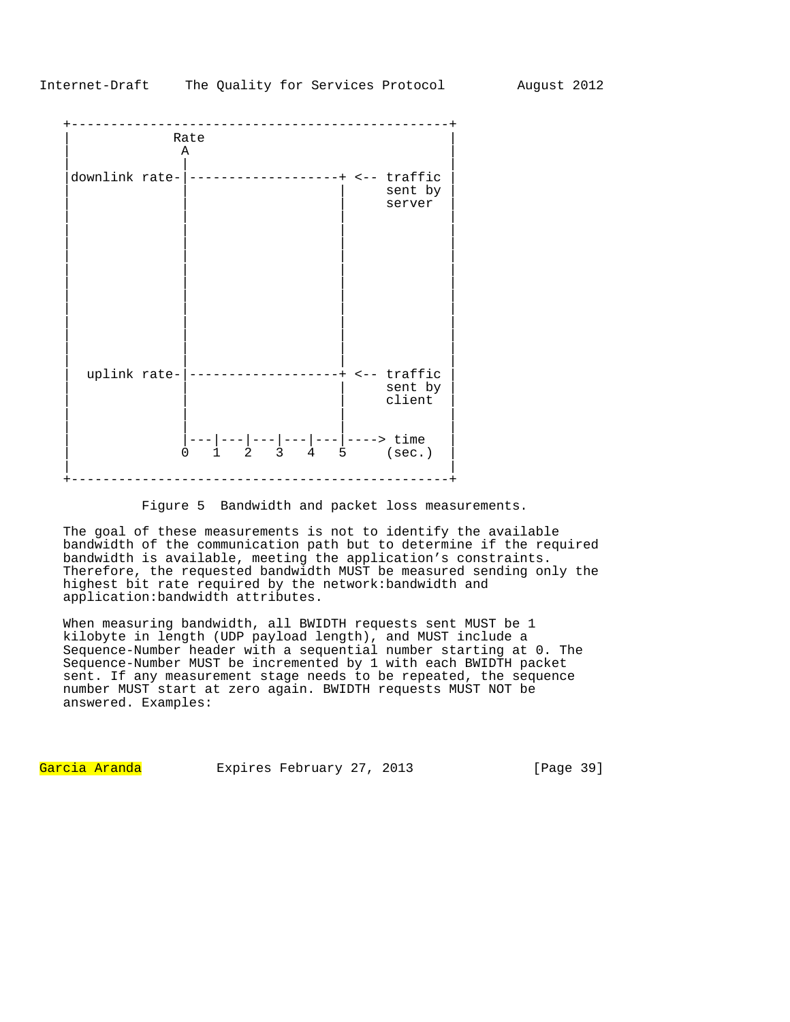

Figure 5 Bandwidth and packet loss measurements.

The goal of these measurements is not to identify the available bandwidth of the communication path but to determine if the required bandwidth is available, meeting the application's constraints. Therefore, the requested bandwidth MUST be measured sending only the highest bit rate required by the network:bandwidth and application:bandwidth attributes.

When measuring bandwidth, all BWIDTH requests sent MUST be 1 kilobyte in length (UDP payload length), and MUST include a Sequence-Number header with a sequential number starting at 0. The Sequence-Number MUST be incremented by 1 with each BWIDTH packet sent. If any measurement stage needs to be repeated, the sequence number MUST start at zero again. BWIDTH requests MUST NOT be answered. Examples:

Garcia Aranda Expires February 27, 2013 [Page 39]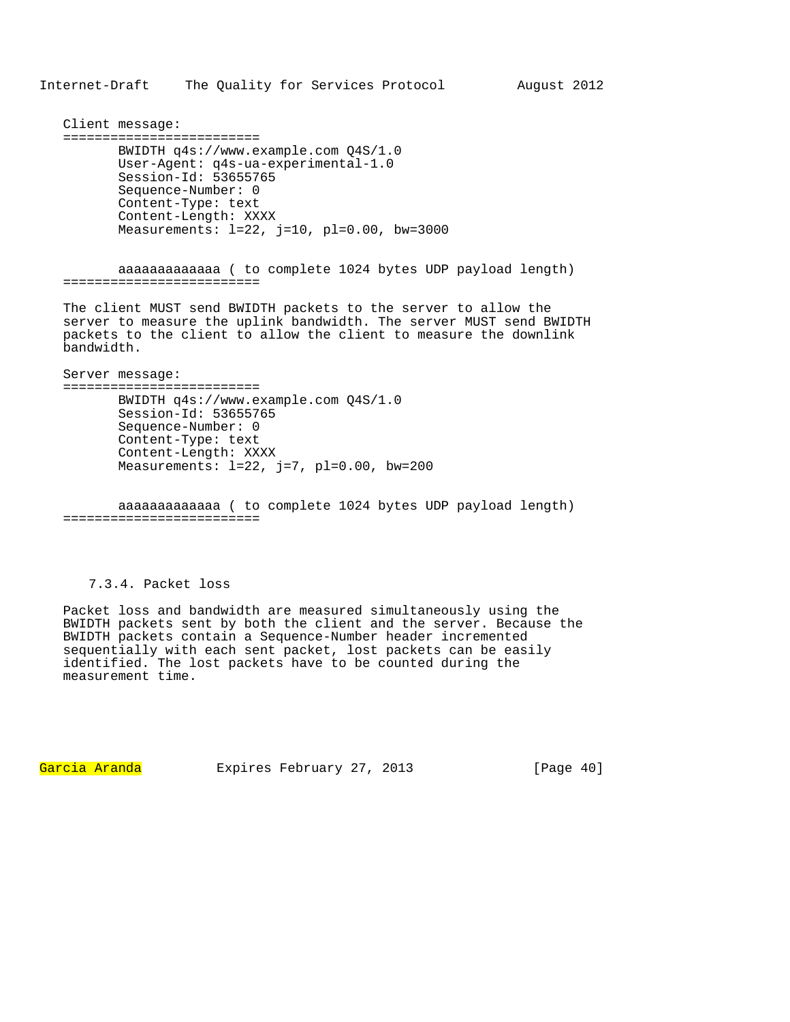Client message: ========================= BWIDTH q4s://www.example.com Q4S/1.0 User-Agent: q4s-ua-experimental-1.0 Session-Id: 53655765 Sequence-Number: 0 Content-Type: text Content-Length: XXXX Measurements: l=22, j=10, pl=0.00, bw=3000

 aaaaaaaaaaaaa ( to complete 1024 bytes UDP payload length) =========================

The client MUST send BWIDTH packets to the server to allow the server to measure the uplink bandwidth. The server MUST send BWIDTH packets to the client to allow the client to measure the downlink bandwidth.

Server message: ========================= BWIDTH q4s://www.example.com Q4S/1.0 Session-Id: 53655765 Sequence-Number: 0 Content-Type: text Content-Length: XXXX Measurements: l=22, j=7, pl=0.00, bw=200

 aaaaaaaaaaaaa ( to complete 1024 bytes UDP payload length) =========================

# 7.3.4. Packet loss

Packet loss and bandwidth are measured simultaneously using the BWIDTH packets sent by both the client and the server. Because the BWIDTH packets contain a Sequence-Number header incremented sequentially with each sent packet, lost packets can be easily identified. The lost packets have to be counted during the measurement time.

Garcia Aranda Expires February 27, 2013 [Page 40]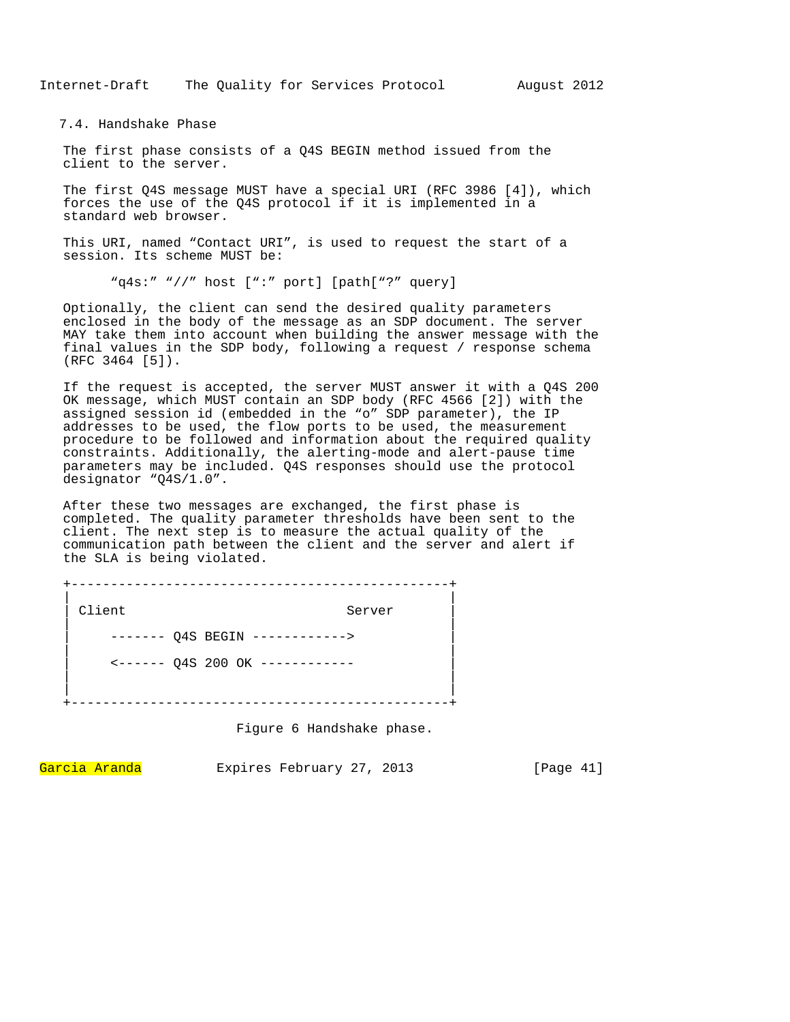Internet-Draft The Quality for Services Protocol August 2012

7.4. Handshake Phase

The first phase consists of a Q4S BEGIN method issued from the client to the server.

The first Q4S message MUST have a special URI (RFC 3986 [4]), which forces the use of the Q4S protocol if it is implemented in a standard web browser.

This URI, named "Contact URI", is used to request the start of a session. Its scheme MUST be:

"q4s:" "//" host [":" port] [path["?" query]

Optionally, the client can send the desired quality parameters enclosed in the body of the message as an SDP document. The server MAY take them into account when building the answer message with the final values in the SDP body, following a request / response schema (RFC 3464 [5]).

If the request is accepted, the server MUST answer it with a Q4S 200 OK message, which MUST contain an SDP body (RFC 4566 [2]) with the assigned session id (embedded in the "o" SDP parameter), the IP addresses to be used, the flow ports to be used, the measurement procedure to be followed and information about the required quality constraints. Additionally, the alerting-mode and alert-pause time parameters may be included. Q4S responses should use the protocol designator "Q4S/1.0".

After these two messages are exchanged, the first phase is completed. The quality parameter thresholds have been sent to the client. The next step is to measure the actual quality of the communication path between the client and the server and alert if the SLA is being violated.

+------------------------------------------------+ | | Client Server | | ------- 04S BEGIN ------------> | | | <------ Q4S 200 OK ------------ | | | | | +------------------------------------------------+

Figure 6 Handshake phase.

Garcia Aranda Expires February 27, 2013 [Page 41]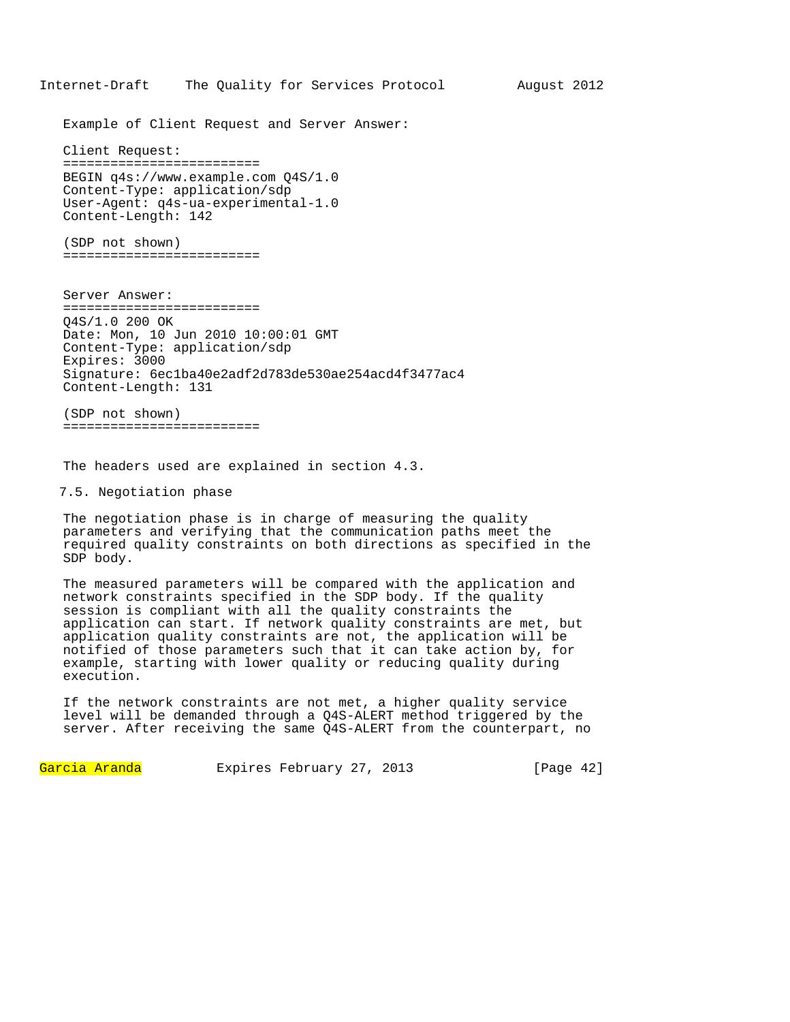Example of Client Request and Server Answer:

Client Request: ========================= BEGIN q4s://www.example.com Q4S/1.0 Content-Type: application/sdp User-Agent: q4s-ua-experimental-1.0 Content-Length: 142

(SDP not shown) =========================

Server Answer: ========================= Q4S/1.0 200 OK Date: Mon, 10 Jun 2010 10:00:01 GMT Content-Type: application/sdp Expires: 3000 Signature: 6ec1ba40e2adf2d783de530ae254acd4f3477ac4 Content-Length: 131

(SDP not shown) =========================

The headers used are explained in section 4.3.

7.5. Negotiation phase

The negotiation phase is in charge of measuring the quality parameters and verifying that the communication paths meet the required quality constraints on both directions as specified in the SDP body.

The measured parameters will be compared with the application and network constraints specified in the SDP body. If the quality session is compliant with all the quality constraints the application can start. If network quality constraints are met, but application quality constraints are not, the application will be notified of those parameters such that it can take action by, for example, starting with lower quality or reducing quality during execution.

If the network constraints are not met, a higher quality service level will be demanded through a Q4S-ALERT method triggered by the server. After receiving the same Q4S-ALERT from the counterpart, no

Garcia Aranda Expires February 27, 2013 [Page 42]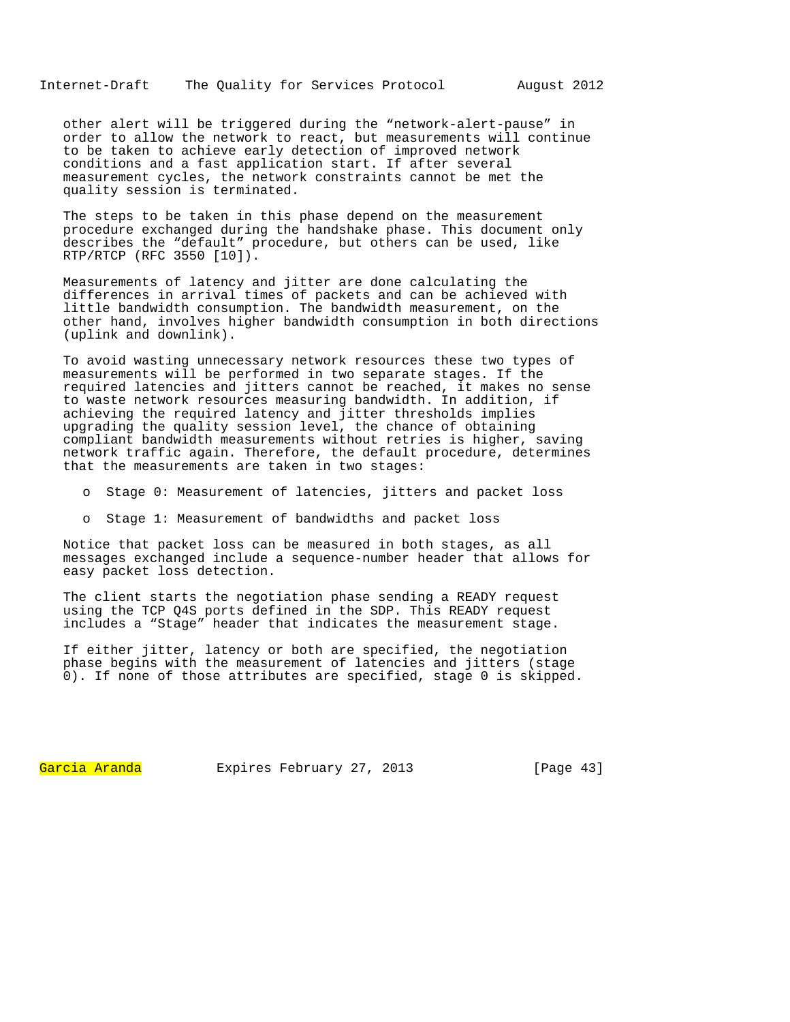Internet-Draft The Quality for Services Protocol August 2012

other alert will be triggered during the "network-alert-pause" in order to allow the network to react, but measurements will continue to be taken to achieve early detection of improved network conditions and a fast application start. If after several measurement cycles, the network constraints cannot be met the quality session is terminated.

The steps to be taken in this phase depend on the measurement procedure exchanged during the handshake phase. This document only describes the "default" procedure, but others can be used, like RTP/RTCP (RFC 3550 [10]).

Measurements of latency and jitter are done calculating the differences in arrival times of packets and can be achieved with little bandwidth consumption. The bandwidth measurement, on the other hand, involves higher bandwidth consumption in both directions (uplink and downlink).

To avoid wasting unnecessary network resources these two types of measurements will be performed in two separate stages. If the required latencies and jitters cannot be reached, it makes no sense to waste network resources measuring bandwidth. In addition, if achieving the required latency and jitter thresholds implies upgrading the quality session level, the chance of obtaining compliant bandwidth measurements without retries is higher, saving network traffic again. Therefore, the default procedure, determines that the measurements are taken in two stages:

- o Stage 0: Measurement of latencies, jitters and packet loss
- o Stage 1: Measurement of bandwidths and packet loss

Notice that packet loss can be measured in both stages, as all messages exchanged include a sequence-number header that allows for easy packet loss detection.

The client starts the negotiation phase sending a READY request using the TCP Q4S ports defined in the SDP. This READY request includes a "Stage" header that indicates the measurement stage.

If either jitter, latency or both are specified, the negotiation phase begins with the measurement of latencies and jitters (stage 0). If none of those attributes are specified, stage 0 is skipped.

Garcia Aranda Expires February 27, 2013 [Page 43]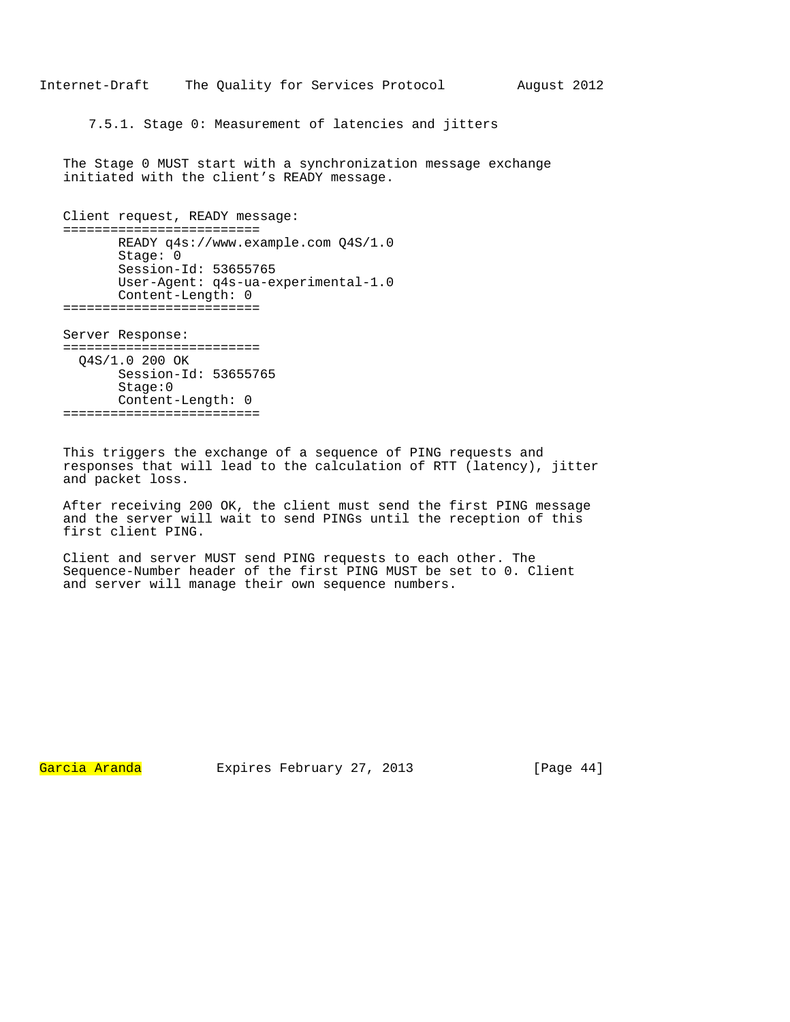7.5.1. Stage 0: Measurement of latencies and jitters

The Stage 0 MUST start with a synchronization message exchange initiated with the client's READY message.

```
Client request, READY message: 
========================= 
       READY q4s://www.example.com Q4S/1.0 
        Stage: 0 
        Session-Id: 53655765 
        User-Agent: q4s-ua-experimental-1.0 
       Content-Length: 0 
=========================
```
Server Response: ========================= Q4S/1.0 200 OK Session-Id: 53655765 Stage:0 Content-Length: 0 =========================

This triggers the exchange of a sequence of PING requests and responses that will lead to the calculation of RTT (latency), jitter and packet loss.

After receiving 200 OK, the client must send the first PING message and the server will wait to send PINGs until the reception of this first client PING.

Client and server MUST send PING requests to each other. The Sequence-Number header of the first PING MUST be set to 0. Client and server will manage their own sequence numbers.

Garcia Aranda Expires February 27, 2013 [Page 44]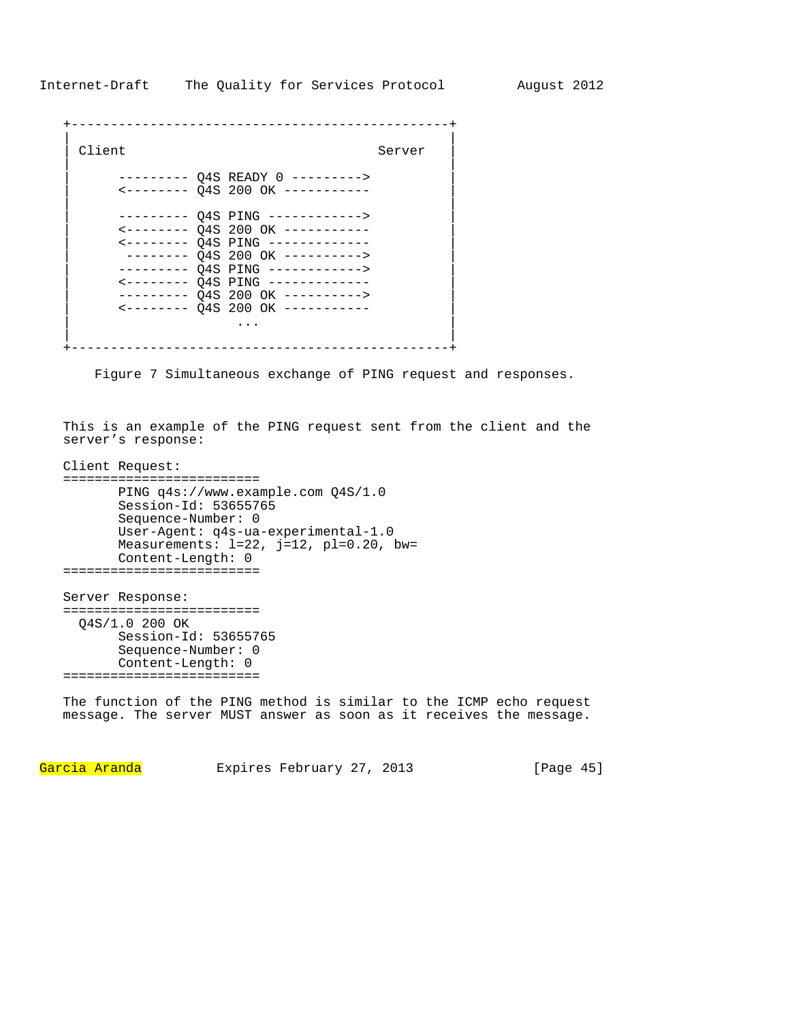```
+------------------------------------------------+ 
| | 
 | Client Server | Server | Server | Server | Server | Server | Server | Server | Server | Server | Server | Server | Server | Server | Server | Server | Server | Server | Server | Server | Server | Server | Server | Server
| | 
       -------- Q4S READY 0 --------->
       | <-------- Q4S 200 OK ----------- | 
| | 
       | --------- Q4S PING ------------> | 
       | <-------- Q4S 200 OK ----------- | 
       | <-------- Q4S PING ------------- | 
        -------- Q4S 200 OK ----------->
       | --------- Q4S PING ------------> | 
       | <-------- Q4S PING ------------- | 
       -------- Q4S 200 OK ---------->
       | <-------- Q4S 200 OK ----------- | 
| ... | ... | ... | ... | ... | ... | ... | ... | ... | ... | ... | ... | ... | ... | ... | ... | ... | ... | .
| | 
+------------------------------------------------+
```
Figure 7 Simultaneous exchange of PING request and responses.

This is an example of the PING request sent from the client and the server's response:

```
Client Request: 
========================= 
       PING q4s://www.example.com Q4S/1.0 
        Session-Id: 53655765 
        Sequence-Number: 0 
        User-Agent: q4s-ua-experimental-1.0 
       Measurements: l=22, j=12, pl=0.20, bw=
        Content-Length: 0 
========================= 
Server Response: 
========================= 
   Q4S/1.0 200 OK
```
 Session-Id: 53655765 Sequence-Number: 0 Content-Length: 0 =========================

The function of the PING method is similar to the ICMP echo request message. The server MUST answer as soon as it receives the message.

Garcia Aranda Expires February 27, 2013 [Page 45]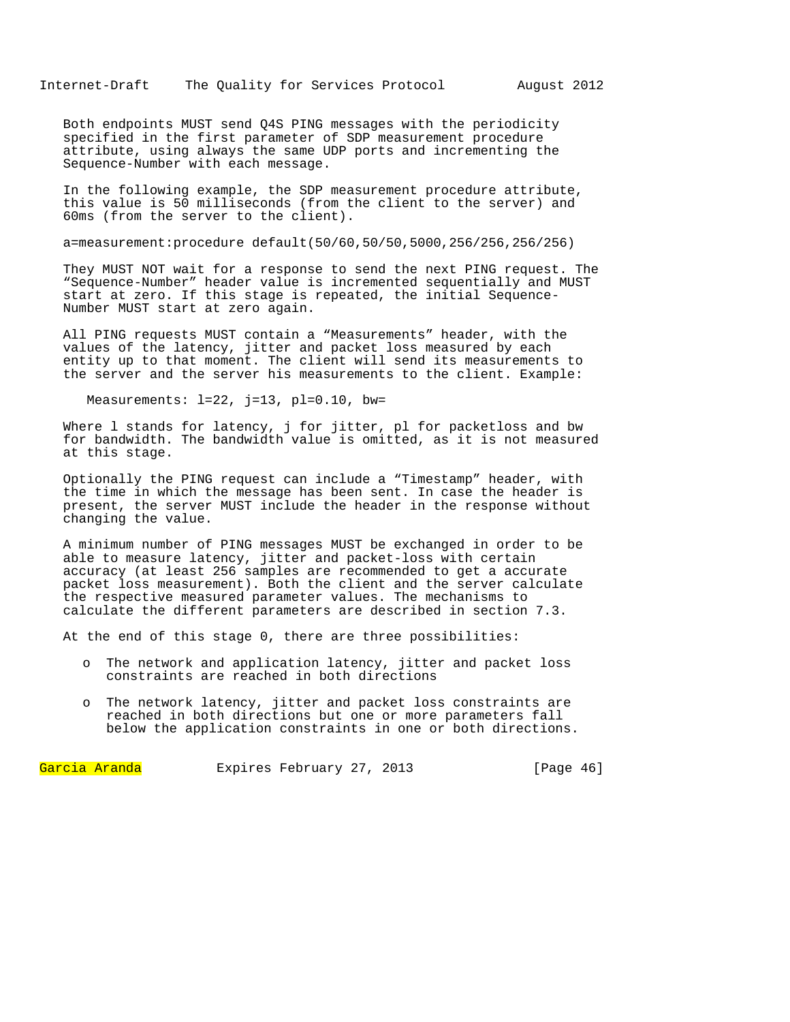Both endpoints MUST send Q4S PING messages with the periodicity specified in the first parameter of SDP measurement procedure attribute, using always the same UDP ports and incrementing the Sequence-Number with each message.

In the following example, the SDP measurement procedure attribute, this value is 50 milliseconds (from the client to the server) and 60ms (from the server to the client).

a=measurement:procedure default(50/60,50/50,5000,256/256,256/256)

They MUST NOT wait for a response to send the next PING request. The "Sequence-Number" header value is incremented sequentially and MUST start at zero. If this stage is repeated, the initial Sequence-Number MUST start at zero again.

All PING requests MUST contain a "Measurements" header, with the values of the latency, jitter and packet loss measured by each entity up to that moment. The client will send its measurements to the server and the server his measurements to the client. Example:

Measurements:  $l=22$ ,  $j=13$ ,  $pl=0.10$ , bw=

Where l stands for latency, j for jitter, pl for packetloss and bw for bandwidth. The bandwidth value is omitted, as it is not measured at this stage.

Optionally the PING request can include a "Timestamp" header, with the time in which the message has been sent. In case the header is present, the server MUST include the header in the response without changing the value.

A minimum number of PING messages MUST be exchanged in order to be able to measure latency, jitter and packet-loss with certain accuracy (at least 256 samples are recommended to get a accurate packet loss measurement). Both the client and the server calculate the respective measured parameter values. The mechanisms to calculate the different parameters are described in section 7.3.

At the end of this stage 0, there are three possibilities:

- o The network and application latency, jitter and packet loss constraints are reached in both directions
- o The network latency, jitter and packet loss constraints are reached in both directions but one or more parameters fall below the application constraints in one or both directions.

Garcia Aranda Expires February 27, 2013 [Page 46]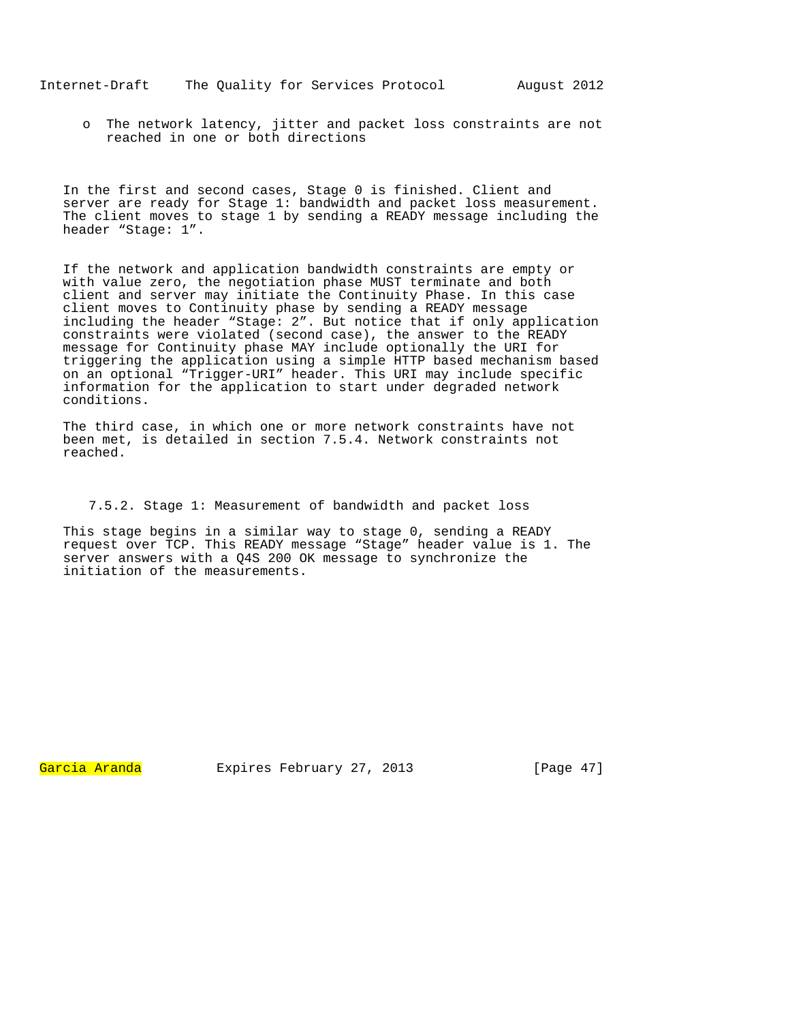o The network latency, jitter and packet loss constraints are not reached in one or both directions

In the first and second cases, Stage 0 is finished. Client and server are ready for Stage 1: bandwidth and packet loss measurement. The client moves to stage 1 by sending a READY message including the header "Stage: 1".

If the network and application bandwidth constraints are empty or with value zero, the negotiation phase MUST terminate and both client and server may initiate the Continuity Phase. In this case client moves to Continuity phase by sending a READY message including the header "Stage: 2". But notice that if only application constraints were violated (second case), the answer to the READY message for Continuity phase MAY include optionally the URI for triggering the application using a simple HTTP based mechanism based on an optional "Trigger-URI" header. This URI may include specific information for the application to start under degraded network conditions.

The third case, in which one or more network constraints have not been met, is detailed in section 7.5.4. Network constraints not reached.

7.5.2. Stage 1: Measurement of bandwidth and packet loss

This stage begins in a similar way to stage 0, sending a READY request over TCP. This READY message "Stage" header value is 1. The server answers with a Q4S 200 OK message to synchronize the initiation of the measurements.

Garcia Aranda Expires February 27, 2013 [Page 47]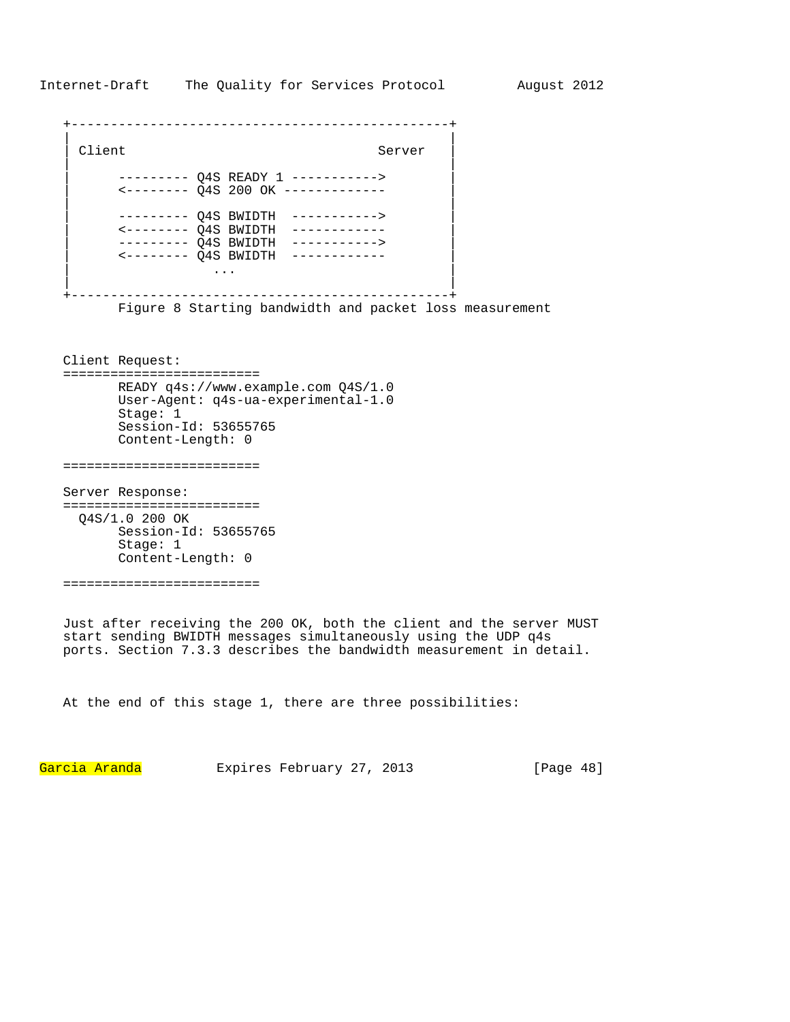Internet-Draft The Quality for Services Protocol August 2012

| Client |                                                                                                                                                                                                                     | Server                                                                  |
|--------|---------------------------------------------------------------------------------------------------------------------------------------------------------------------------------------------------------------------|-------------------------------------------------------------------------|
|        |                                                                                                                                                                                                                     | -------- Q4S READY 1 -----------><br><-------- 04S 200 OK ------------- |
|        | --------- 04S BWIDTH<br>$\leftarrow \leftarrow \leftarrow \leftarrow \leftarrow \left.\right$ 04S BWIDTH<br>$------OO4S$ BWIDTH<br>$\leftarrow \leftarrow \leftarrow \leftarrow \leftarrow \left.\right$ 04S BWIDTH | -----------><br>-----------><br>---------                               |
|        |                                                                                                                                                                                                                     |                                                                         |

Figure 8 Starting bandwidth and packet loss measurement

Client Request: ========================= READY q4s://www.example.com Q4S/1.0 User-Agent: q4s-ua-experimental-1.0 Stage: 1 Session-Id: 53655765 Content-Length: 0

=========================

Server Response: ========================= Q4S/1.0 200 OK Session-Id: 53655765 Stage: 1 Content-Length: 0

=========================

Just after receiving the 200 OK, both the client and the server MUST start sending BWIDTH messages simultaneously using the UDP q4s ports. Section 7.3.3 describes the bandwidth measurement in detail.

At the end of this stage 1, there are three possibilities:

Garcia Aranda Expires February 27, 2013 [Page 48]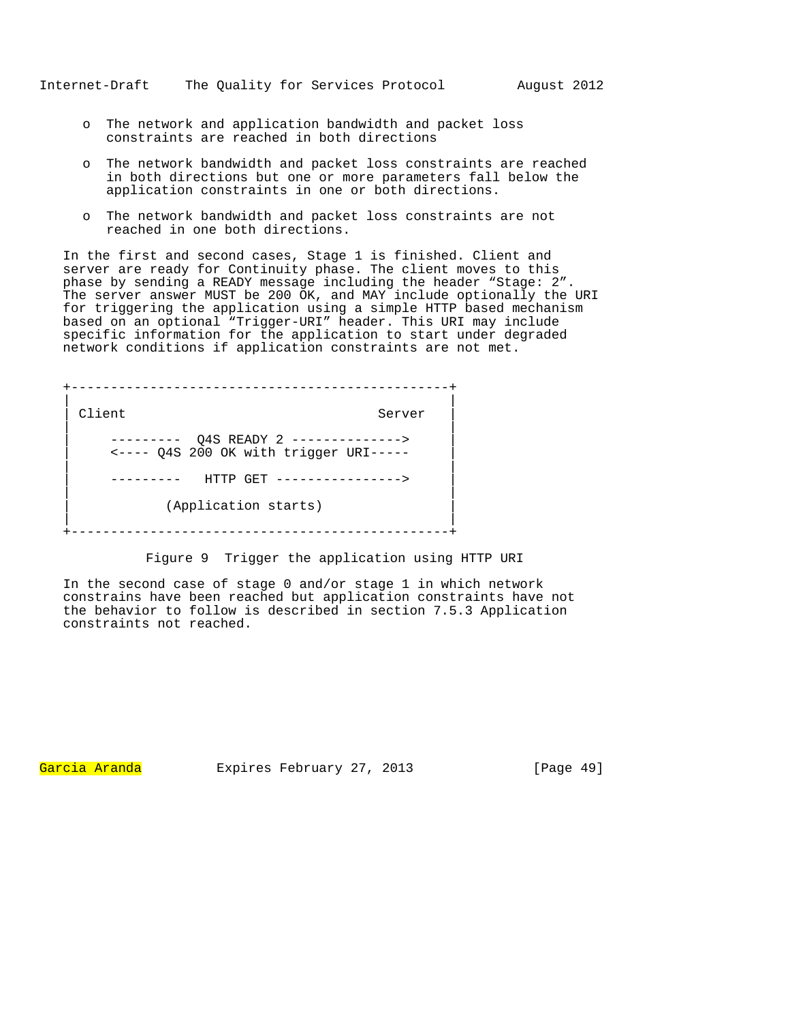- o The network and application bandwidth and packet loss constraints are reached in both directions
- o The network bandwidth and packet loss constraints are reached in both directions but one or more parameters fall below the application constraints in one or both directions.
- o The network bandwidth and packet loss constraints are not reached in one both directions.

In the first and second cases, Stage 1 is finished. Client and server are ready for Continuity phase. The client moves to this phase by sending a READY message including the header "Stage: 2". The server answer MUST be 200 OK, and MAY include optionally the URI for triggering the application using a simple HTTP based mechanism based on an optional "Trigger-URI" header. This URI may include specific information for the application to start under degraded network conditions if application constraints are not met.

+------------------------------------------------+ | | | Client Server | | | --------- Q4S READY 2 --------------> | <---- Q4S 200 OK with trigger URI----- | | | | --------- HTTP GET ----------------> | | | (Application starts) | | +------------------------------------------------+

Figure 9 Trigger the application using HTTP URI

In the second case of stage 0 and/or stage 1 in which network constrains have been reached but application constraints have not the behavior to follow is described in section 7.5.3 Application constraints not reached.

Garcia Aranda Expires February 27, 2013 [Page 49]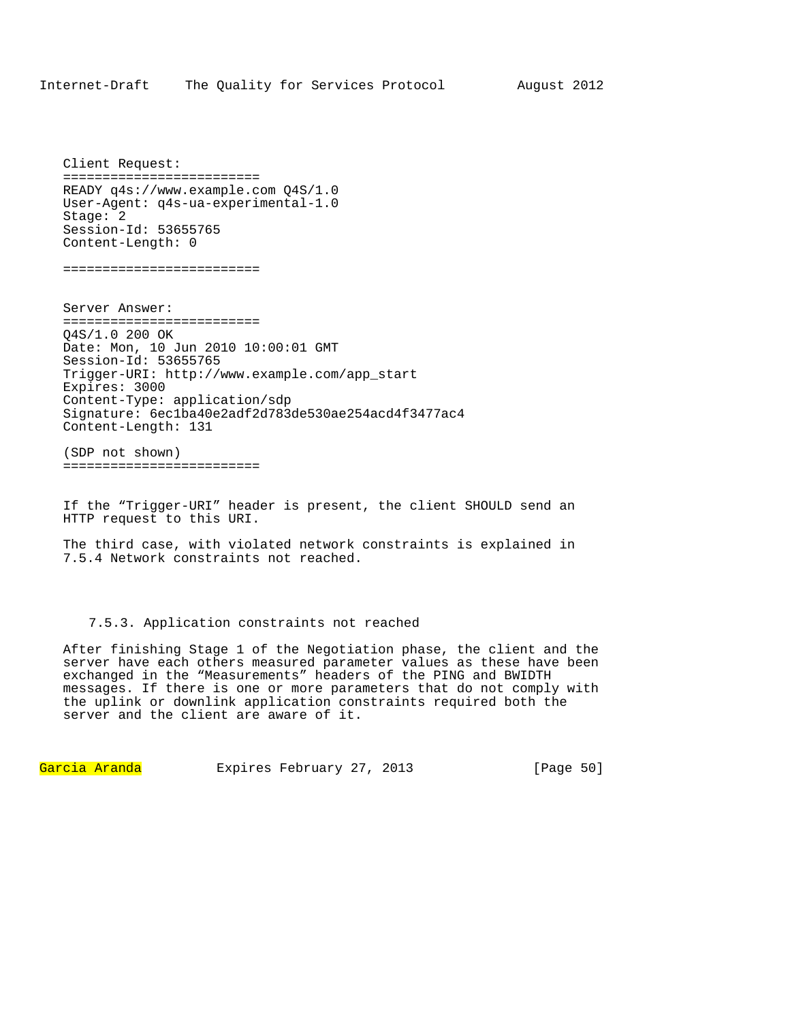Client Request: ========================= READY q4s://www.example.com Q4S/1.0 User-Agent: q4s-ua-experimental-1.0 Stage: 2 Session-Id: 53655765 Content-Length: 0

=========================

Server Answer: ========================= Q4S/1.0 200 OK Date: Mon, 10 Jun 2010 10:00:01 GMT Session-Id: 53655765 Trigger-URI: http://www.example.com/app\_start Expires: 3000 Content-Type: application/sdp Signature: 6ec1ba40e2adf2d783de530ae254acd4f3477ac4 Content-Length: 131

(SDP not shown) =========================

If the "Trigger-URI" header is present, the client SHOULD send an HTTP request to this URI.

The third case, with violated network constraints is explained in 7.5.4 Network constraints not reached.

## 7.5.3. Application constraints not reached

After finishing Stage 1 of the Negotiation phase, the client and the server have each others measured parameter values as these have been exchanged in the "Measurements" headers of the PING and BWIDTH messages. If there is one or more parameters that do not comply with the uplink or downlink application constraints required both the server and the client are aware of it.

Garcia Aranda Expires February 27, 2013 [Page 50]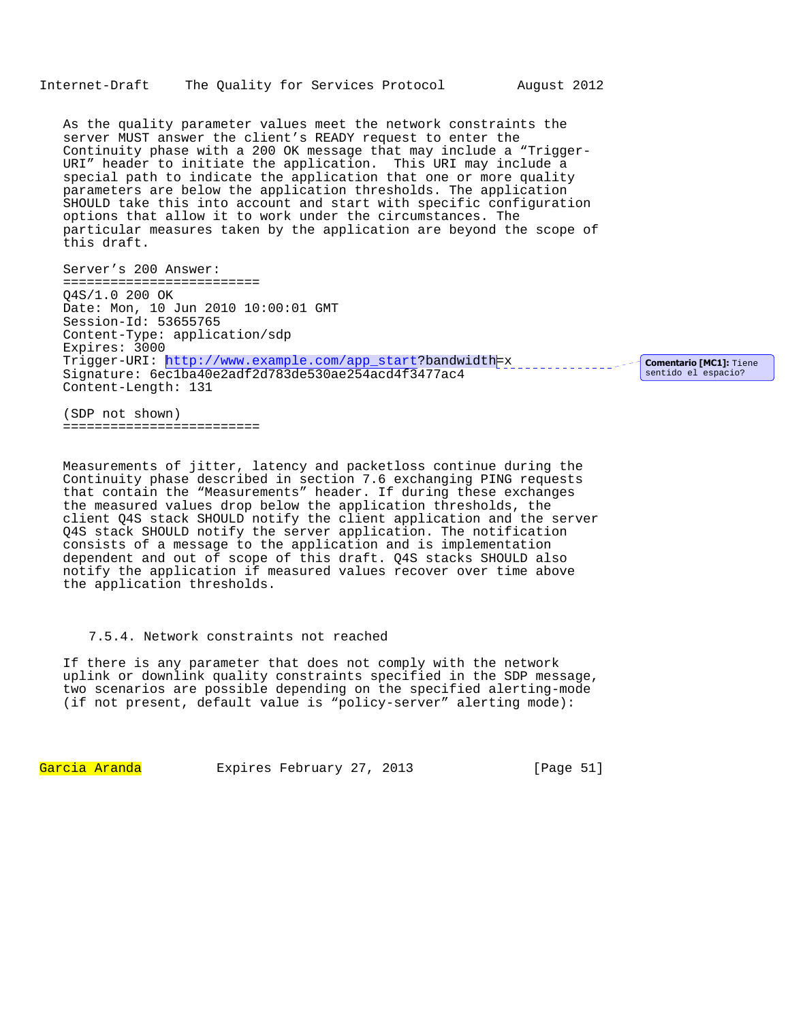As the quality parameter values meet the network constraints the server MUST answer the client's READY request to enter the Continuity phase with a 200 OK message that may include a "Trigger-URI" header to initiate the application. This URI may include a special path to indicate the application that one or more quality parameters are below the application thresholds. The application SHOULD take this into account and start with specific configuration options that allow it to work under the circumstances. The particular measures taken by the application are beyond the scope of this draft.

Server's 200 Answer: ========================= Q4S/1.0 200 OK Date: Mon, 10 Jun 2010 10:00:01 GMT Session-Id: 53655765 Content-Type: application/sdp Expires: 3000 Trigger-URI: http://www.example.com/app\_start?bandwidth=x encoded and comentario [MC1]: Tiene Signature: 6ec1ba40e2adf2d783de530ae254acd4f3477ac4 Content-Length: 131

sentido el espacio?

(SDP not shown) =========================

Measurements of jitter, latency and packetloss continue during the Continuity phase described in section 7.6 exchanging PING requests that contain the "Measurements" header. If during these exchanges the measured values drop below the application thresholds, the client Q4S stack SHOULD notify the client application and the server Q4S stack SHOULD notify the server application. The notification consists of a message to the application and is implementation dependent and out of scope of this draft. Q4S stacks SHOULD also notify the application if measured values recover over time above the application thresholds.

# 7.5.4. Network constraints not reached

If there is any parameter that does not comply with the network uplink or downlink quality constraints specified in the SDP message, two scenarios are possible depending on the specified alerting-mode (if not present, default value is "policy-server" alerting mode):

Garcia Aranda Expires February 27, 2013 [Page 51]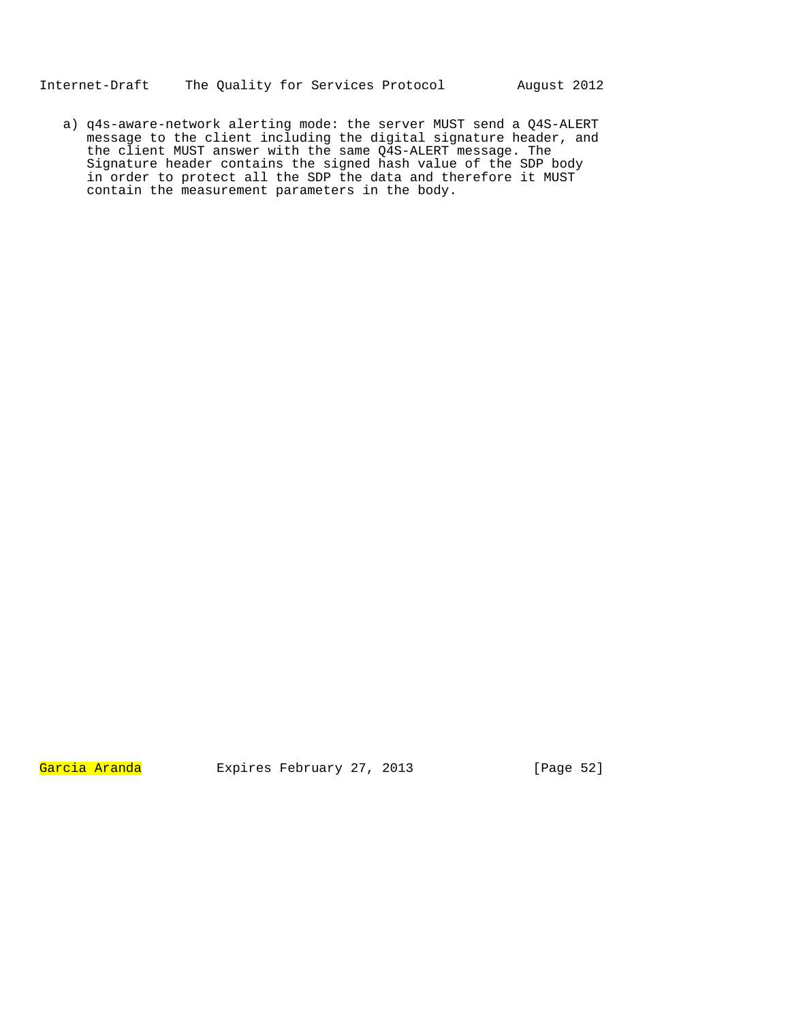a) q4s-aware-network alerting mode: the server MUST send a Q4S-ALERT message to the client including the digital signature header, and the client MUST answer with the same Q4S-ALERT message. The Signature header contains the signed hash value of the SDP body in order to protect all the SDP the data and therefore it MUST contain the measurement parameters in the body.

Garcia Aranda Expires February 27, 2013 [Page 52]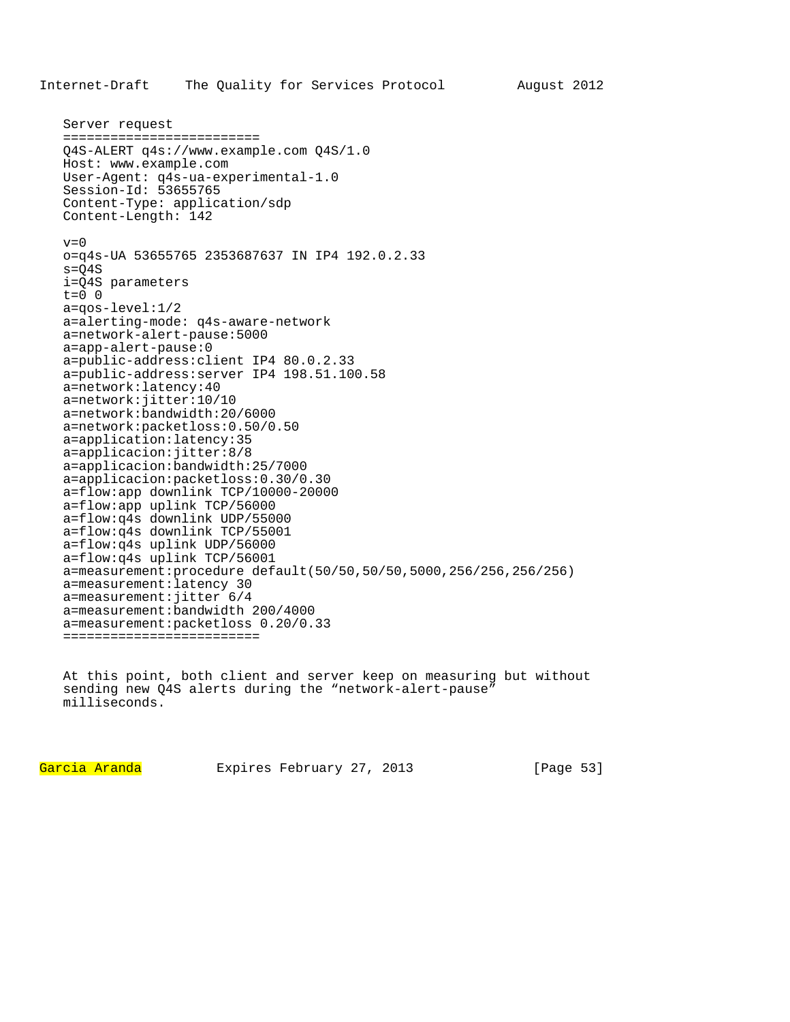```
Server request 
========================= 
Q4S-ALERT q4s://www.example.com Q4S/1.0 
Host: www.example.com 
User-Agent: q4s-ua-experimental-1.0 
Session-Id: 53655765 
Content-Type: application/sdp 
Content-Length: 142 
v=0o=q4s-UA 53655765 2353687637 IN IP4 192.0.2.33 
s = 04Si=Q4S parameters 
t=0 0
a=qos-level:1/2 
a=alerting-mode: q4s-aware-network 
a=network-alert-pause:5000 
a=app-alert-pause:0 
a=public-address:client IP4 80.0.2.33 
a=public-address:server IP4 198.51.100.58 
a=network:latency:40 
a=network:jitter:10/10 
a=network:bandwidth:20/6000 
a=network:packetloss:0.50/0.50 
a=application:latency:35 
a=applicacion:jitter:8/8 
a=applicacion:bandwidth:25/7000 
a=applicacion:packetloss:0.30/0.30 
a=flow:app downlink TCP/10000-20000 
a=flow:app uplink TCP/56000 
a=flow:q4s downlink UDP/55000 
a=flow:q4s downlink TCP/55001 
a=flow:q4s uplink UDP/56000 
a=flow:q4s uplink TCP/56001 
a=measurement:procedure default(50/50,50/50,5000,256/256,256/256) 
a=measurement:latency 30 
a=measurement:jitter 6/4 
a=measurement:bandwidth 200/4000 
a=measurement:packetloss 0.20/0.33 
=========================
```
At this point, both client and server keep on measuring but without sending new Q4S alerts during the "network-alert-pause" milliseconds.

Garcia Aranda Expires February 27, 2013 [Page 53]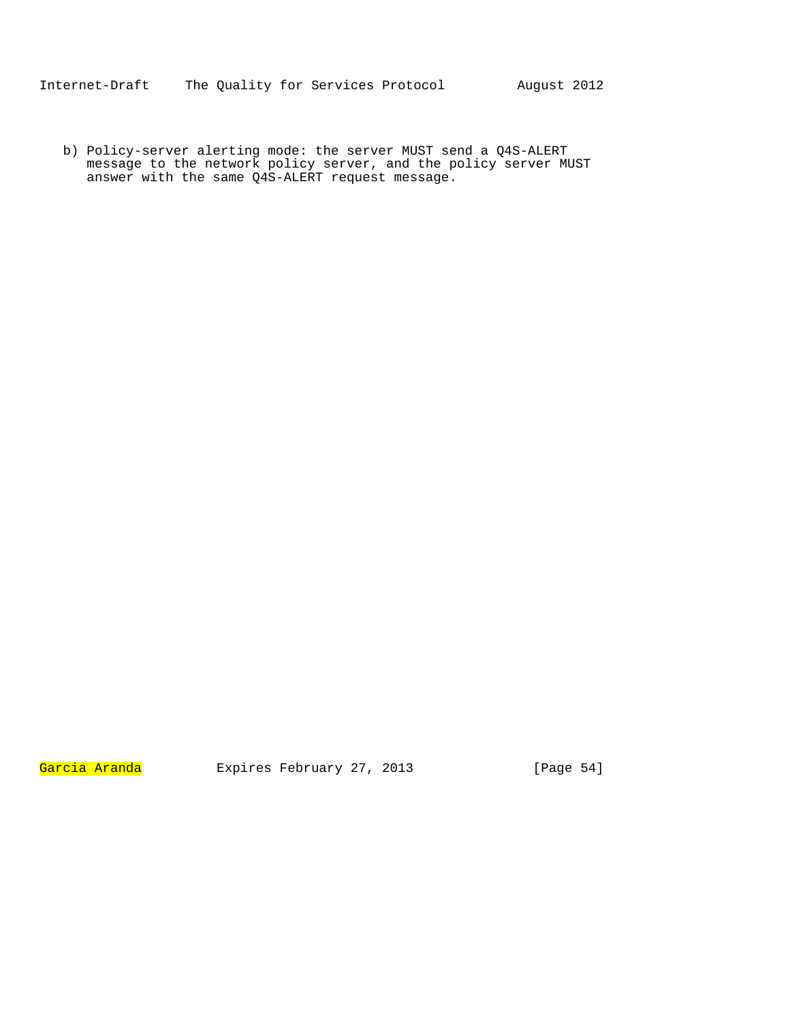b) Policy-server alerting mode: the server MUST send a Q4S-ALERT message to the network policy server, and the policy server MUST answer with the same Q4S-ALERT request message.

Garcia Aranda Expires February 27, 2013 [Page 54]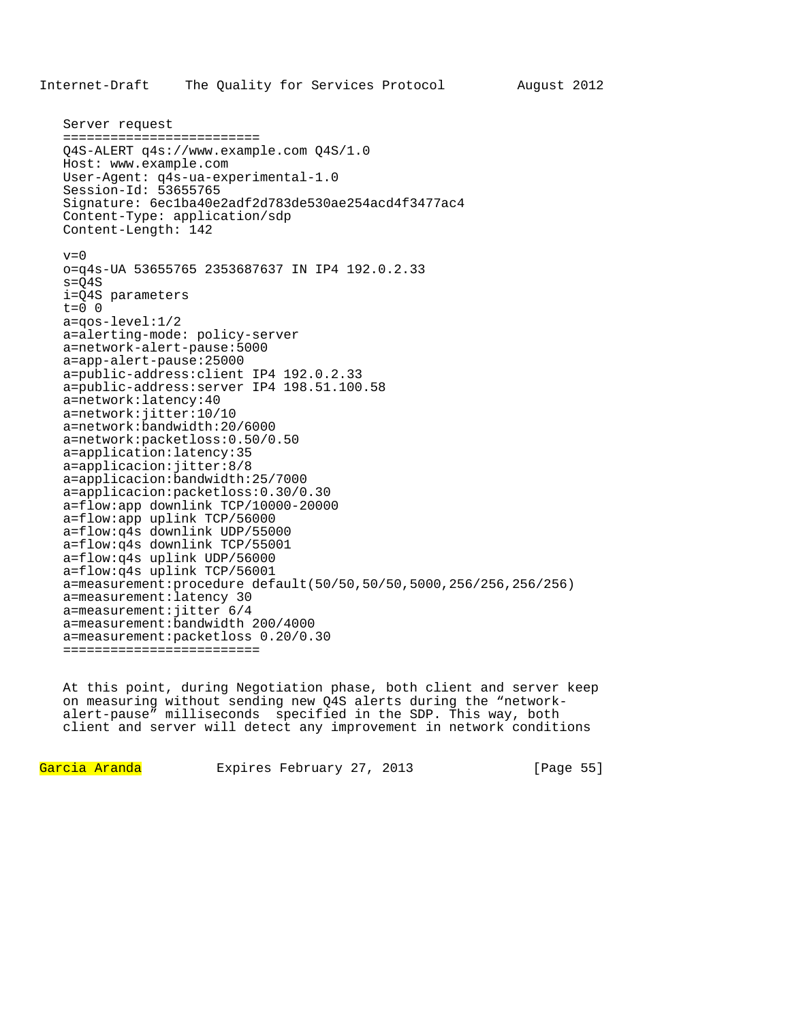```
Server request 
========================= 
Q4S-ALERT q4s://www.example.com Q4S/1.0 
Host: www.example.com 
User-Agent: q4s-ua-experimental-1.0 
Session-Id: 53655765 
Signature: 6ec1ba40e2adf2d783de530ae254acd4f3477ac4
Content-Type: application/sdp 
Content-Length: 142 
v=0o=q4s-UA 53655765 2353687637 IN IP4 192.0.2.33 
s = Q4Si=Q4S parameters 
t=0 0
a=qos-level:1/2 
a=alerting-mode: policy-server 
a=network-alert-pause:5000 
a=app-alert-pause:25000 
a=public-address:client IP4 192.0.2.33 
a=public-address:server IP4 198.51.100.58 
a=network:latency:40 
a=network:jitter:10/10 
a=network:bandwidth:20/6000 
a=network:packetloss:0.50/0.50 
a=application:latency:35 
a=applicacion:jitter:8/8 
a=applicacion:bandwidth:25/7000 
a=applicacion:packetloss:0.30/0.30 
a=flow:app downlink TCP/10000-20000 
a=flow:app uplink TCP/56000 
a=flow:q4s downlink UDP/55000 
a=flow:q4s downlink TCP/55001 
a=flow:q4s uplink UDP/56000 
a=flow:q4s uplink TCP/56001 
a=measurement:procedure default(50/50,50/50,5000,256/256,256/256) 
a=measurement:latency 30 
a=measurement:jitter 6/4 
a=measurement:bandwidth 200/4000 
a=measurement:packetloss 0.20/0.30 
=========================
```
At this point, during Negotiation phase, both client and server keep on measuring without sending new Q4S alerts during the "networkalert-pause" milliseconds specified in the SDP. This way, both client and server will detect any improvement in network conditions

Garcia Aranda Expires February 27, 2013 [Page 55]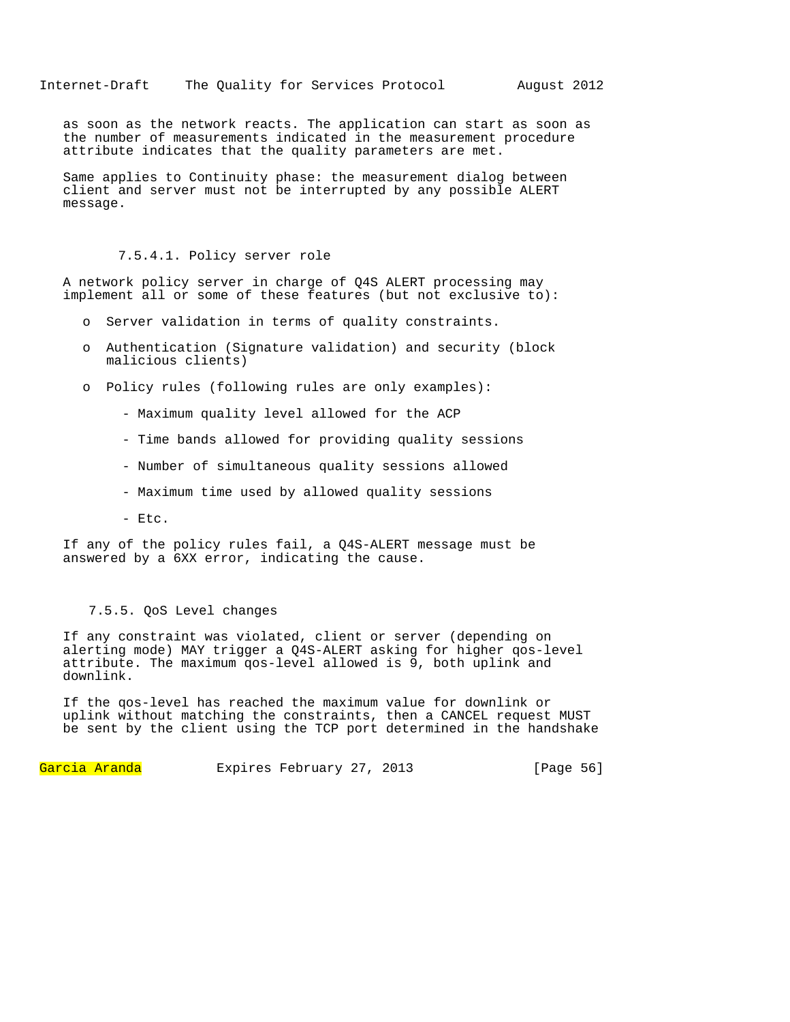as soon as the network reacts. The application can start as soon as the number of measurements indicated in the measurement procedure attribute indicates that the quality parameters are met.

Same applies to Continuity phase: the measurement dialog between client and server must not be interrupted by any possible ALERT message.

# 7.5.4.1. Policy server role

A network policy server in charge of Q4S ALERT processing may implement all or some of these features (but not exclusive to):

- o Server validation in terms of quality constraints.
- o Authentication (Signature validation) and security (block malicious clients)
- o Policy rules (following rules are only examples):
	- Maximum quality level allowed for the ACP
	- Time bands allowed for providing quality sessions
	- Number of simultaneous quality sessions allowed
	- Maximum time used by allowed quality sessions
	- Etc.

If any of the policy rules fail, a Q4S-ALERT message must be answered by a 6XX error, indicating the cause.

## 7.5.5. QoS Level changes

If any constraint was violated, client or server (depending on alerting mode) MAY trigger a Q4S-ALERT asking for higher qos-level attribute. The maximum qos-level allowed is 9, both uplink and downlink.

If the qos-level has reached the maximum value for downlink or uplink without matching the constraints, then a CANCEL request MUST be sent by the client using the TCP port determined in the handshake

Garcia Aranda Expires February 27, 2013 [Page 56]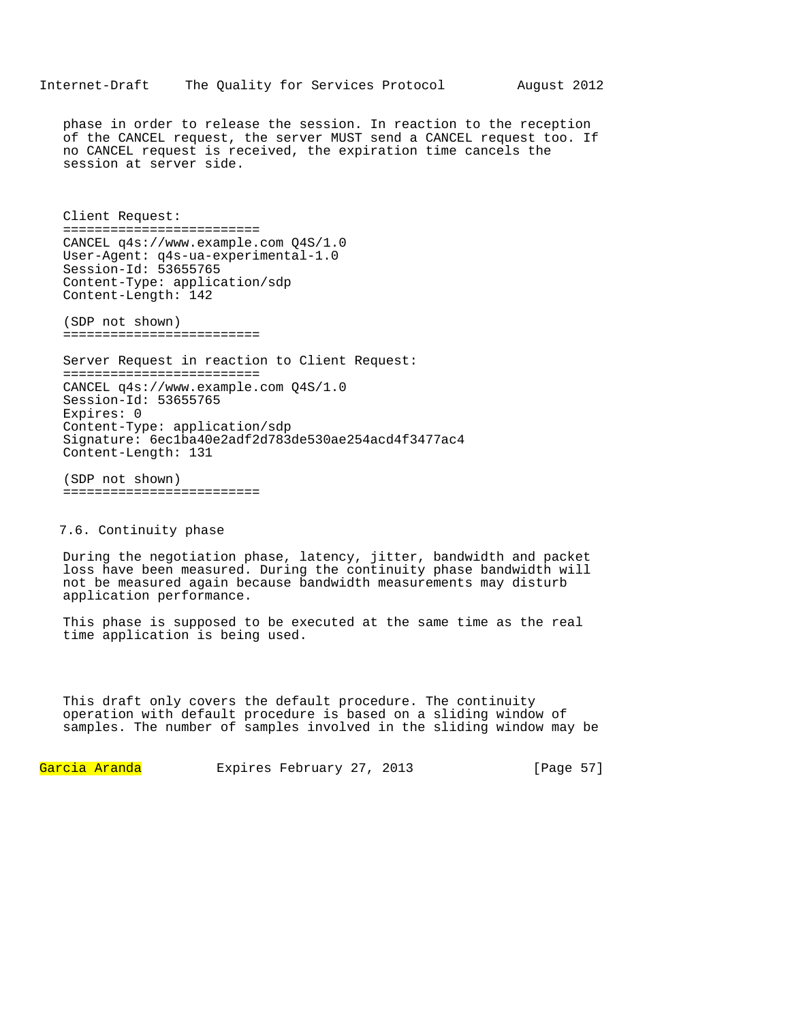# Internet-Draft The Quality for Services Protocol August 2012

phase in order to release the session. In reaction to the reception of the CANCEL request, the server MUST send a CANCEL request too. If no CANCEL request is received, the expiration time cancels the session at server side.

Client Request: ========================= CANCEL q4s://www.example.com Q4S/1.0 User-Agent: q4s-ua-experimental-1.0 Session-Id: 53655765 Content-Type: application/sdp Content-Length: 142

(SDP not shown) =========================

Server Request in reaction to Client Request: ========================= CANCEL q4s://www.example.com Q4S/1.0 Session-Id: 53655765 Expires: 0 Content-Type: application/sdp Signature: 6ec1ba40e2adf2d783de530ae254acd4f3477ac4 Content-Length: 131

(SDP not shown) =========================

# 7.6. Continuity phase

During the negotiation phase, latency, jitter, bandwidth and packet loss have been measured. During the continuity phase bandwidth will not be measured again because bandwidth measurements may disturb application performance.

This phase is supposed to be executed at the same time as the real time application is being used.

This draft only covers the default procedure. The continuity operation with default procedure is based on a sliding window of samples. The number of samples involved in the sliding window may be

Garcia Aranda Expires February 27, 2013 [Page 57]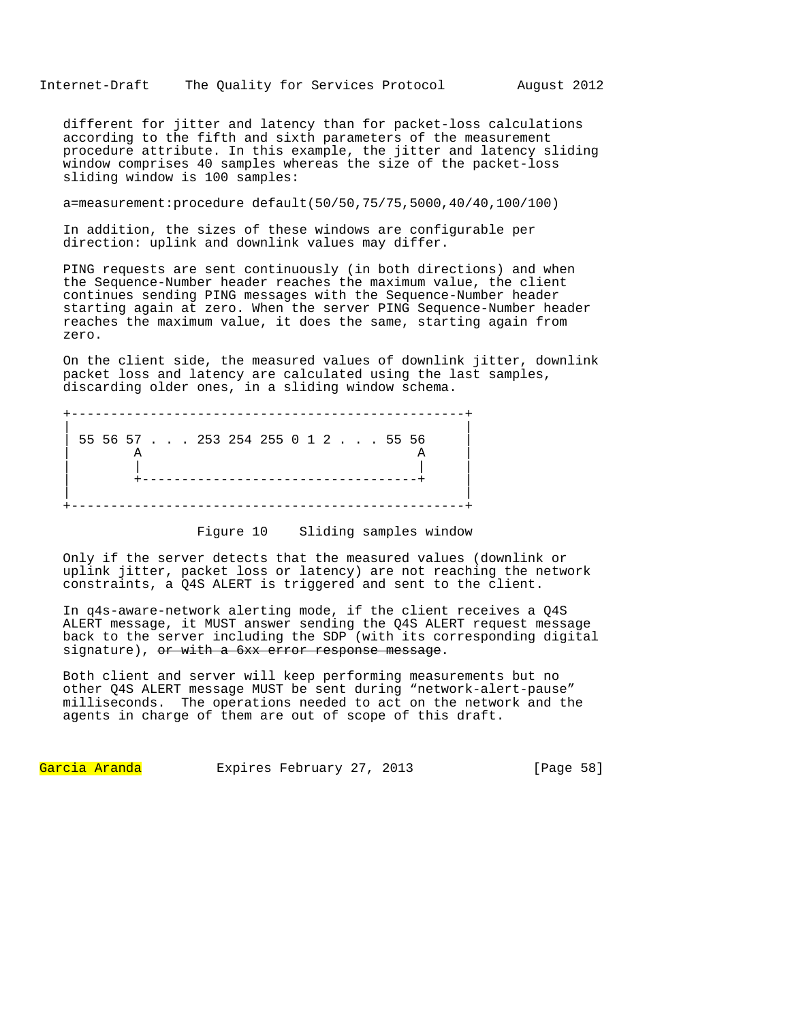Internet-Draft The Quality for Services Protocol August 2012

different for jitter and latency than for packet-loss calculations according to the fifth and sixth parameters of the measurement procedure attribute. In this example, the jitter and latency sliding window comprises 40 samples whereas the size of the packet-loss sliding window is 100 samples:

a=measurement:procedure default(50/50,75/75,5000,40/40,100/100)

In addition, the sizes of these windows are configurable per direction: uplink and downlink values may differ.

PING requests are sent continuously (in both directions) and when the Sequence-Number header reaches the maximum value, the client continues sending PING messages with the Sequence-Number header starting again at zero. When the server PING Sequence-Number header reaches the maximum value, it does the same, starting again from zero.

On the client side, the measured values of downlink jitter, downlink packet loss and latency are calculated using the last samples, discarding older ones, in a sliding window schema.

|  |  |  |  | 55 56 57 253 254 255 0 1 2 55 56 |  |  |  |  |  |
|--|--|--|--|----------------------------------|--|--|--|--|--|
|  |  |  |  |                                  |  |  |  |  |  |

# Figure 10 Sliding samples window

Only if the server detects that the measured values (downlink or uplink jitter, packet loss or latency) are not reaching the network constraints, a Q4S ALERT is triggered and sent to the client.

In q4s-aware-network alerting mode, if the client receives a Q4S ALERT message, it MUST answer sending the Q4S ALERT request message back to the server including the SDP (with its corresponding digital signature), or with a 6xx error response message.

Both client and server will keep performing measurements but no other Q4S ALERT message MUST be sent during "network-alert-pause" milliseconds. The operations needed to act on the network and the agents in charge of them are out of scope of this draft.

Garcia Aranda Expires February 27, 2013 [Page 58]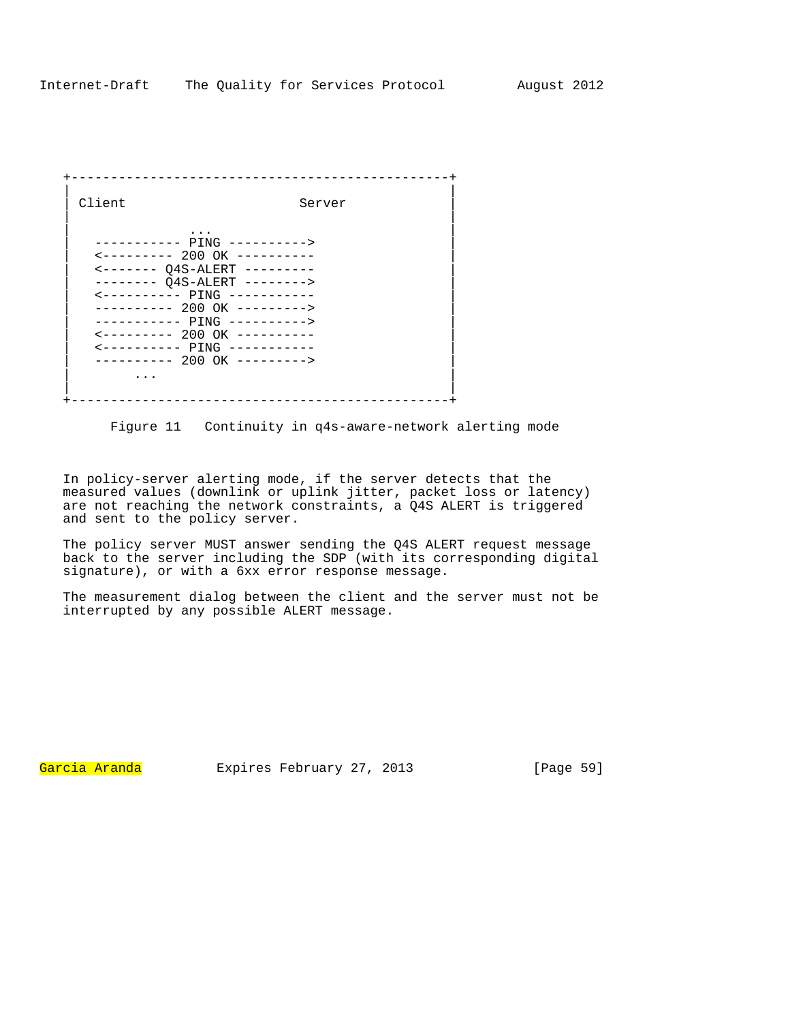| Client                                  | Server |
|-----------------------------------------|--------|
|                                         |        |
|                                         |        |
| $\leftarrow$ -------- 200 OK ---------- |        |
| <------- 04S-ALERT ---------            |        |
| -------- 04S-ALERT -------->            |        |
| $\leftarrow$ --------- PING ----------  |        |
| ---------- 200 OK --------->            |        |
| ----------- PING ---------->            |        |
| $\leftarrow$ -------- 200 OK ---------- |        |
| $\leftarrow$ --------- PING ----------- |        |
| ---------- 200 OK --------->            |        |
|                                         |        |
|                                         |        |

Figure 11 Continuity in q4s-aware-network alerting mode

In policy-server alerting mode, if the server detects that the measured values (downlink or uplink jitter, packet loss or latency) are not reaching the network constraints, a Q4S ALERT is triggered and sent to the policy server.

The policy server MUST answer sending the Q4S ALERT request message back to the server including the SDP (with its corresponding digital signature), or with a 6xx error response message.

The measurement dialog between the client and the server must not be interrupted by any possible ALERT message.

Garcia Aranda Expires February 27, 2013 [Page 59]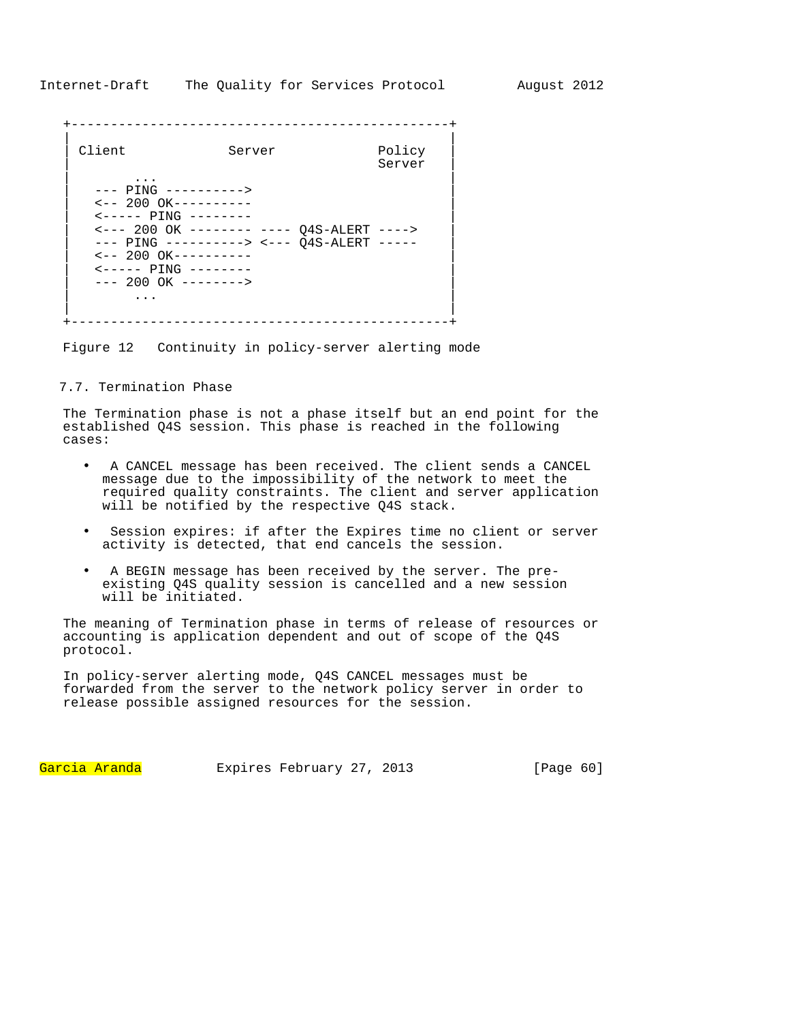| Client                                                                                                                                                                                                                                                                                                                       | Server                                                                                 | Policy<br>Server |
|------------------------------------------------------------------------------------------------------------------------------------------------------------------------------------------------------------------------------------------------------------------------------------------------------------------------------|----------------------------------------------------------------------------------------|------------------|
| $---$ PING $------$<br>$\leftarrow -200 \text{ OK} \rightarrow - \rightarrow - \rightarrow - \rightarrow -$<br>$\leftarrow$ - - - - PTNG - - - - - - - -<br>$\leftarrow -200 \text{ OK} \rightarrow - \rightarrow - \rightarrow - \rightarrow -$<br>$\leftarrow$ ----- PING --------<br>$--- 200 OK --- --- ---$<br>$\cdots$ | <--- 200 OK -------- ---- 04S-ALERT ----><br>--- PING ----------> <--- 04S-ALERT ----- |                  |

Figure 12 Continuity in policy-server alerting mode

# 7.7. Termination Phase

The Termination phase is not a phase itself but an end point for the established Q4S session. This phase is reached in the following cases:

- A CANCEL message has been received. The client sends a CANCEL message due to the impossibility of the network to meet the required quality constraints. The client and server application will be notified by the respective Q4S stack.
- Session expires: if after the Expires time no client or server activity is detected, that end cancels the session.
- A BEGIN message has been received by the server. The preexisting Q4S quality session is cancelled and a new session will be initiated.

The meaning of Termination phase in terms of release of resources or accounting is application dependent and out of scope of the Q4S protocol.

In policy-server alerting mode, Q4S CANCEL messages must be forwarded from the server to the network policy server in order to release possible assigned resources for the session.

Garcia Aranda Expires February 27, 2013 [Page 60]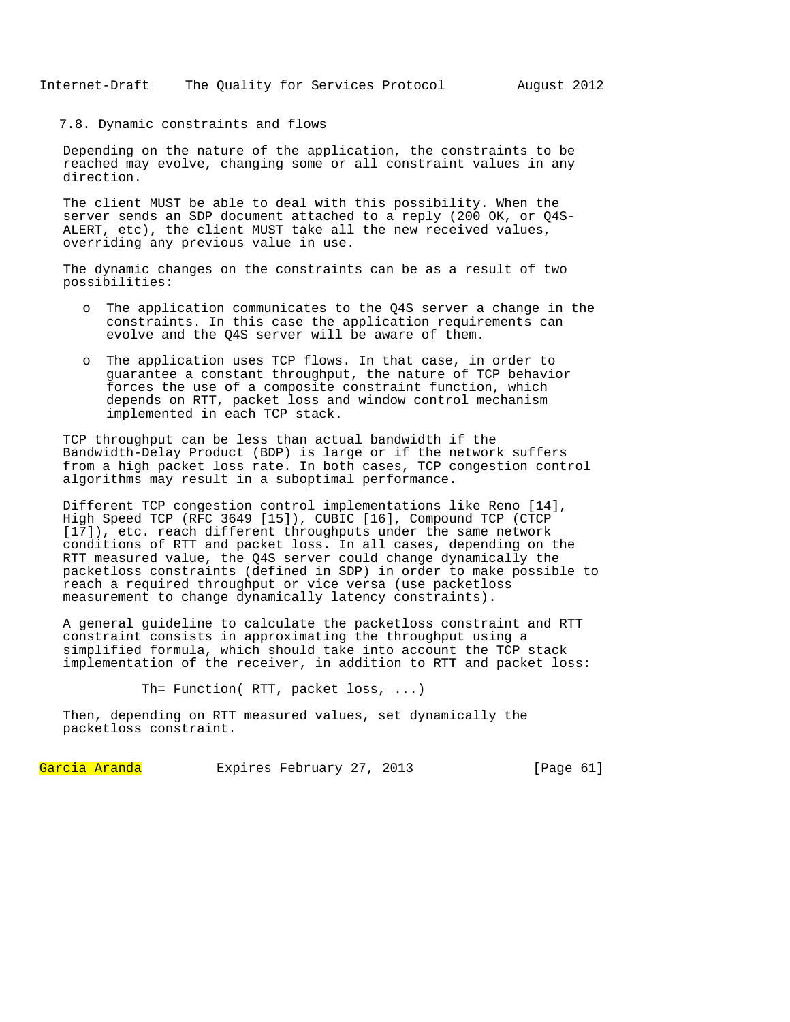## 7.8. Dynamic constraints and flows

Depending on the nature of the application, the constraints to be reached may evolve, changing some or all constraint values in any direction.

The client MUST be able to deal with this possibility. When the server sends an SDP document attached to a reply (200 OK, or Q4S-ALERT, etc), the client MUST take all the new received values, overriding any previous value in use.

The dynamic changes on the constraints can be as a result of two possibilities:

- o The application communicates to the Q4S server a change in the constraints. In this case the application requirements can evolve and the Q4S server will be aware of them.
- o The application uses TCP flows. In that case, in order to guarantee a constant throughput, the nature of TCP behavior forces the use of a composite constraint function, which depends on RTT, packet loss and window control mechanism implemented in each TCP stack.

TCP throughput can be less than actual bandwidth if the Bandwidth-Delay Product (BDP) is large or if the network suffers from a high packet loss rate. In both cases, TCP congestion control algorithms may result in a suboptimal performance.

Different TCP congestion control implementations like Reno [14], High Speed TCP (RFC 3649 [15]), CUBIC [16], Compound TCP (CTCP [17]), etc. reach different throughputs under the same network conditions of RTT and packet loss. In all cases, depending on the RTT measured value, the Q4S server could change dynamically the packetloss constraints (defined in SDP) in order to make possible to reach a required throughput or vice versa (use packetloss measurement to change dynamically latency constraints).

A general guideline to calculate the packetloss constraint and RTT constraint consists in approximating the throughput using a simplified formula, which should take into account the TCP stack implementation of the receiver, in addition to RTT and packet loss:

Th= Function( RTT, packet loss, ...)

Then, depending on RTT measured values, set dynamically the packetloss constraint.

Garcia Aranda Expires February 27, 2013 [Page 61]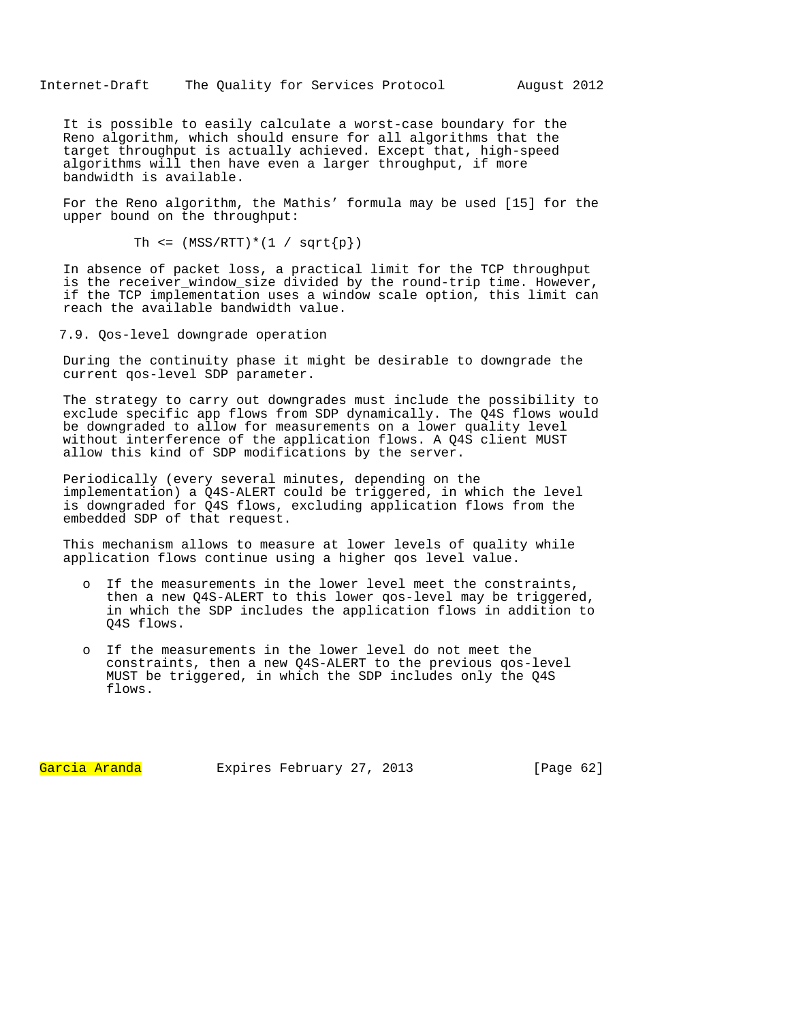It is possible to easily calculate a worst-case boundary for the Reno algorithm, which should ensure for all algorithms that the target throughput is actually achieved. Except that, high-speed algorithms will then have even a larger throughput, if more bandwidth is available.

For the Reno algorithm, the Mathis' formula may be used [15] for the upper bound on the throughput:

```
Th \leq (MSS/RTT)*(1 / sqrt{p})
```
In absence of packet loss, a practical limit for the TCP throughput is the receiver\_window\_size divided by the round-trip time. However, if the TCP implementation uses a window scale option, this limit can reach the available bandwidth value.

7.9. Qos-level downgrade operation

During the continuity phase it might be desirable to downgrade the current qos-level SDP parameter.

The strategy to carry out downgrades must include the possibility to exclude specific app flows from SDP dynamically. The Q4S flows would be downgraded to allow for measurements on a lower quality level without interference of the application flows. A Q4S client MUST allow this kind of SDP modifications by the server.

Periodically (every several minutes, depending on the implementation) a Q4S-ALERT could be triggered, in which the level is downgraded for Q4S flows, excluding application flows from the embedded SDP of that request.

This mechanism allows to measure at lower levels of quality while application flows continue using a higher qos level value.

- o If the measurements in the lower level meet the constraints, then a new Q4S-ALERT to this lower qos-level may be triggered, in which the SDP includes the application flows in addition to Q4S flows.
- If the measurements in the lower level do not meet the constraints, then a new Q4S-ALERT to the previous qos-level MUST be triggered, in which the SDP includes only the Q4S flows.

Garcia Aranda Expires February 27, 2013 [Paqe 62]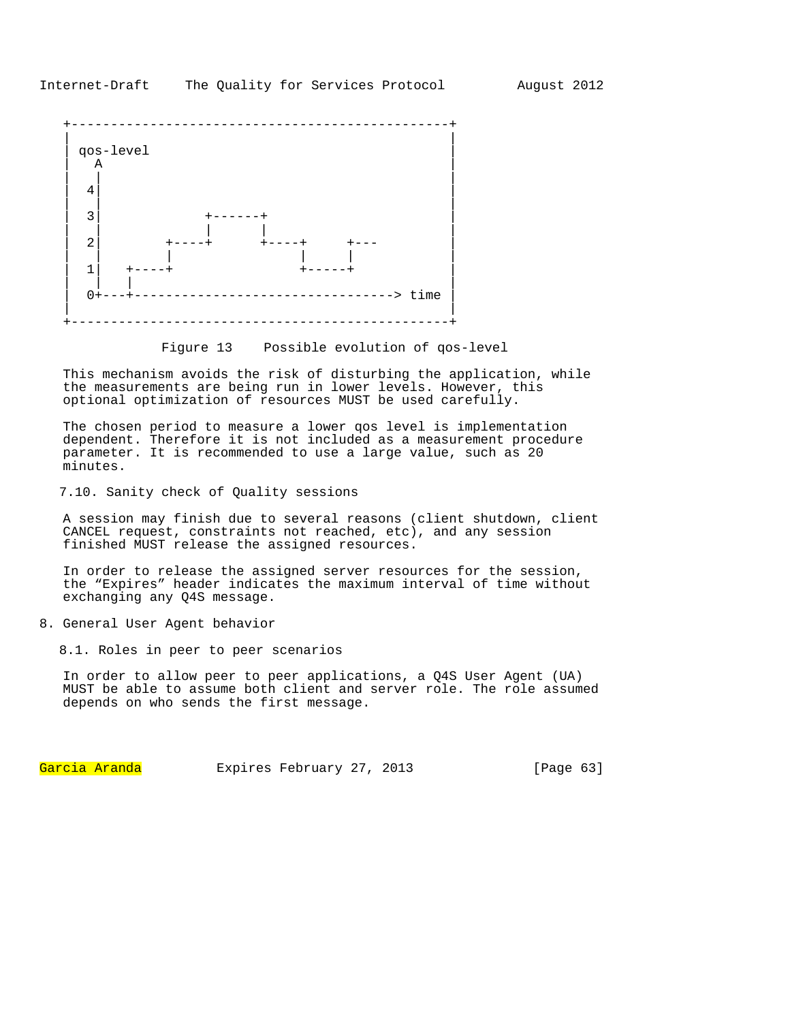

Figure 13 Possible evolution of qos-level

This mechanism avoids the risk of disturbing the application, while the measurements are being run in lower levels. However, this optional optimization of resources MUST be used carefully.

The chosen period to measure a lower qos level is implementation dependent. Therefore it is not included as a measurement procedure parameter. It is recommended to use a large value, such as 20 minutes.

7.10. Sanity check of Quality sessions

A session may finish due to several reasons (client shutdown, client CANCEL request, constraints not reached, etc), and any session finished MUST release the assigned resources.

In order to release the assigned server resources for the session, the "Expires" header indicates the maximum interval of time without exchanging any Q4S message.

8. General User Agent behavior

8.1. Roles in peer to peer scenarios

In order to allow peer to peer applications, a Q4S User Agent (UA) MUST be able to assume both client and server role. The role assumed depends on who sends the first message.

Garcia Aranda Expires February 27, 2013 [Page 63]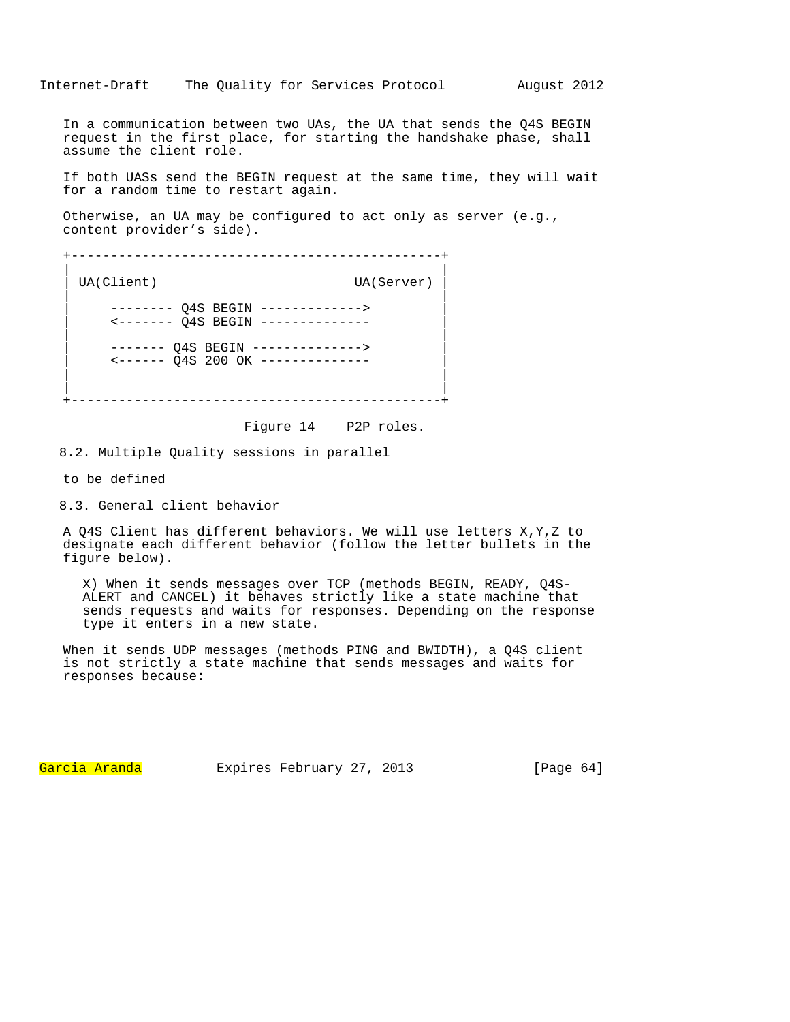In a communication between two UAs, the UA that sends the Q4S BEGIN request in the first place, for starting the handshake phase, shall assume the client role.

If both UASs send the BEGIN request at the same time, they will wait for a random time to restart again.

Otherwise, an UA may be configured to act only as server (e.g., content provider's side).

+-----------------------------------------------+ | | UA(Client) UA(Server) | | | -------- Q4S BEGIN -------------> | | <------- Q4S BEGIN -------------- | | | | ------- Q4S BEGIN --------------> | | <------ Q4S 200 OK -------------- | | | | | +-----------------------------------------------+

Figure 14 P2P roles.

8.2. Multiple Quality sessions in parallel

to be defined

8.3. General client behavior

A Q4S Client has different behaviors. We will use letters X,Y,Z to designate each different behavior (follow the letter bullets in the figure below).

X) When it sends messages over TCP (methods BEGIN, READY, Q4S-ALERT and CANCEL) it behaves strictly like a state machine that sends requests and waits for responses. Depending on the response type it enters in a new state.

When it sends UDP messages (methods PING and BWIDTH), a Q4S client is not strictly a state machine that sends messages and waits for responses because:

Garcia Aranda Expires February 27, 2013 [Page 64]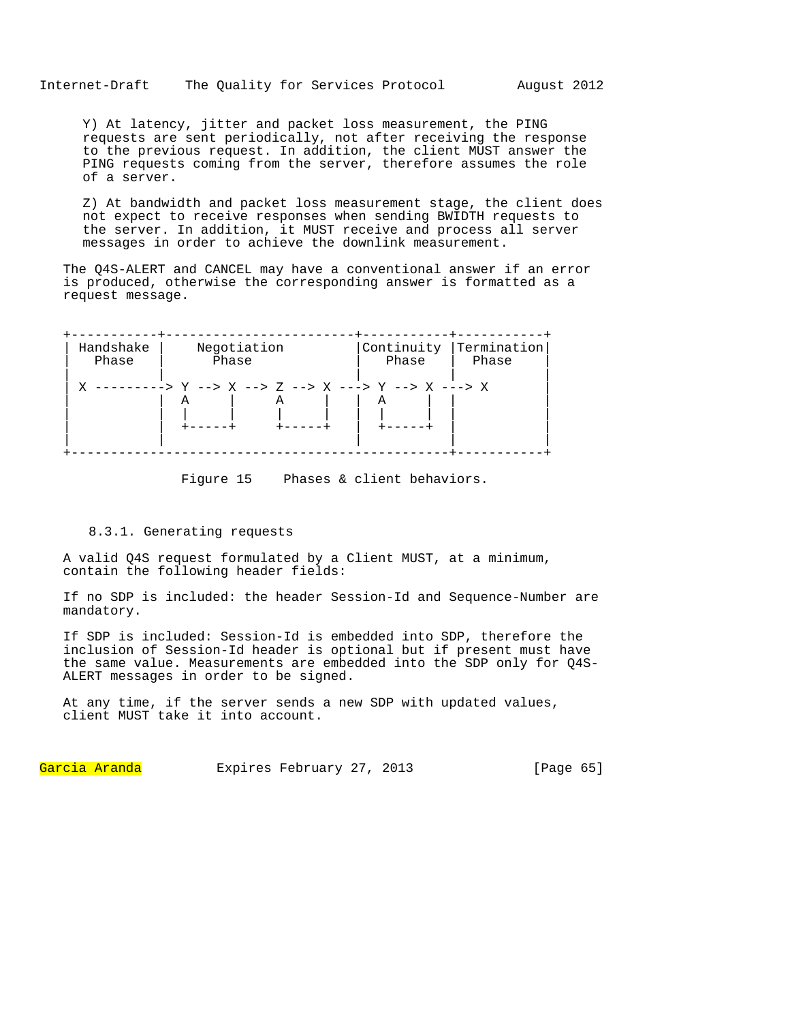Y) At latency, jitter and packet loss measurement, the PING requests are sent periodically, not after receiving the response to the previous request. In addition, the client MUST answer the PING requests coming from the server, therefore assumes the role of a server.

Z) At bandwidth and packet loss measurement stage, the client does not expect to receive responses when sending BWIDTH requests to the server. In addition, it MUST receive and process all server messages in order to achieve the downlink measurement.

The Q4S-ALERT and CANCEL may have a conventional answer if an error is produced, otherwise the corresponding answer is formatted as a request message.

| Handshake | Negotiation                                                                  | Phase | Continuity   Termination |
|-----------|------------------------------------------------------------------------------|-------|--------------------------|
| Phase     | Phase                                                                        |       | Phase                    |
|           | X ---------> Y --> X --> Z --> X ---> Y --> X ---> X<br>А<br>$+ - - - - - +$ | А     |                          |

Figure 15 Phases & client behaviors.

## 8.3.1. Generating requests

A valid Q4S request formulated by a Client MUST, at a minimum, contain the following header fields:

If no SDP is included: the header Session-Id and Sequence-Number are mandatory.

If SDP is included: Session-Id is embedded into SDP, therefore the inclusion of Session-Id header is optional but if present must have the same value. Measurements are embedded into the SDP only for Q4S-ALERT messages in order to be signed.

At any time, if the server sends a new SDP with updated values, client MUST take it into account.

Garcia Aranda Expires February 27, 2013 [Page 65]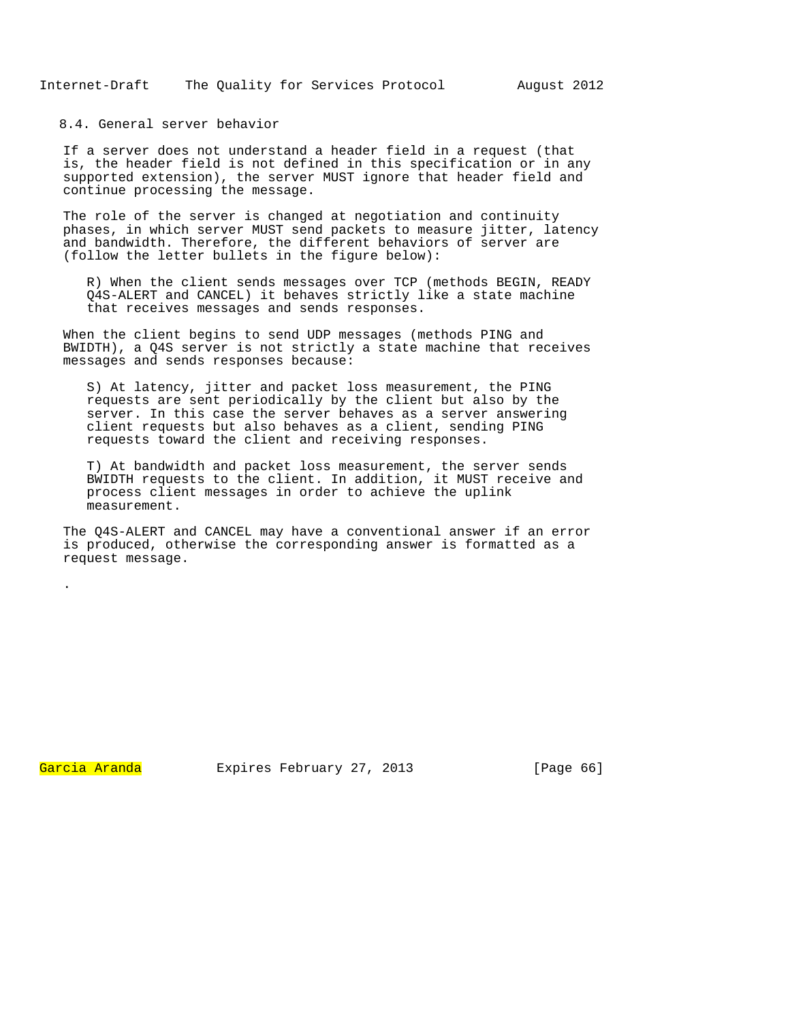8.4. General server behavior

If a server does not understand a header field in a request (that is, the header field is not defined in this specification or in any supported extension), the server MUST ignore that header field and continue processing the message.

The role of the server is changed at negotiation and continuity phases, in which server MUST send packets to measure jitter, latency and bandwidth. Therefore, the different behaviors of server are (follow the letter bullets in the figure below):

R) When the client sends messages over TCP (methods BEGIN, READY Q4S-ALERT and CANCEL) it behaves strictly like a state machine that receives messages and sends responses.

When the client begins to send UDP messages (methods PING and BWIDTH), a Q4S server is not strictly a state machine that receives messages and sends responses because:

S) At latency, jitter and packet loss measurement, the PING requests are sent periodically by the client but also by the server. In this case the server behaves as a server answering client requests but also behaves as a client, sending PING requests toward the client and receiving responses.

T) At bandwidth and packet loss measurement, the server sends BWIDTH requests to the client. In addition, it MUST receive and process client messages in order to achieve the uplink measurement.

The Q4S-ALERT and CANCEL may have a conventional answer if an error is produced, otherwise the corresponding answer is formatted as a request message.

.

Garcia Aranda Expires February 27, 2013 [Paqe 66]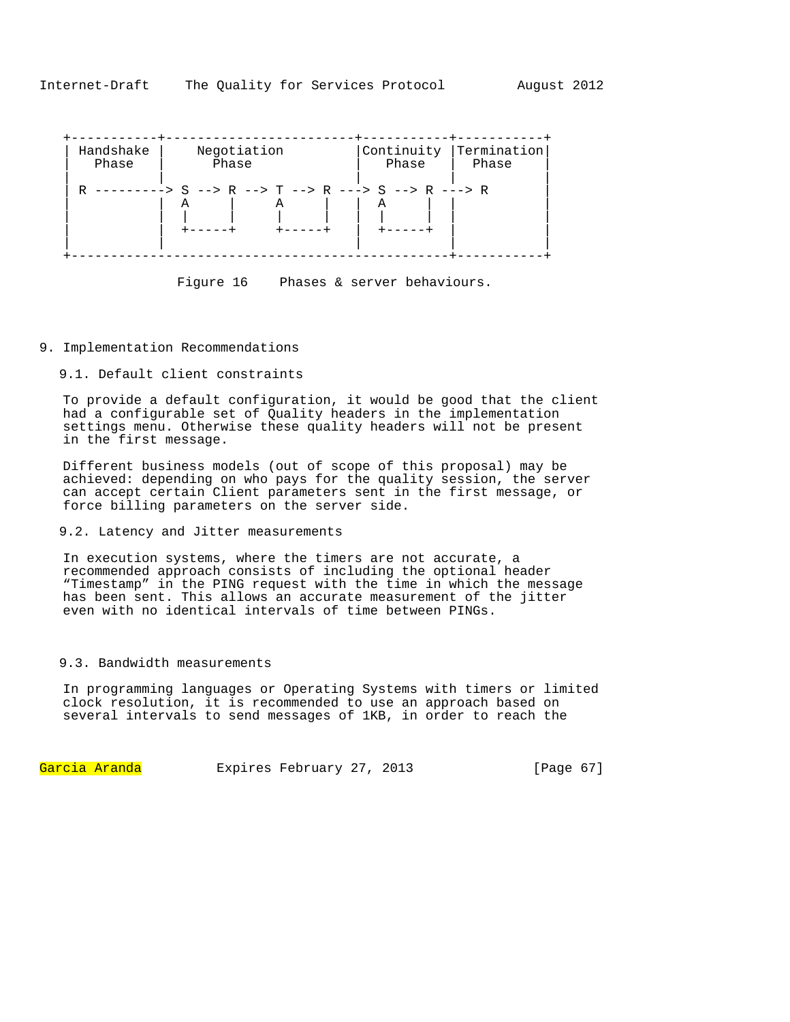| Handshake | Negotiation                                                  | Phase | Continuity Termination |  |  |
|-----------|--------------------------------------------------------------|-------|------------------------|--|--|
| Phase     | Phase                                                        |       | Phase                  |  |  |
| R         | ---------> S --> R --> T --> R ---> S --> R ---> R<br>А<br>А |       |                        |  |  |

Figure 16 Phases & server behaviours.

## 9. Implementation Recommendations

9.1. Default client constraints

To provide a default configuration, it would be good that the client had a configurable set of Quality headers in the implementation settings menu. Otherwise these quality headers will not be present in the first message.

Different business models (out of scope of this proposal) may be achieved: depending on who pays for the quality session, the server can accept certain Client parameters sent in the first message, or force billing parameters on the server side.

## 9.2. Latency and Jitter measurements

In execution systems, where the timers are not accurate, a recommended approach consists of including the optional header "Timestamp" in the PING request with the time in which the message has been sent. This allows an accurate measurement of the jitter even with no identical intervals of time between PINGs.

## 9.3. Bandwidth measurements

In programming languages or Operating Systems with timers or limited clock resolution, it is recommended to use an approach based on several intervals to send messages of 1KB, in order to reach the

Garcia Aranda Expires February 27, 2013 [Page 67]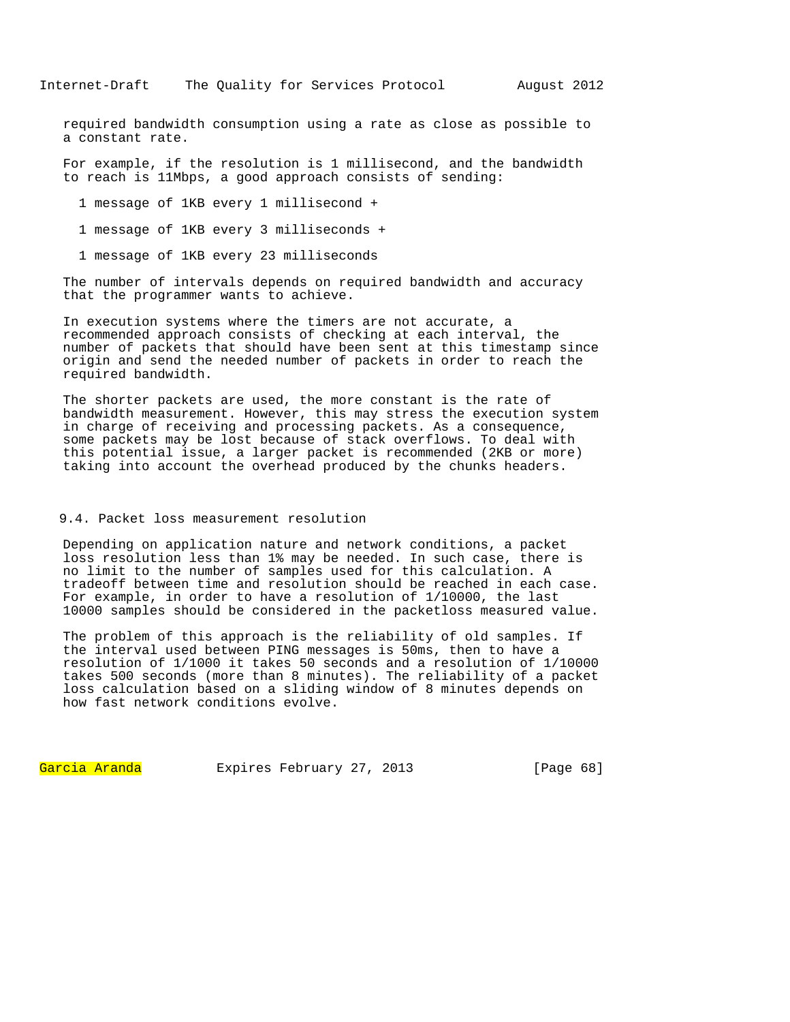required bandwidth consumption using a rate as close as possible to a constant rate.

For example, if the resolution is 1 millisecond, and the bandwidth to reach is 11Mbps, a good approach consists of sending:

1 message of 1KB every 1 millisecond +

1 message of 1KB every 3 milliseconds +

1 message of 1KB every 23 milliseconds

The number of intervals depends on required bandwidth and accuracy that the programmer wants to achieve.

In execution systems where the timers are not accurate, a recommended approach consists of checking at each interval, the number of packets that should have been sent at this timestamp since origin and send the needed number of packets in order to reach the required bandwidth.

The shorter packets are used, the more constant is the rate of bandwidth measurement. However, this may stress the execution system in charge of receiving and processing packets. As a consequence, some packets may be lost because of stack overflows. To deal with this potential issue, a larger packet is recommended (2KB or more) taking into account the overhead produced by the chunks headers.

# 9.4. Packet loss measurement resolution

Depending on application nature and network conditions, a packet loss resolution less than 1% may be needed. In such case, there is no limit to the number of samples used for this calculation. A tradeoff between time and resolution should be reached in each case. For example, in order to have a resolution of 1/10000, the last 10000 samples should be considered in the packetloss measured value.

The problem of this approach is the reliability of old samples. If the interval used between PING messages is 50ms, then to have a resolution of 1/1000 it takes 50 seconds and a resolution of 1/10000 takes 500 seconds (more than 8 minutes). The reliability of a packet loss calculation based on a sliding window of 8 minutes depends on how fast network conditions evolve.

Garcia Aranda Expires February 27, 2013 [Page 68]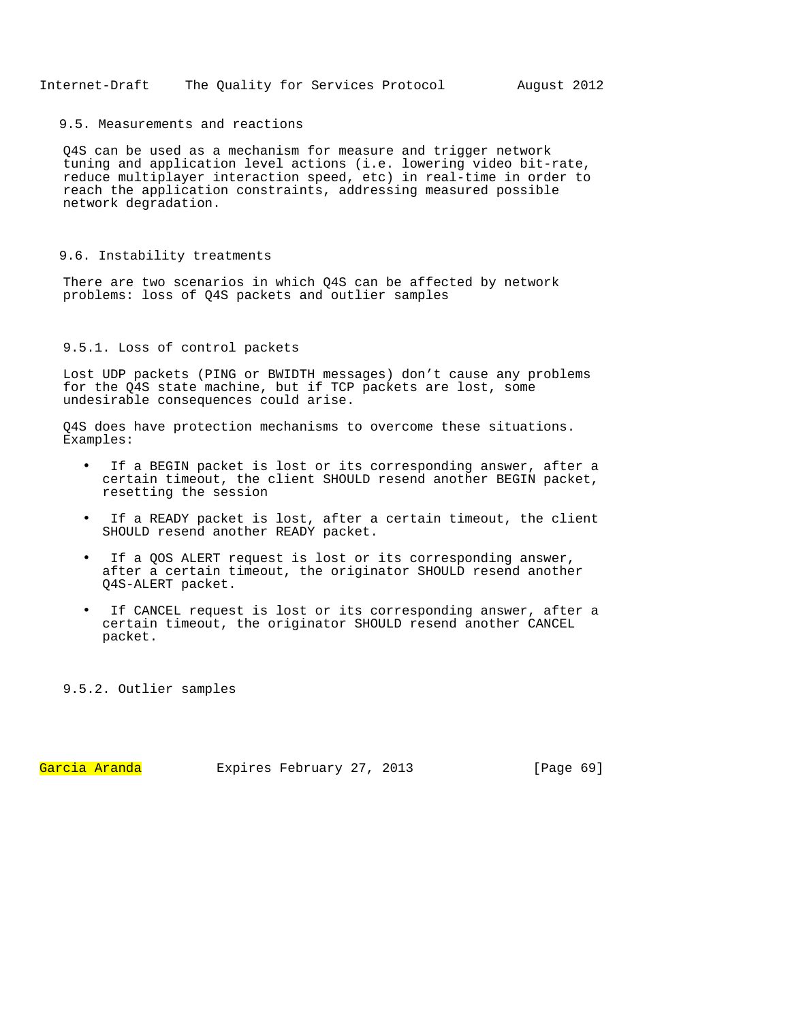## 9.5. Measurements and reactions

Q4S can be used as a mechanism for measure and trigger network tuning and application level actions (i.e. lowering video bit-rate, reduce multiplayer interaction speed, etc) in real-time in order to reach the application constraints, addressing measured possible network degradation.

## 9.6. Instability treatments

There are two scenarios in which Q4S can be affected by network problems: loss of Q4S packets and outlier samples

# 9.5.1. Loss of control packets

Lost UDP packets (PING or BWIDTH messages) don't cause any problems for the Q4S state machine, but if TCP packets are lost, some undesirable consequences could arise.

Q4S does have protection mechanisms to overcome these situations. Examples:

- If a BEGIN packet is lost or its corresponding answer, after a certain timeout, the client SHOULD resend another BEGIN packet, resetting the session
- If a READY packet is lost, after a certain timeout, the client SHOULD resend another READY packet.
- If a QOS ALERT request is lost or its corresponding answer, after a certain timeout, the originator SHOULD resend another Q4S-ALERT packet.
- If CANCEL request is lost or its corresponding answer, after a certain timeout, the originator SHOULD resend another CANCEL packet.

9.5.2. Outlier samples

Garcia Aranda Expires February 27, 2013 [Paqe 69]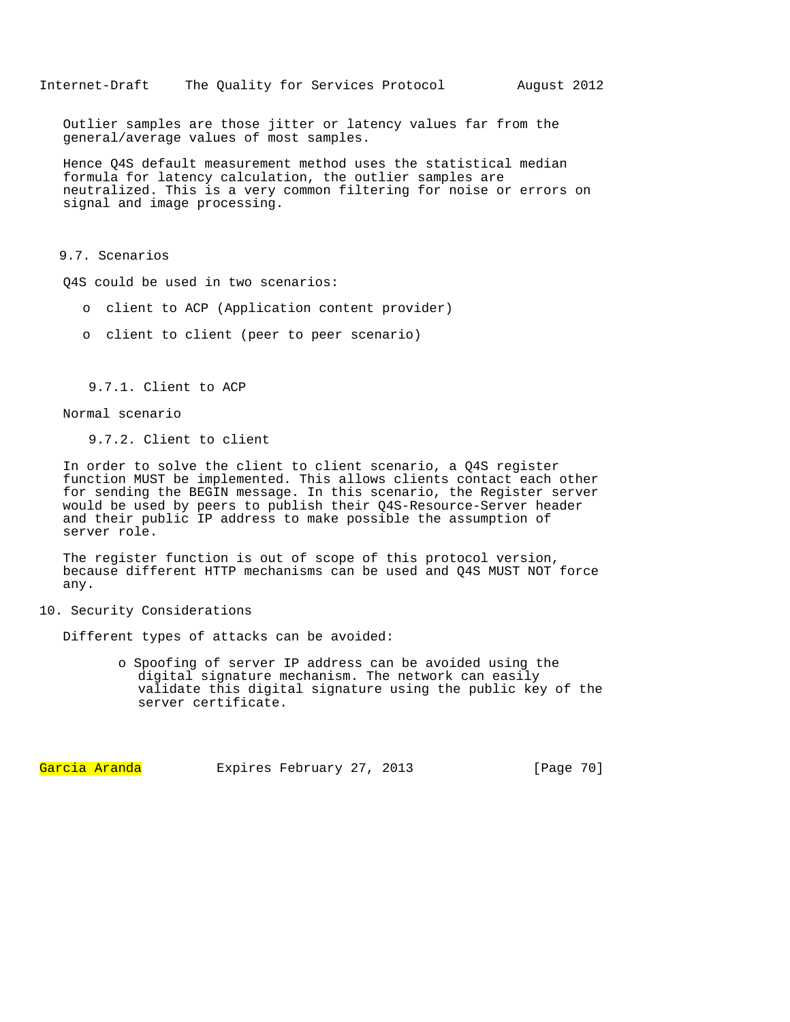Outlier samples are those jitter or latency values far from the general/average values of most samples.

Hence Q4S default measurement method uses the statistical median formula for latency calculation, the outlier samples are neutralized. This is a very common filtering for noise or errors on signal and image processing.

9.7. Scenarios

Q4S could be used in two scenarios:

- o client to ACP (Application content provider)
- o client to client (peer to peer scenario)

9.7.1. Client to ACP

Normal scenario

9.7.2. Client to client

In order to solve the client to client scenario, a Q4S register function MUST be implemented. This allows clients contact each other for sending the BEGIN message. In this scenario, the Register server would be used by peers to publish their Q4S-Resource-Server header and their public IP address to make possible the assumption of server role.

The register function is out of scope of this protocol version, because different HTTP mechanisms can be used and Q4S MUST NOT force any.

10. Security Considerations

Different types of attacks can be avoided:

o Spoofing of server IP address can be avoided using the digital signature mechanism. The network can easily validate this digital signature using the public key of the server certificate.

Garcia Aranda Expires February 27, 2013 [Page 70]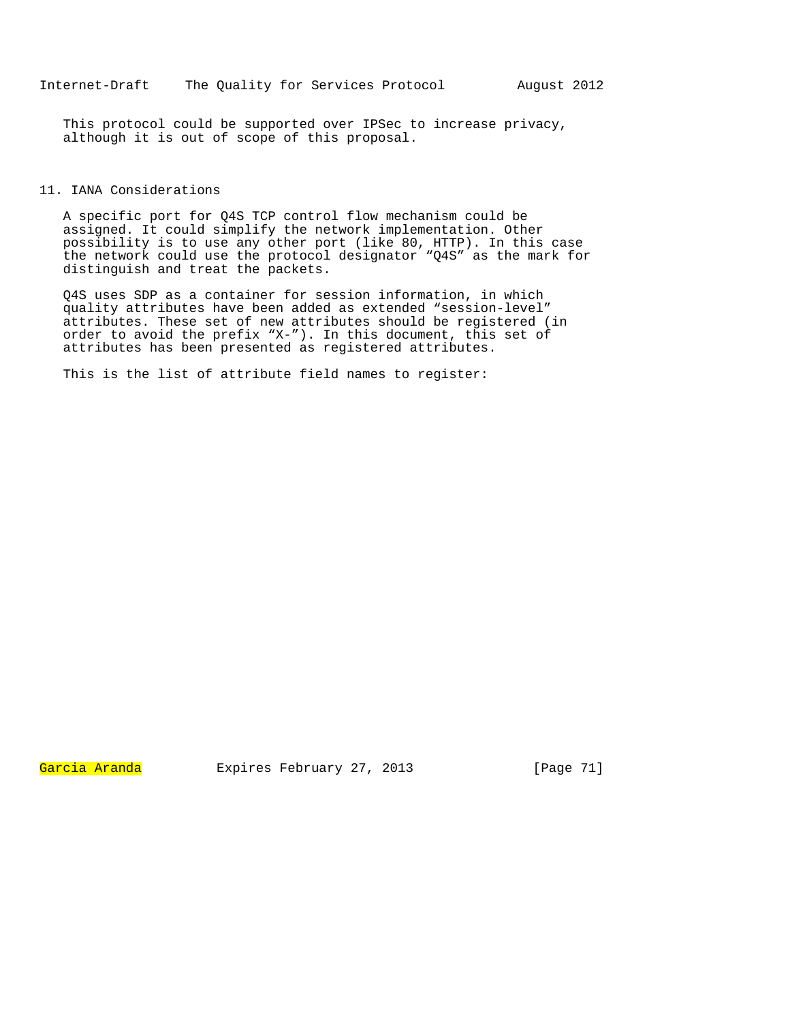This protocol could be supported over IPSec to increase privacy, although it is out of scope of this proposal.

# 11. IANA Considerations

A specific port for Q4S TCP control flow mechanism could be assigned. It could simplify the network implementation. Other possibility is to use any other port (like 80, HTTP). In this case the network could use the protocol designator "Q4S" as the mark for distinguish and treat the packets.

Q4S uses SDP as a container for session information, in which quality attributes have been added as extended "session-level" attributes. These set of new attributes should be registered (in order to avoid the prefix "X-"). In this document, this set of attributes has been presented as registered attributes.

This is the list of attribute field names to register:

Garcia Aranda Expires February 27, 2013 [Page 71]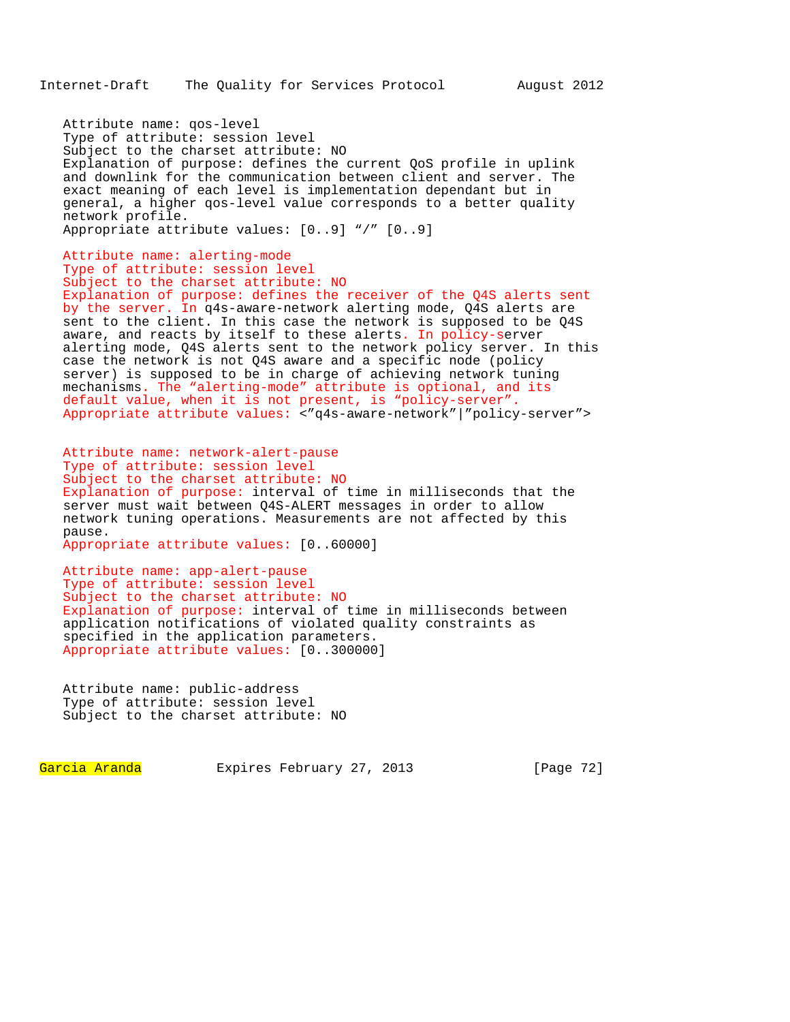Attribute name: qos-level Type of attribute: session level Subject to the charset attribute: NO Explanation of purpose: defines the current QoS profile in uplink and downlink for the communication between client and server. The exact meaning of each level is implementation dependant but in general, a higher qos-level value corresponds to a better quality network profile. Appropriate attribute values: [0..9] "/" [0..9]

Attribute name: alerting-mode Type of attribute: session level Subject to the charset attribute: NO Explanation of purpose: defines the receiver of the Q4S alerts sent by the server. In q4s-aware-network alerting mode, Q4S alerts are sent to the client. In this case the network is supposed to be Q4S aware, and reacts by itself to these alerts. In policy-server alerting mode, Q4S alerts sent to the network policy server. In this case the network is not Q4S aware and a specific node (policy server) is supposed to be in charge of achieving network tuning mechanisms. The "alerting-mode" attribute is optional, and its default value, when it is not present, is "policy-server". Appropriate attribute values: <"q4s-aware-network"|"policy-server">

Attribute name: network-alert-pause Type of attribute: session level Subject to the charset attribute: NO Explanation of purpose: interval of time in milliseconds that the server must wait between Q4S-ALERT messages in order to allow network tuning operations. Measurements are not affected by this pause. Appropriate attribute values: [0..60000]

Attribute name: app-alert-pause Type of attribute: session level Subject to the charset attribute: NO Explanation of purpose: interval of time in milliseconds between application notifications of violated quality constraints as specified in the application parameters. Appropriate attribute values: [0..300000]

Attribute name: public-address Type of attribute: session level Subject to the charset attribute: NO

Garcia Aranda Expires February 27, 2013 [Page 72]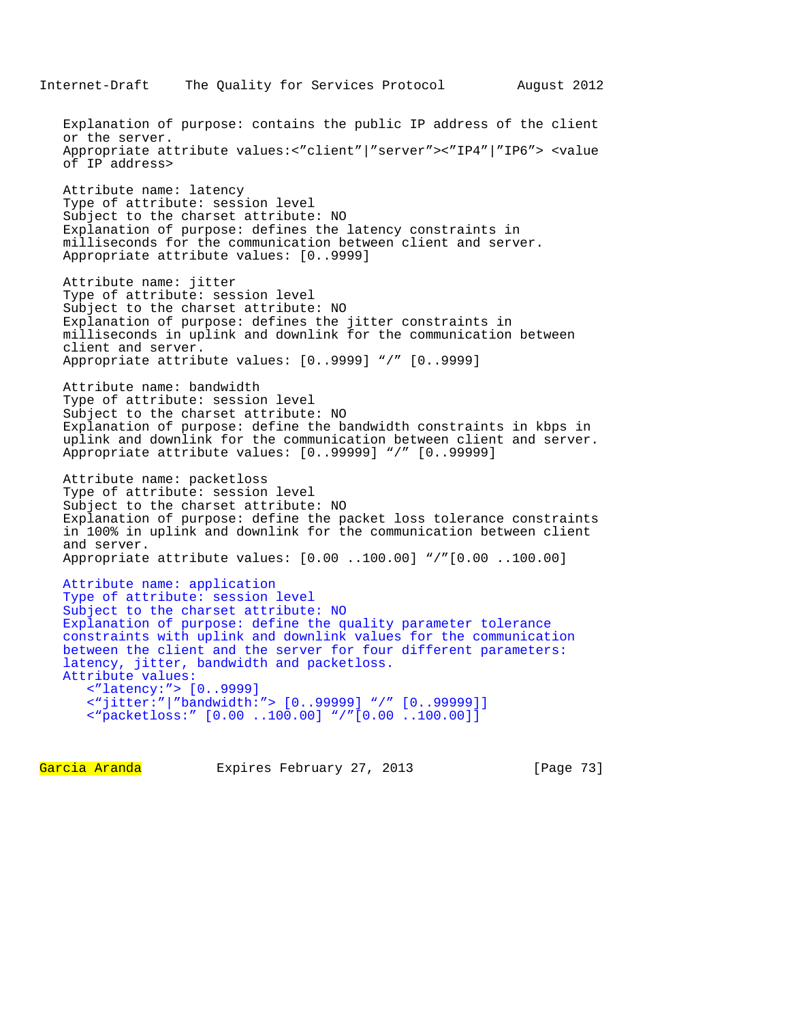Explanation of purpose: contains the public IP address of the client or the server. Appropriate attribute values:<"client"|"server"><"IP4"|"IP6"> <value of IP address> Attribute name: latency Type of attribute: session level Subject to the charset attribute: NO Explanation of purpose: defines the latency constraints in milliseconds for the communication between client and server. Appropriate attribute values: [0..9999] Attribute name: jitter Type of attribute: session level Subject to the charset attribute: NO Explanation of purpose: defines the jitter constraints in milliseconds in uplink and downlink for the communication between client and server. Appropriate attribute values: [0..9999] "/" [0..9999] Attribute name: bandwidth Type of attribute: session level Subject to the charset attribute: NO Explanation of purpose: define the bandwidth constraints in kbps in uplink and downlink for the communication between client and server. Appropriate attribute values: [0..99999] "/" [0..99999] Attribute name: packetloss Type of attribute: session level Subject to the charset attribute: NO Explanation of purpose: define the packet loss tolerance constraints in 100% in uplink and downlink for the communication between client and server. Appropriate attribute values: [0.00 ..100.00] "/"[0.00 ..100.00] Attribute name: application Type of attribute: session level Subject to the charset attribute: NO Explanation of purpose: define the quality parameter tolerance constraints with uplink and downlink values for the communication between the client and the server for four different parameters: latency, jitter, bandwidth and packetloss. Attribute values: <"latency:"> [0..9999] <"jitter:"|"bandwidth:"> [0..99999] "/" [0..99999]] <"packetloss:" [0.00 ..100.00] "/"[0.00 ..100.00]]

Garcia Aranda Expires February 27, 2013 [Page 73]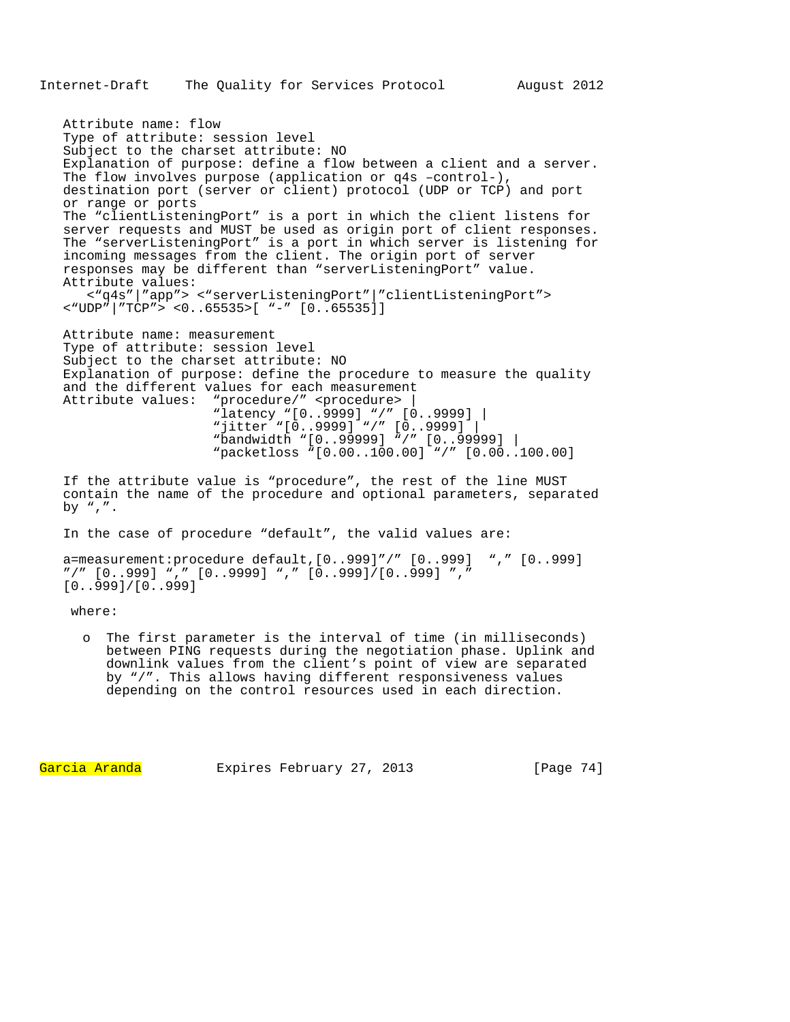Attribute name: flow Type of attribute: session level Subject to the charset attribute: NO Explanation of purpose: define a flow between a client and a server. The flow involves purpose (application or q4s -control-), destination port (server or client) protocol (UDP or TCP) and port or range or ports The "clientListeningPort" is a port in which the client listens for server requests and MUST be used as origin port of client responses. The "serverListeningPort" is a port in which server is listening for incoming messages from the client. The origin port of server responses may be different than "serverListeningPort" value. Attribute values: <"q4s"|"app"> <"serverListeningPort"|"clientListeningPort"> <"UDP"|"TCP"> <0..65535>[ "-" [0..65535]] Attribute name: measurement Type of attribute: session level Subject to the charset attribute: NO Explanation of purpose: define the procedure to measure the quality and the different values for each measurement Attribute values: "procedure/" <procedure> | "latency "[0..9999] "/" [0..9999] | "jitter "[0..9999] "/" [0..9999] | "bandwidth "[0..99999] "/" [0..99999] | "packetloss "[0.00..100.00] "/" [0.00..100.00]

If the attribute value is "procedure", the rest of the line MUST contain the name of the procedure and optional parameters, separated by  $"$ ,  $"$ .

In the case of procedure "default", the valid values are:

```
a=measurement:procedure default,[0..999]"/" [0..999] "," [0..999] 
"/" [0..999] "," [0..9999] "," [0..999]/[0..999] "," 
[0..999]/[0..999]
```
where:

The first parameter is the interval of time (in milliseconds) between PING requests during the negotiation phase. Uplink and downlink values from the client's point of view are separated by "/". This allows having different responsiveness values depending on the control resources used in each direction.

Garcia Aranda Expires February 27, 2013 [Page 74]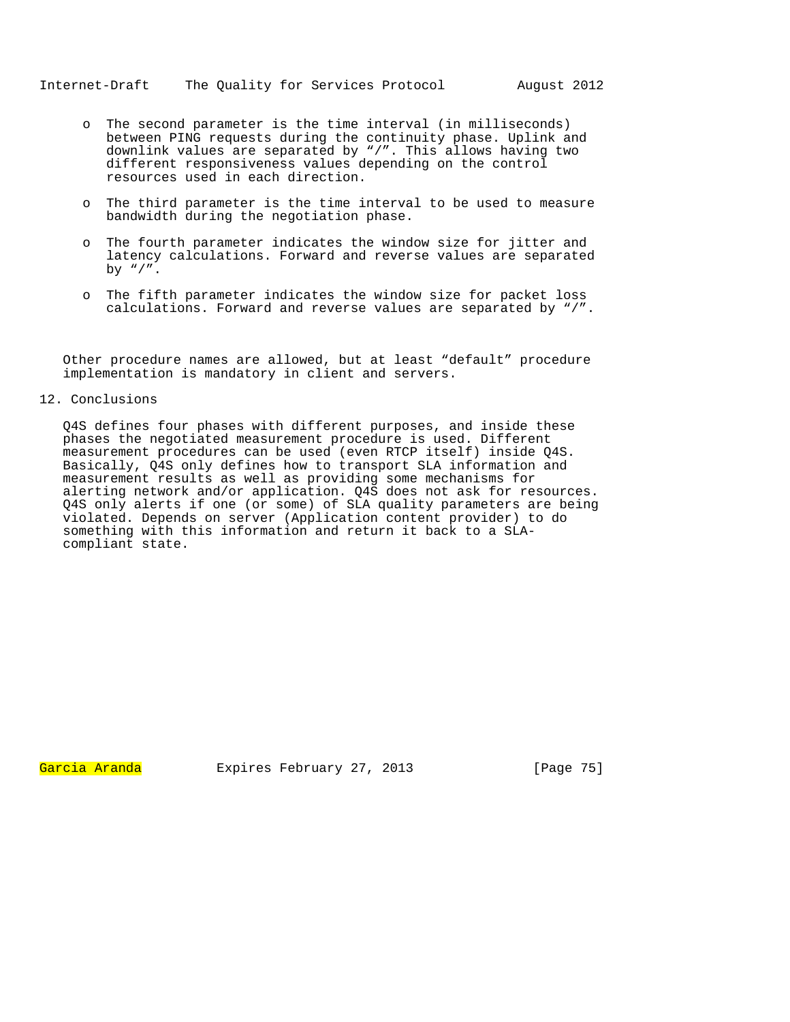- o The second parameter is the time interval (in milliseconds) between PING requests during the continuity phase. Uplink and downlink values are separated by "/". This allows having two different responsiveness values depending on the control resources used in each direction.
- o The third parameter is the time interval to be used to measure bandwidth during the negotiation phase.
- o The fourth parameter indicates the window size for jitter and latency calculations. Forward and reverse values are separated by  $"\,$ /".
- o The fifth parameter indicates the window size for packet loss calculations. Forward and reverse values are separated by "/".

Other procedure names are allowed, but at least "default" procedure implementation is mandatory in client and servers.

## 12. Conclusions

Q4S defines four phases with different purposes, and inside these phases the negotiated measurement procedure is used. Different measurement procedures can be used (even RTCP itself) inside Q4S. Basically, Q4S only defines how to transport SLA information and measurement results as well as providing some mechanisms for alerting network and/or application. Q4S does not ask for resources. Q4S only alerts if one (or some) of SLA quality parameters are being violated. Depends on server (Application content provider) to do something with this information and return it back to a SLAcompliant state.

Garcia Aranda Expires February 27, 2013 [Page 75]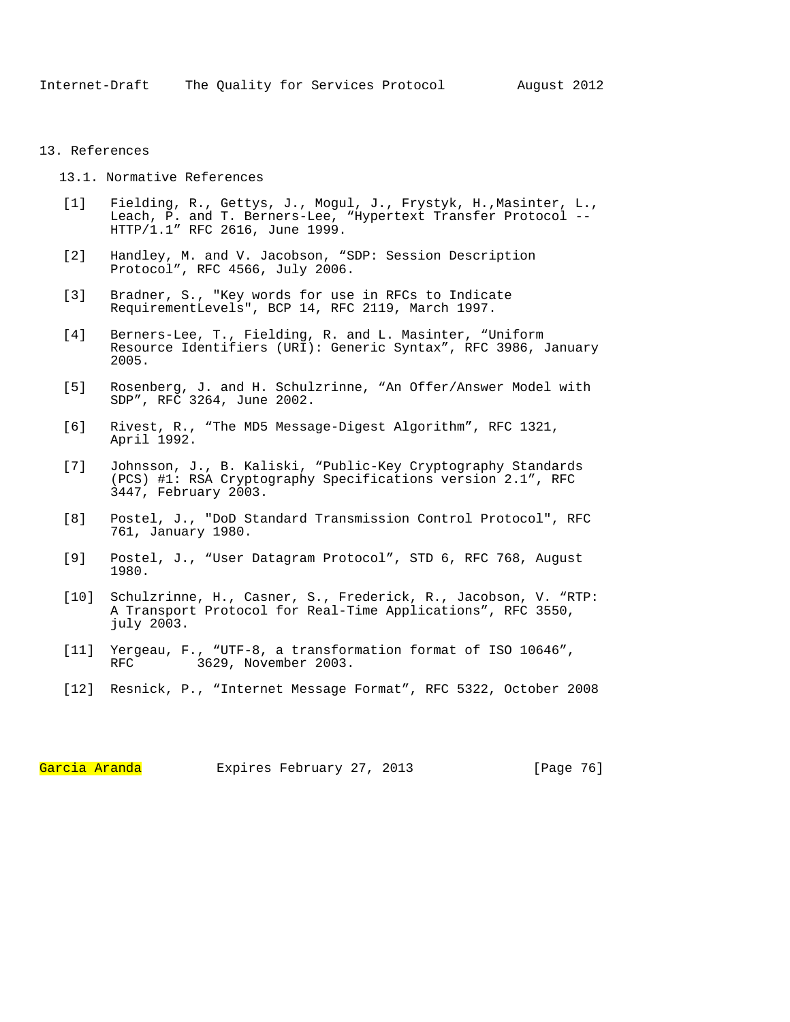## 13. References

- 13.1. Normative References
- [1] Fielding, R., Gettys, J., Mogul, J., Frystyk, H., Masinter, L., Leach, P. and T. Berners-Lee, "Hypertext Transfer Protocol -- HTTP/1.1" RFC 2616, June 1999.
- [2] Handley, M. and V. Jacobson, "SDP: Session Description Protocol", RFC 4566, July 2006.
- [3] Bradner, S., "Key words for use in RFCs to Indicate RequirementLevels", BCP 14, RFC 2119, March 1997.
- [4] Berners-Lee, T., Fielding, R. and L. Masinter, "Uniform Resource Identifiers (URI): Generic Syntax", RFC 3986, January 2005.
- [5] Rosenberg, J. and H. Schulzrinne, "An Offer/Answer Model with SDP", RFC 3264, June 2002.
- [6] Rivest, R., "The MD5 Message-Digest Algorithm", RFC 1321, April 1992.
- [7] Johnsson, J., B. Kaliski, "Public-Key Cryptography Standards (PCS) #1: RSA Cryptography Specifications version 2.1", RFC 3447, February 2003.
- [8] Postel, J., "DoD Standard Transmission Control Protocol", RFC 761, January 1980.
- [9] Postel, J., "User Datagram Protocol", STD 6, RFC 768, August 1980.
- [10] Schulzrinne, H., Casner, S., Frederick, R., Jacobson, V. "RTP: A Transport Protocol for Real-Time Applications", RFC 3550, july 2003.
- [11] Yergeau, F., "UTF-8, a transformation format of ISO 10646", RFC 3629, November 2003.
- [12] Resnick, P., "Internet Message Format", RFC 5322, October 2008

Garcia Aranda Expires February 27, 2013 [Page 76]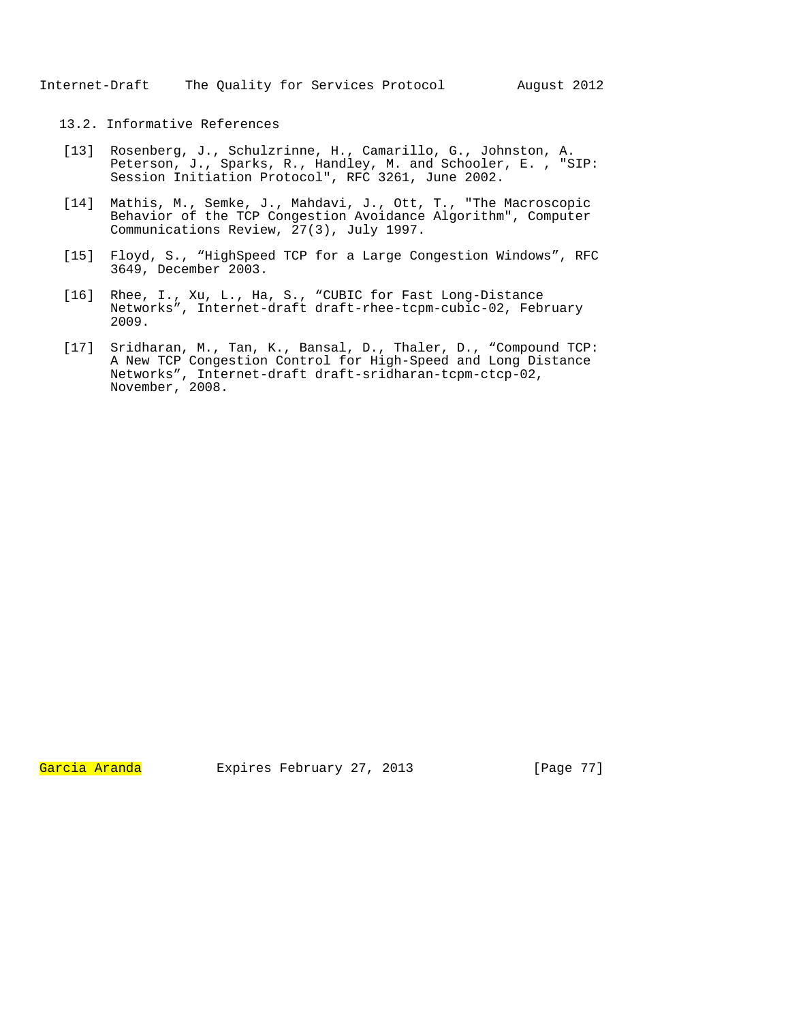## 13.2. Informative References

- [13] Rosenberg, J., Schulzrinne, H., Camarillo, G., Johnston, A. Peterson, J., Sparks, R., Handley, M. and Schooler, E. , "SIP: Session Initiation Protocol", RFC 3261, June 2002.
- [14] Mathis, M., Semke, J., Mahdavi, J., Ott, T., "The Macroscopic Behavior of the TCP Congestion Avoidance Algorithm", Computer Communications Review, 27(3), July 1997.
- [15] Floyd, S., "HighSpeed TCP for a Large Congestion Windows", RFC 3649, December 2003.
- [16] Rhee, I., Xu, L., Ha, S., "CUBIC for Fast Long-Distance Networks", Internet-draft draft-rhee-tcpm-cubic-02, February 2009.
- [17] Sridharan, M., Tan, K., Bansal, D., Thaler, D., "Compound TCP: A New TCP Congestion Control for High-Speed and Long Distance Networks", Internet-draft draft-sridharan-tcpm-ctcp-02, November, 2008.

Garcia Aranda Expires February 27, 2013 [Page 77]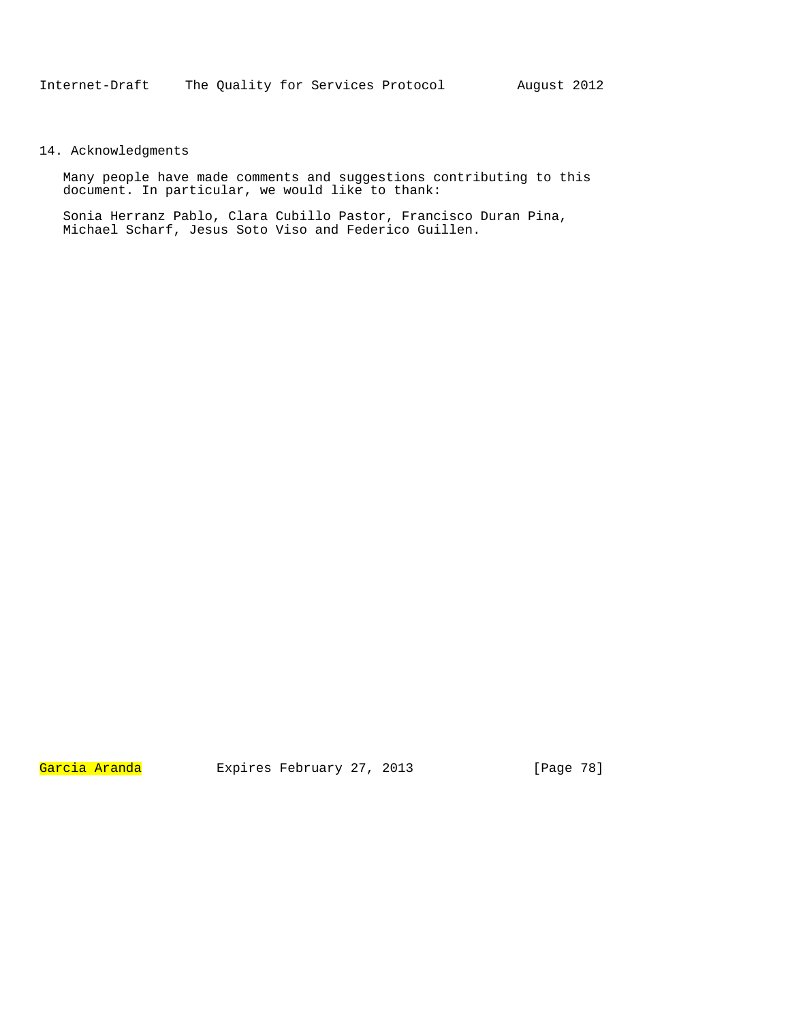## 14. Acknowledgments

Many people have made comments and suggestions contributing to this document. In particular, we would like to thank:

Sonia Herranz Pablo, Clara Cubillo Pastor, Francisco Duran Pina, Michael Scharf, Jesus Soto Viso and Federico Guillen.

Garcia Aranda Expires February 27, 2013 [Page 78]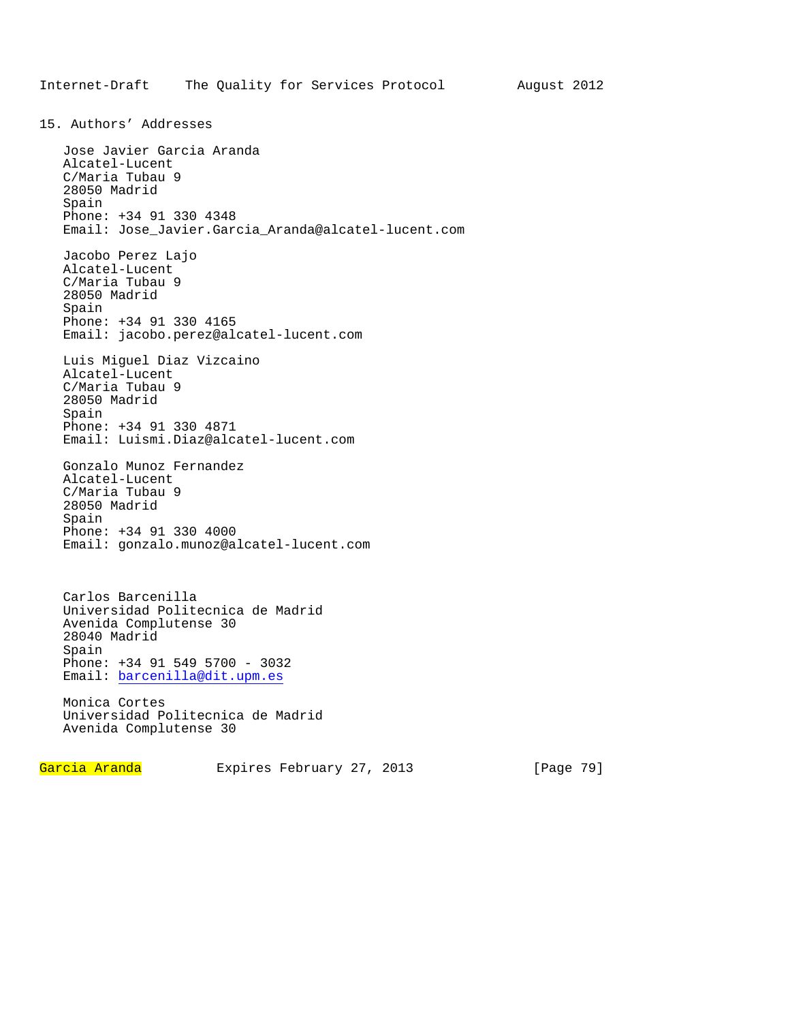15. Authors' Addresses Jose Javier Garcia Aranda Alcatel-Lucent C/Maria Tubau 9 28050 Madrid Spain Phone: +34 91 330 4348 Email: Jose\_Javier.Garcia\_Aranda@alcatel-lucent.com Jacobo Perez Lajo Alcatel-Lucent C/Maria Tubau 9 28050 Madrid Spain Phone: +34 91 330 4165 Email: jacobo.perez@alcatel-lucent.com Luis Miguel Diaz Vizcaino Alcatel-Lucent C/Maria Tubau 9 28050 Madrid Spain Phone: +34 91 330 4871 Email: Luismi.Diaz@alcatel-lucent.com Gonzalo Munoz Fernandez Alcatel-Lucent C/Maria Tubau 9 28050 Madrid Spain Phone: +34 91 330 4000 Email: gonzalo.munoz@alcatel-lucent.com Carlos Barcenilla Universidad Politecnica de Madrid Avenida Complutense 30 28040 Madrid Spain Phone: +34 91 549 5700 - 3032 Email: barcenilla@dit.upm.es

Monica Cortes Universidad Politecnica de Madrid Avenida Complutense 30

Garcia Aranda Expires February 27, 2013 [Page 79]